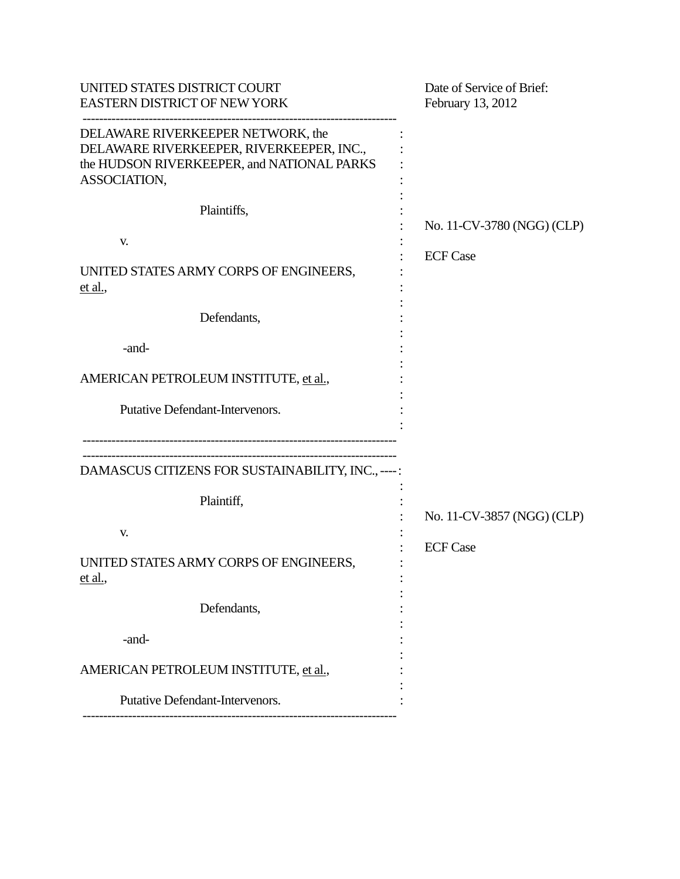| UNITED STATES DISTRICT COURT<br><b>EASTERN DISTRICT OF NEW YORK</b>                                                                         | Date of Service of Brief:<br>February 13, 2012 |
|---------------------------------------------------------------------------------------------------------------------------------------------|------------------------------------------------|
| DELAWARE RIVERKEEPER NETWORK, the<br>DELAWARE RIVERKEEPER, RIVERKEEPER, INC.,<br>the HUDSON RIVERKEEPER, and NATIONAL PARKS<br>ASSOCIATION, |                                                |
| Plaintiffs,<br>V.<br>UNITED STATES ARMY CORPS OF ENGINEERS,<br><u>et al.</u>                                                                | No. 11-CV-3780 (NGG) (CLP)<br><b>ECF Case</b>  |
| Defendants,                                                                                                                                 |                                                |
| -and-                                                                                                                                       |                                                |
| AMERICAN PETROLEUM INSTITUTE, et al.,                                                                                                       |                                                |
| Putative Defendant-Intervenors.                                                                                                             |                                                |
| DAMASCUS CITIZENS FOR SUSTAINABILITY, INC., ----:                                                                                           |                                                |
| Plaintiff,                                                                                                                                  |                                                |
| V.                                                                                                                                          | No. 11-CV-3857 (NGG) (CLP)                     |
| UNITED STATES ARMY CORPS OF ENGINEERS,<br><u>et al.</u>                                                                                     | <b>ECF Case</b>                                |
| Defendants,                                                                                                                                 |                                                |
| -and-                                                                                                                                       |                                                |
| AMERICAN PETROLEUM INSTITUTE, et al.,                                                                                                       |                                                |
| <b>Putative Defendant-Intervenors.</b>                                                                                                      |                                                |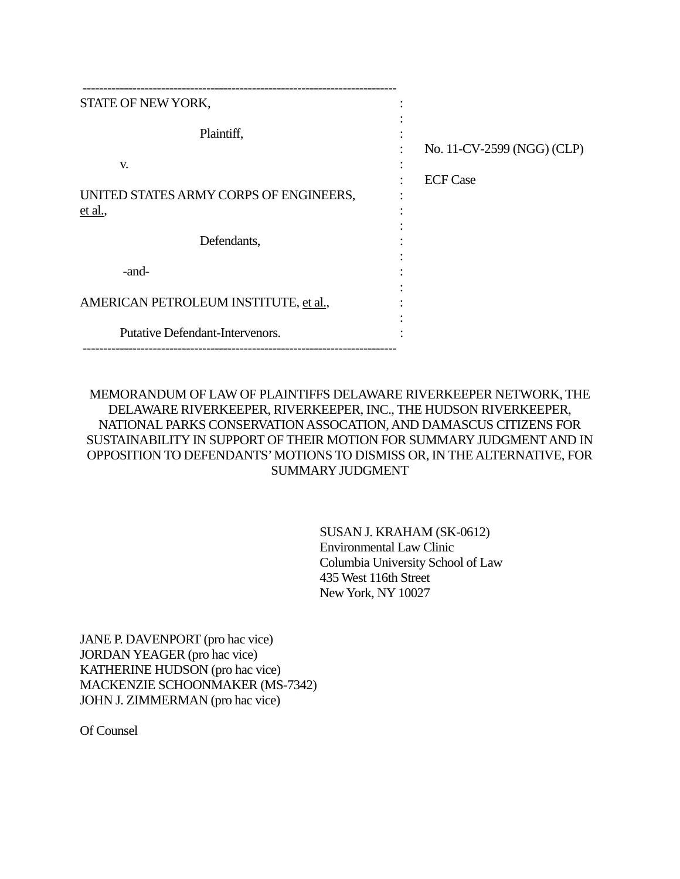| STATE OF NEW YORK,                                      |                            |
|---------------------------------------------------------|----------------------------|
| Plaintiff,                                              | No. 11-CV-2599 (NGG) (CLP) |
| V.<br>UNITED STATES ARMY CORPS OF ENGINEERS,<br>et al., | <b>ECF Case</b>            |
| Defendants,                                             |                            |
| -and-                                                   |                            |
| AMERICAN PETROLEUM INSTITUTE, et al.,                   |                            |
| <b>Putative Defendant-Intervenors.</b>                  |                            |

# MEMORANDUM OF LAW OF PLAINTIFFS DELAWARE RIVERKEEPER NETWORK, THE DELAWARE RIVERKEEPER, RIVERKEEPER, INC., THE HUDSON RIVERKEEPER, NATIONAL PARKS CONSERVATION ASSOCATION, AND DAMASCUS CITIZENS FOR SUSTAINABILITY IN SUPPORT OF THEIR MOTION FOR SUMMARY JUDGMENT AND IN OPPOSITION TO DEFENDANTS' MOTIONS TO DISMISS OR, IN THE ALTERNATIVE, FOR SUMMARY JUDGMENT

SUSAN J. KRAHAM (SK-0612) Environmental Law Clinic Columbia University School of Law 435 West 116th Street New York, NY 10027

JANE P. DAVENPORT (pro hac vice) JORDAN YEAGER (pro hac vice) KATHERINE HUDSON (pro hac vice) MACKENZIE SCHOONMAKER (MS-7342) JOHN J. ZIMMERMAN (pro hac vice)

Of Counsel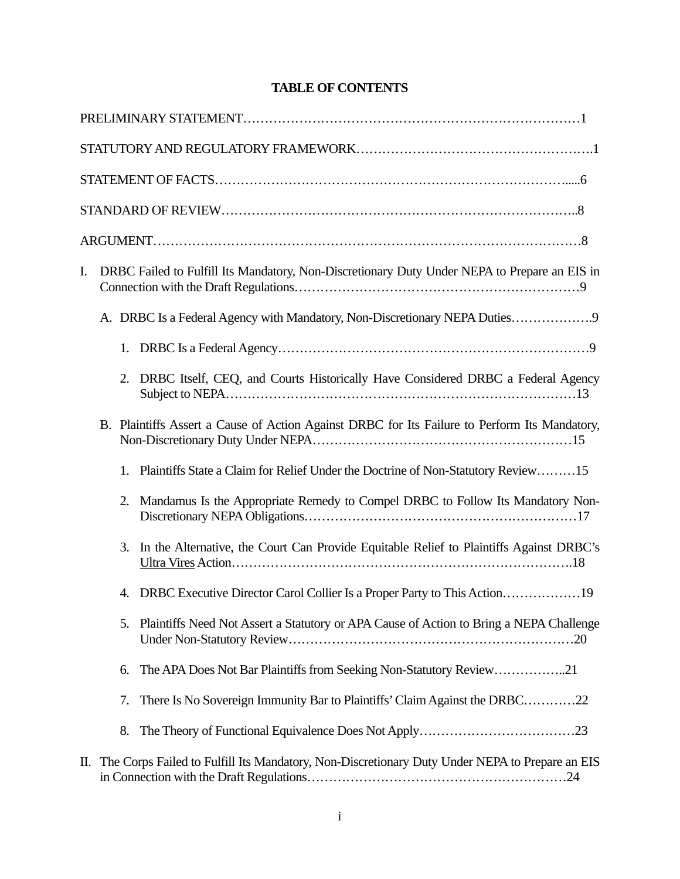# **TABLE OF CONTENTS**

| I. |    | DRBC Failed to Fulfill Its Mandatory, Non-Discretionary Duty Under NEPA to Prepare an EIS in       |
|----|----|----------------------------------------------------------------------------------------------------|
|    |    | A. DRBC Is a Federal Agency with Mandatory, Non-Discretionary NEPA Duties                          |
|    | 1. |                                                                                                    |
|    |    | 2. DRBC Itself, CEQ, and Courts Historically Have Considered DRBC a Federal Agency                 |
|    |    | B. Plaintiffs Assert a Cause of Action Against DRBC for Its Failure to Perform Its Mandatory,      |
|    | 1. | Plaintiffs State a Claim for Relief Under the Doctrine of Non-Statutory Review15                   |
|    | 2. | Mandamus Is the Appropriate Remedy to Compel DRBC to Follow Its Mandatory Non-                     |
|    | 3. | In the Alternative, the Court Can Provide Equitable Relief to Plaintiffs Against DRBC's            |
|    | 4. |                                                                                                    |
|    | 5. | Plaintiffs Need Not Assert a Statutory or APA Cause of Action to Bring a NEPA Challenge            |
|    | 6. | The APA Does Not Bar Plaintiffs from Seeking Non-Statutory Review21                                |
|    | 7. | There Is No Sovereign Immunity Bar to Plaintiffs' Claim Against the DRBC22                         |
|    | 8. |                                                                                                    |
|    |    | II. The Corps Failed to Fulfill Its Mandatory, Non-Discretionary Duty Under NEPA to Prepare an EIS |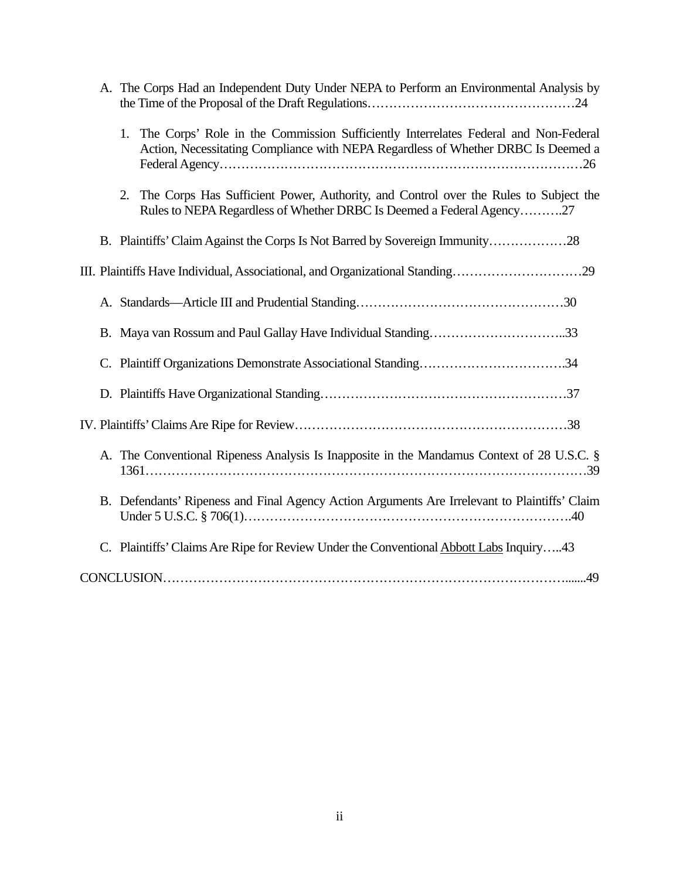|    | A. The Corps Had an Independent Duty Under NEPA to Perform an Environmental Analysis by                                                                                        |
|----|--------------------------------------------------------------------------------------------------------------------------------------------------------------------------------|
|    | The Corps' Role in the Commission Sufficiently Interrelates Federal and Non-Federal<br>1.<br>Action, Necessitating Compliance with NEPA Regardless of Whether DRBC Is Deemed a |
|    | 2. The Corps Has Sufficient Power, Authority, and Control over the Rules to Subject the<br>Rules to NEPA Regardless of Whether DRBC Is Deemed a Federal Agency27               |
|    | B. Plaintiffs' Claim Against the Corps Is Not Barred by Sovereign Immunity28                                                                                                   |
|    | III. Plaintiffs Have Individual, Associational, and Organizational Standing29                                                                                                  |
|    |                                                                                                                                                                                |
|    | B. Maya van Rossum and Paul Gallay Have Individual Standing33                                                                                                                  |
| C. |                                                                                                                                                                                |
|    |                                                                                                                                                                                |
|    |                                                                                                                                                                                |
|    | A. The Conventional Ripeness Analysis Is Inapposite in the Mandamus Context of 28 U.S.C. §                                                                                     |
|    | B. Defendants' Ripeness and Final Agency Action Arguments Are Irrelevant to Plaintiffs' Claim                                                                                  |
|    | C. Plaintiffs' Claims Are Ripe for Review Under the Conventional Abbott Labs Inquiry43                                                                                         |
|    |                                                                                                                                                                                |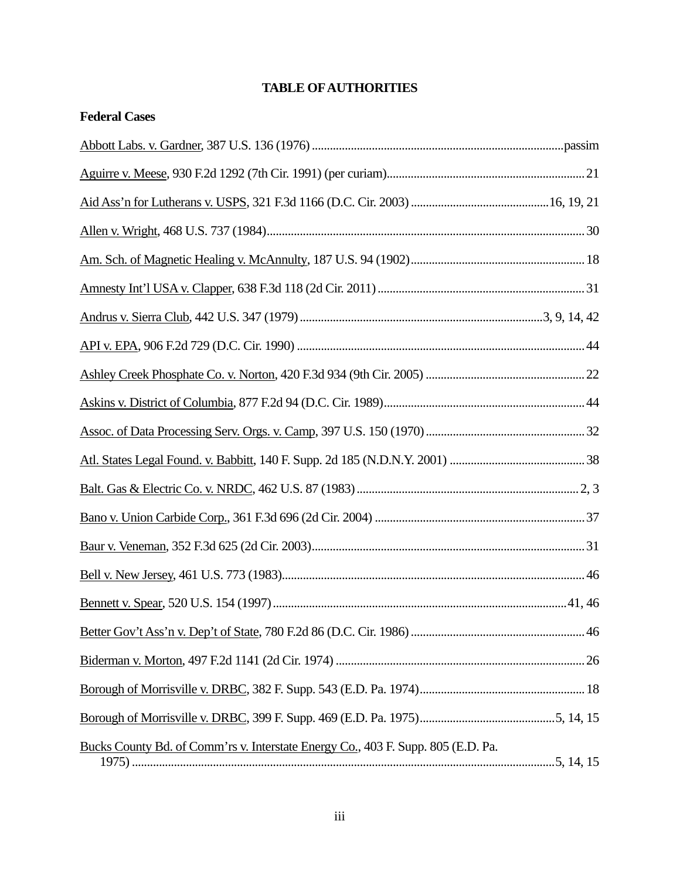# **TABLE OF AUTHORITIES**

| <b>Federal Cases</b>                                                             |       |
|----------------------------------------------------------------------------------|-------|
|                                                                                  |       |
|                                                                                  |       |
|                                                                                  |       |
|                                                                                  |       |
|                                                                                  |       |
|                                                                                  |       |
|                                                                                  |       |
|                                                                                  |       |
|                                                                                  |       |
|                                                                                  |       |
|                                                                                  |       |
|                                                                                  |       |
|                                                                                  |       |
|                                                                                  |       |
|                                                                                  |       |
|                                                                                  |       |
|                                                                                  | 41,46 |
|                                                                                  |       |
|                                                                                  |       |
|                                                                                  |       |
|                                                                                  |       |
| Bucks County Bd. of Comm'rs v. Interstate Energy Co., 403 F. Supp. 805 (E.D. Pa. |       |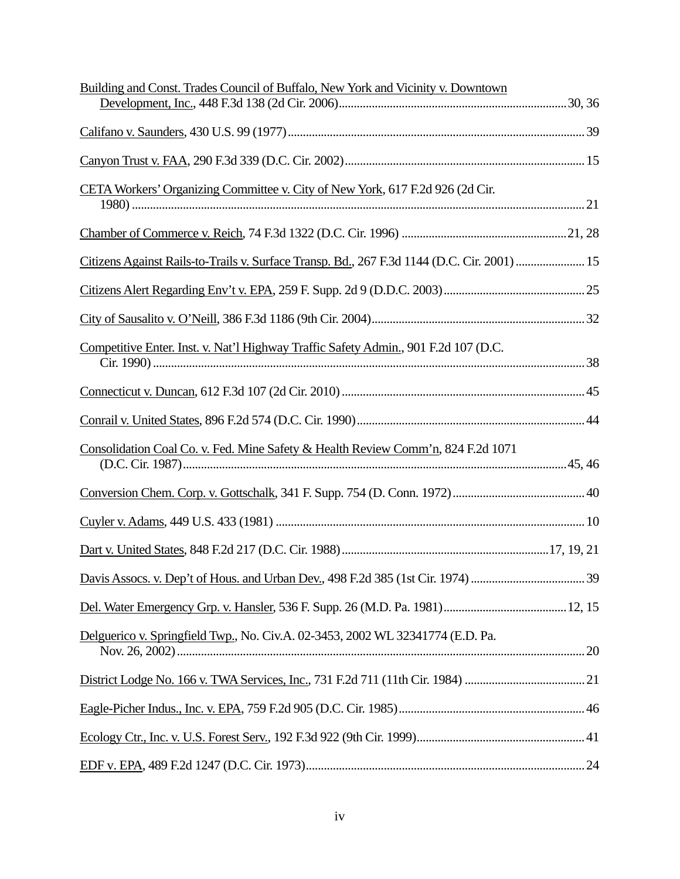| Building and Const. Trades Council of Buffalo, New York and Vicinity v. Downtown            |  |
|---------------------------------------------------------------------------------------------|--|
|                                                                                             |  |
|                                                                                             |  |
| CETA Workers' Organizing Committee v. City of New York, 617 F.2d 926 (2d Cir.               |  |
|                                                                                             |  |
| Citizens Against Rails-to-Trails v. Surface Transp. Bd., 267 F.3d 1144 (D.C. Cir. 2001)  15 |  |
|                                                                                             |  |
|                                                                                             |  |
| Competitive Enter. Inst. v. Nat'l Highway Traffic Safety Admin., 901 F.2d 107 (D.C.         |  |
|                                                                                             |  |
|                                                                                             |  |
| Consolidation Coal Co. v. Fed. Mine Safety & Health Review Comm'n, 824 F.2d 1071            |  |
|                                                                                             |  |
|                                                                                             |  |
|                                                                                             |  |
|                                                                                             |  |
|                                                                                             |  |
| Delguerico v. Springfield Twp., No. Civ.A. 02-3453, 2002 WL 32341774 (E.D. Pa.              |  |
|                                                                                             |  |
|                                                                                             |  |
|                                                                                             |  |
|                                                                                             |  |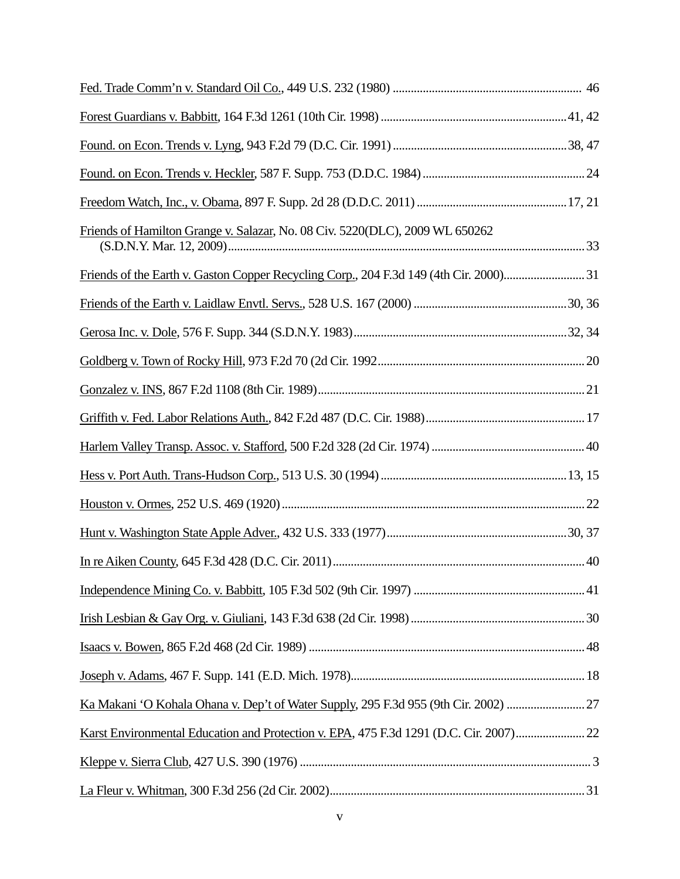| Friends of Hamilton Grange v. Salazar, No. 08 Civ. 5220(DLC), 2009 WL 650262           |  |
|----------------------------------------------------------------------------------------|--|
| Friends of the Earth v. Gaston Copper Recycling Corp., 204 F.3d 149 (4th Cir. 2000) 31 |  |
|                                                                                        |  |
|                                                                                        |  |
|                                                                                        |  |
|                                                                                        |  |
|                                                                                        |  |
|                                                                                        |  |
|                                                                                        |  |
|                                                                                        |  |
|                                                                                        |  |
|                                                                                        |  |
|                                                                                        |  |
|                                                                                        |  |
|                                                                                        |  |
|                                                                                        |  |
| Ka Makani 'O Kohala Ohana v. Dep't of Water Supply, 295 F.3d 955 (9th Cir. 2002)       |  |
| Karst Environmental Education and Protection v. EPA, 475 F.3d 1291 (D.C. Cir. 2007)22  |  |
|                                                                                        |  |
|                                                                                        |  |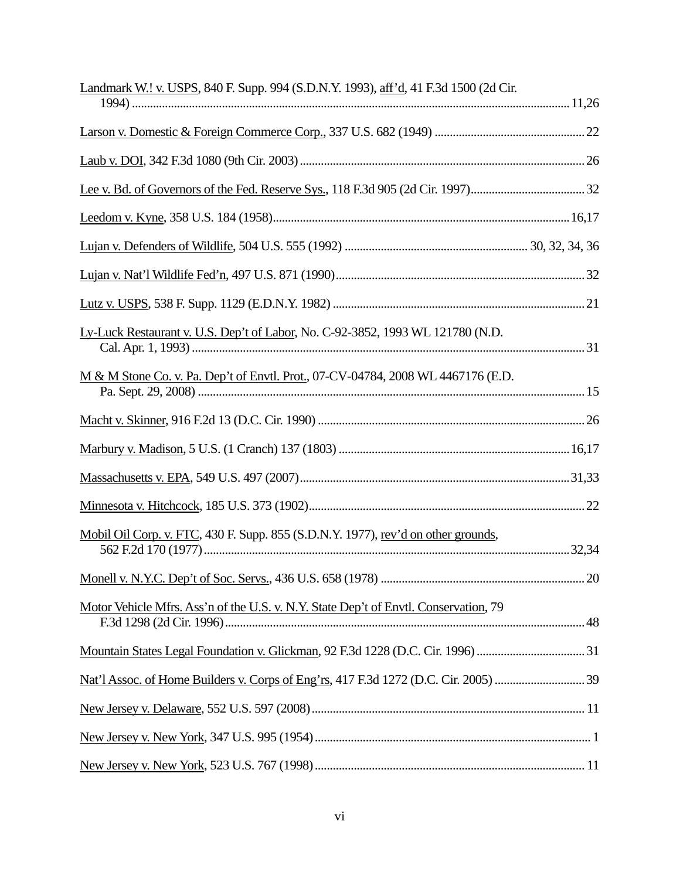| Landmark W.! v. USPS, 840 F. Supp. 994 (S.D.N.Y. 1993), aff'd, 41 F.3d 1500 (2d Cir. |  |
|--------------------------------------------------------------------------------------|--|
|                                                                                      |  |
|                                                                                      |  |
|                                                                                      |  |
|                                                                                      |  |
|                                                                                      |  |
|                                                                                      |  |
|                                                                                      |  |
| Ly-Luck Restaurant v. U.S. Dep't of Labor, No. C-92-3852, 1993 WL 121780 (N.D.       |  |
| M & M Stone Co. v. Pa. Dep't of Envtl. Prot., 07-CV-04784, 2008 WL 4467176 (E.D.     |  |
|                                                                                      |  |
|                                                                                      |  |
|                                                                                      |  |
|                                                                                      |  |
| Mobil Oil Corp. v. FTC, 430 F. Supp. 855 (S.D.N.Y. 1977), rev'd on other grounds,    |  |
|                                                                                      |  |
| Motor Vehicle Mfrs. Ass'n of the U.S. v. N.Y. State Dep't of Envtl. Conservation, 79 |  |
| Mountain States Legal Foundation v. Glickman, 92 F.3d 1228 (D.C. Cir. 1996)  31      |  |
|                                                                                      |  |
|                                                                                      |  |
|                                                                                      |  |
|                                                                                      |  |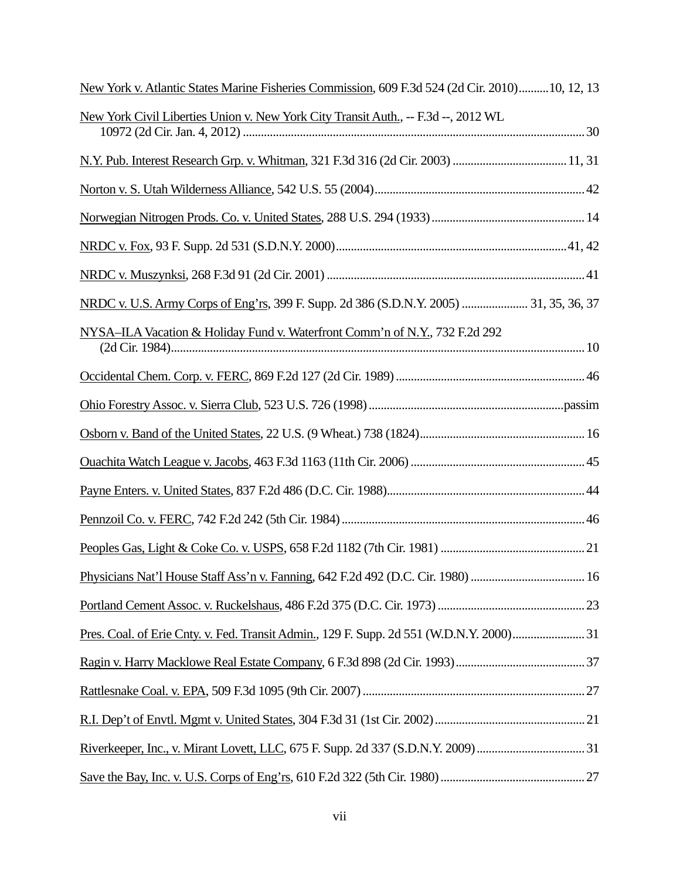| New York v. Atlantic States Marine Fisheries Commission, 609 F.3d 524 (2d Cir. 2010)10, 12, 13 |  |
|------------------------------------------------------------------------------------------------|--|
| New York Civil Liberties Union v. New York City Transit Auth., -- F.3d --, 2012 WL             |  |
|                                                                                                |  |
|                                                                                                |  |
|                                                                                                |  |
|                                                                                                |  |
|                                                                                                |  |
| NRDC v. U.S. Army Corps of Eng'rs, 399 F. Supp. 2d 386 (S.D.N.Y. 2005)  31, 35, 36, 37         |  |
| NYSA-ILA Vacation & Holiday Fund v. Waterfront Comm'n of N.Y., 732 F.2d 292                    |  |
|                                                                                                |  |
|                                                                                                |  |
|                                                                                                |  |
|                                                                                                |  |
|                                                                                                |  |
|                                                                                                |  |
|                                                                                                |  |
| Physicians Nat'l House Staff Ass'n v. Fanning, 642 F.2d 492 (D.C. Cir. 1980)  16               |  |
|                                                                                                |  |
| Pres. Coal. of Erie Cnty. v. Fed. Transit Admin., 129 F. Supp. 2d 551 (W.D.N.Y. 2000) 31       |  |
|                                                                                                |  |
|                                                                                                |  |
|                                                                                                |  |
|                                                                                                |  |
|                                                                                                |  |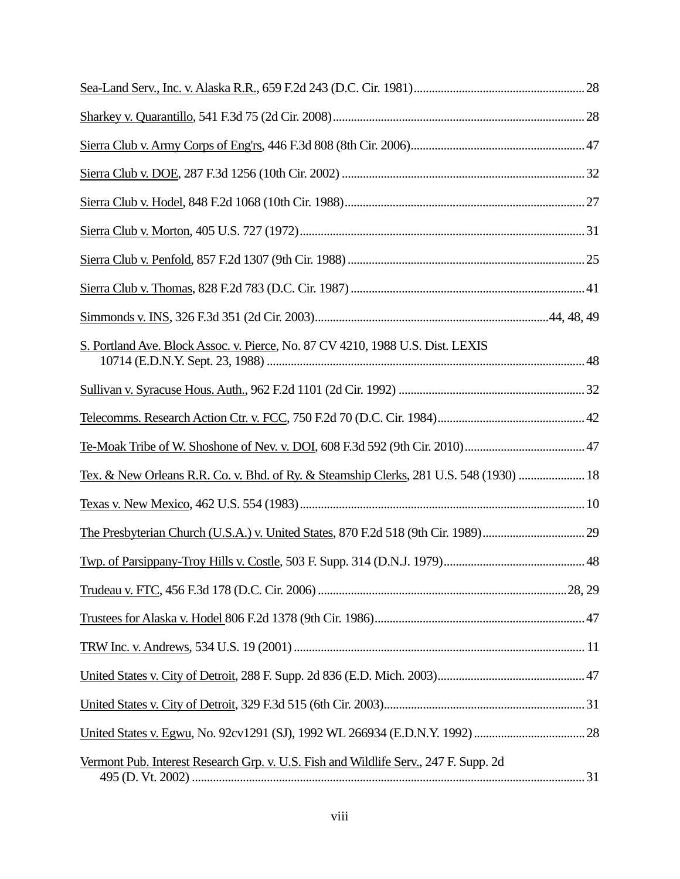| S. Portland Ave. Block Assoc. v. Pierce, No. 87 CV 4210, 1988 U.S. Dist. LEXIS         |  |
|----------------------------------------------------------------------------------------|--|
|                                                                                        |  |
|                                                                                        |  |
|                                                                                        |  |
| Tex. & New Orleans R.R. Co. v. Bhd. of Ry. & Steamship Clerks, 281 U.S. 548 (1930)  18 |  |
|                                                                                        |  |
|                                                                                        |  |
|                                                                                        |  |
|                                                                                        |  |
|                                                                                        |  |
|                                                                                        |  |
|                                                                                        |  |
|                                                                                        |  |
|                                                                                        |  |
| Vermont Pub. Interest Research Grp. v. U.S. Fish and Wildlife Serv., 247 F. Supp. 2d   |  |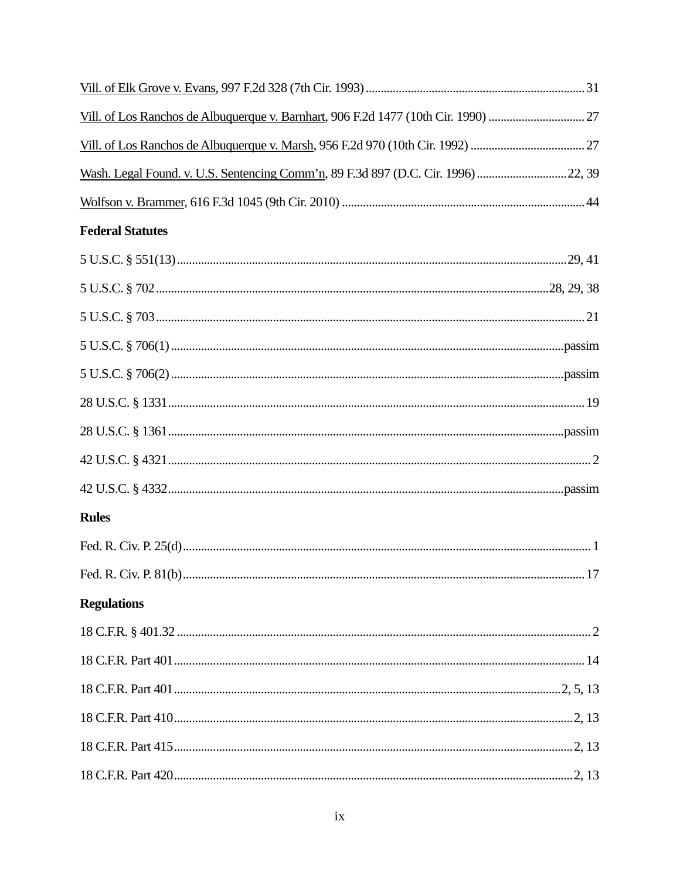| Vill. of Los Ranchos de Albuquerque v. Barnhart, 906 F.2d 1477 (10th Cir. 1990)  27 |  |
|-------------------------------------------------------------------------------------|--|
|                                                                                     |  |
| Wash. Legal Found. v. U.S. Sentencing Comm'n, 89 F.3d 897 (D.C. Cir. 1996) 22, 39   |  |
|                                                                                     |  |
| <b>Federal Statutes</b>                                                             |  |
|                                                                                     |  |
|                                                                                     |  |
|                                                                                     |  |
|                                                                                     |  |
|                                                                                     |  |
|                                                                                     |  |
|                                                                                     |  |
|                                                                                     |  |
|                                                                                     |  |
| <b>Rules</b>                                                                        |  |
|                                                                                     |  |
|                                                                                     |  |
| <b>Regulations</b>                                                                  |  |
|                                                                                     |  |
|                                                                                     |  |
|                                                                                     |  |
|                                                                                     |  |
|                                                                                     |  |
|                                                                                     |  |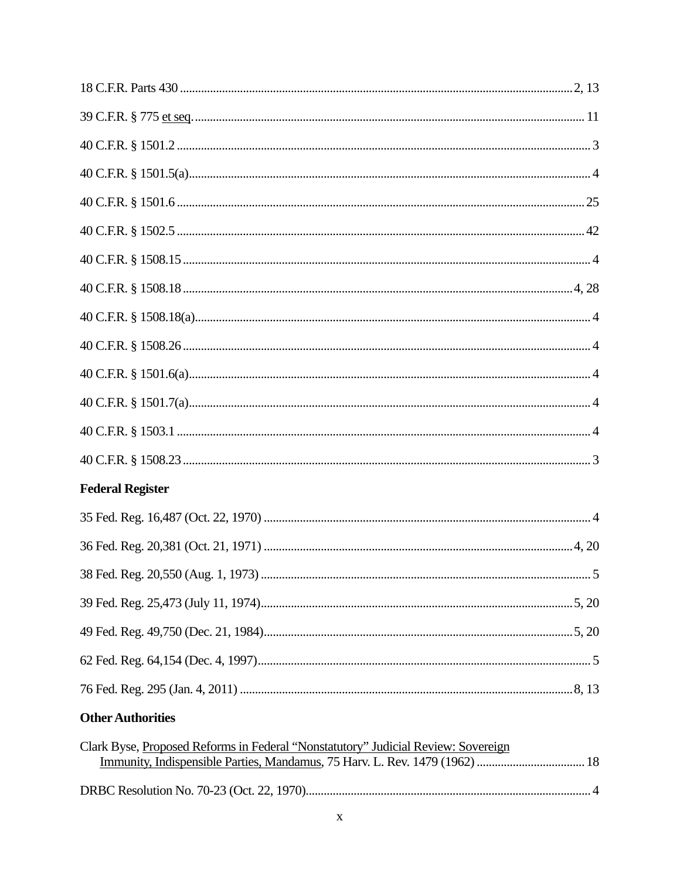| <b>Federal Register</b>                                                           |  |
|-----------------------------------------------------------------------------------|--|
|                                                                                   |  |
|                                                                                   |  |
|                                                                                   |  |
|                                                                                   |  |
|                                                                                   |  |
|                                                                                   |  |
|                                                                                   |  |
| <b>Other Authorities</b>                                                          |  |
| Clark Byse, Proposed Reforms in Federal "Nonstatutory" Judicial Review: Sovereign |  |
|                                                                                   |  |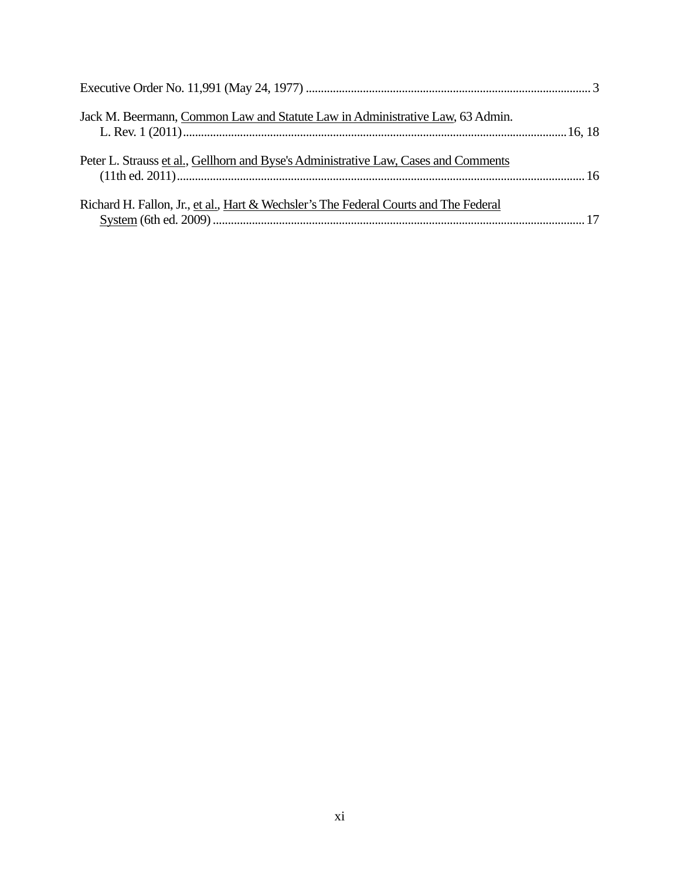| Jack M. Beermann, Common Law and Statute Law in Administrative Law, 63 Admin.        |  |
|--------------------------------------------------------------------------------------|--|
| Peter L. Strauss et al., Gellhorn and Byse's Administrative Law, Cases and Comments  |  |
| Richard H. Fallon, Jr., et al., Hart & Wechsler's The Federal Courts and The Federal |  |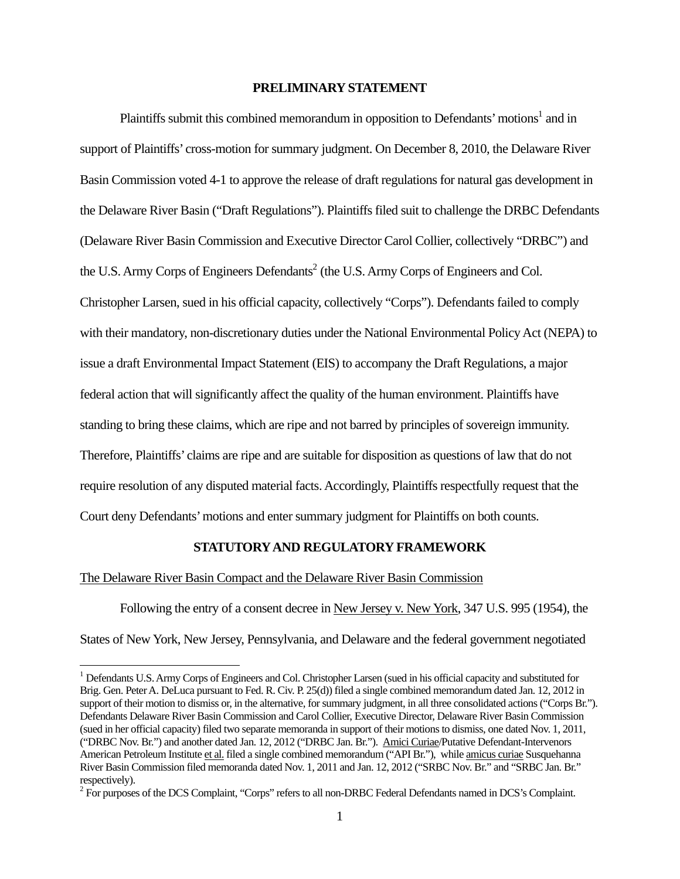### **PRELIMINARY STATEMENT**

Plaintiffs submit this combined memorandum in opposition to Defendants' motions<sup>1</sup> and in support of Plaintiffs' cross-motion for summary judgment. On December 8, 2010, the Delaware River Basin Commission voted 4-1 to approve the release of draft regulations for natural gas development in the Delaware River Basin ("Draft Regulations"). Plaintiffs filed suit to challenge the DRBC Defendants (Delaware River Basin Commission and Executive Director Carol Collier, collectively "DRBC") and the U.S. Army Corps of Engineers Defendants<sup>2</sup> (the U.S. Army Corps of Engineers and Col. Christopher Larsen, sued in his official capacity, collectively "Corps"). Defendants failed to comply with their mandatory, non-discretionary duties under the National Environmental Policy Act (NEPA) to issue a draft Environmental Impact Statement (EIS) to accompany the Draft Regulations, a major federal action that will significantly affect the quality of the human environment. Plaintiffs have standing to bring these claims, which are ripe and not barred by principles of sovereign immunity. Therefore, Plaintiffs' claims are ripe and are suitable for disposition as questions of law that do not require resolution of any disputed material facts. Accordingly, Plaintiffs respectfully request that the Court deny Defendants' motions and enter summary judgment for Plaintiffs on both counts.

#### **STATUTORY AND REGULATORY FRAMEWORK**

#### The Delaware River Basin Compact and the Delaware River Basin Commission

Following the entry of a consent decree in New Jersey v. New York, 347 U.S. 995 (1954), the States of New York, New Jersey, Pennsylvania, and Delaware and the federal government negotiated

<sup>&</sup>lt;sup>1</sup> Defendants U.S. Army Corps of Engineers and Col. Christopher Larsen (sued in his official capacity and substituted for Brig. Gen. Peter A. DeLuca pursuant to Fed. R. Civ. P. 25(d)) filed a single combined memorandum dated Jan. 12, 2012 in support of their motion to dismiss or, in the alternative, for summary judgment, in all three consolidated actions ("Corps Br."). Defendants Delaware River Basin Commission and Carol Collier, Executive Director, Delaware River Basin Commission (sued in her official capacity) filed two separate memoranda in support of their motions to dismiss, one dated Nov. 1, 2011, ("DRBC Nov. Br.") and another dated Jan. 12, 2012 ("DRBC Jan. Br."). Amici Curiae/Putative Defendant-Intervenors American Petroleum Institute et al. filed a single combined memorandum ("API Br."), while amicus curiae Susquehanna River Basin Commission filed memoranda dated Nov. 1, 2011 and Jan. 12, 2012 ("SRBC Nov. Br." and "SRBC Jan. Br." respectively).

 $2^2$  For purposes of the DCS Complaint, "Corps" refers to all non-DRBC Federal Defendants named in DCS's Complaint.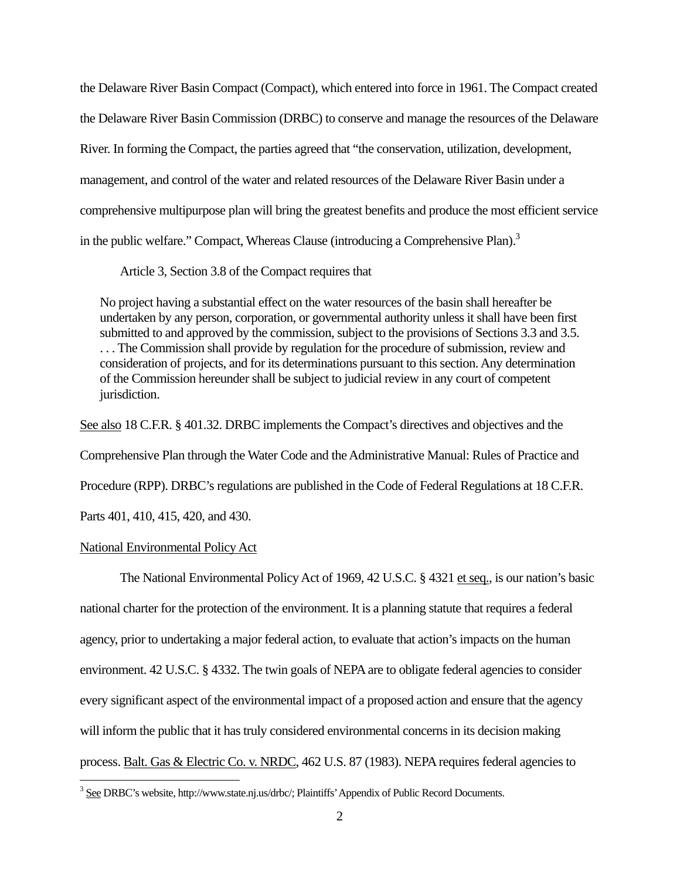the Delaware River Basin Compact (Compact), which entered into force in 1961. The Compact created the Delaware River Basin Commission (DRBC) to conserve and manage the resources of the Delaware River. In forming the Compact, the parties agreed that "the conservation, utilization, development, management, and control of the water and related resources of the Delaware River Basin under a comprehensive multipurpose plan will bring the greatest benefits and produce the most efficient service in the public welfare." Compact, Whereas Clause (introducing a Comprehensive Plan).<sup>3</sup>

Article 3, Section 3.8 of the Compact requires that

No project having a substantial effect on the water resources of the basin shall hereafter be undertaken by any person, corporation, or governmental authority unless it shall have been first submitted to and approved by the commission, subject to the provisions of Sections 3.3 and 3.5. . . . The Commission shall provide by regulation for the procedure of submission, review and consideration of projects, and for its determinations pursuant to this section. Any determination of the Commission hereunder shall be subject to judicial review in any court of competent jurisdiction.

See also 18 C.F.R. § 401.32. DRBC implements the Compact's directives and objectives and the Comprehensive Plan through the Water Code and the Administrative Manual: Rules of Practice and Procedure (RPP). DRBC's regulations are published in the Code of Federal Regulations at 18 C.F.R. Parts 401, 410, 415, 420, and 430.

#### National Environmental Policy Act

 The National Environmental Policy Act of 1969, 42 U.S.C. § 4321 et seq., is our nation's basic national charter for the protection of the environment. It is a planning statute that requires a federal agency, prior to undertaking a major federal action, to evaluate that action's impacts on the human environment. 42 U.S.C. § 4332. The twin goals of NEPA are to obligate federal agencies to consider every significant aspect of the environmental impact of a proposed action and ensure that the agency will inform the public that it has truly considered environmental concerns in its decision making process. Balt. Gas & Electric Co. v. NRDC, 462 U.S. 87 (1983). NEPA requires federal agencies to

<sup>&</sup>lt;sup>3</sup> See DRBC's website, http://www.state.nj.us/drbc/; Plaintiffs' Appendix of Public Record Documents.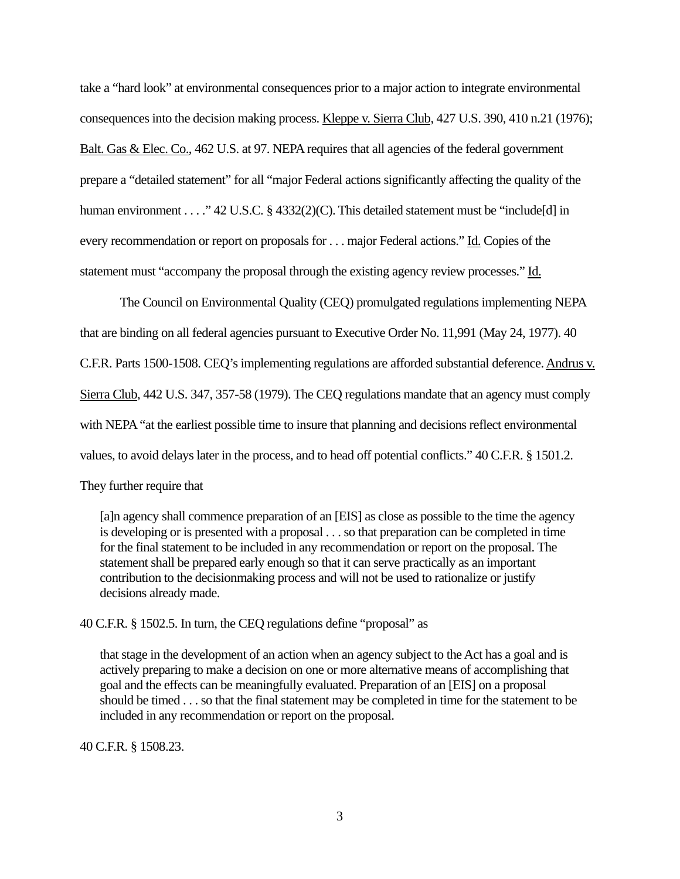take a "hard look" at environmental consequences prior to a major action to integrate environmental consequences into the decision making process. Kleppe v. Sierra Club, 427 U.S. 390, 410 n.21 (1976); Balt. Gas & Elec. Co., 462 U.S. at 97. NEPA requires that all agencies of the federal government prepare a "detailed statement" for all "major Federal actions significantly affecting the quality of the human environment . . . . "42 U.S.C. § 4332(2)(C). This detailed statement must be "include[d] in every recommendation or report on proposals for . . . major Federal actions." Id. Copies of the statement must "accompany the proposal through the existing agency review processes." Id.

The Council on Environmental Quality (CEQ) promulgated regulations implementing NEPA that are binding on all federal agencies pursuant to Executive Order No. 11,991 (May 24, 1977). 40 C.F.R. Parts 1500-1508. CEQ's implementing regulations are afforded substantial deference. Andrus v. Sierra Club, 442 U.S. 347, 357-58 (1979). The CEQ regulations mandate that an agency must comply with NEPA "at the earliest possible time to insure that planning and decisions reflect environmental values, to avoid delays later in the process, and to head off potential conflicts." 40 C.F.R. § 1501.2. They further require that

[a]n agency shall commence preparation of an [EIS] as close as possible to the time the agency is developing or is presented with a proposal . . . so that preparation can be completed in time for the final statement to be included in any recommendation or report on the proposal. The statement shall be prepared early enough so that it can serve practically as an important contribution to the decisionmaking process and will not be used to rationalize or justify decisions already made.

40 C.F.R. § 1502.5. In turn, the CEQ regulations define "proposal" as

that stage in the development of an action when an agency subject to the Act has a goal and is actively preparing to make a decision on one or more alternative means of accomplishing that goal and the effects can be meaningfully evaluated. Preparation of an [EIS] on a proposal should be timed . . . so that the final statement may be completed in time for the statement to be included in any recommendation or report on the proposal.

40 C.F.R. § 1508.23.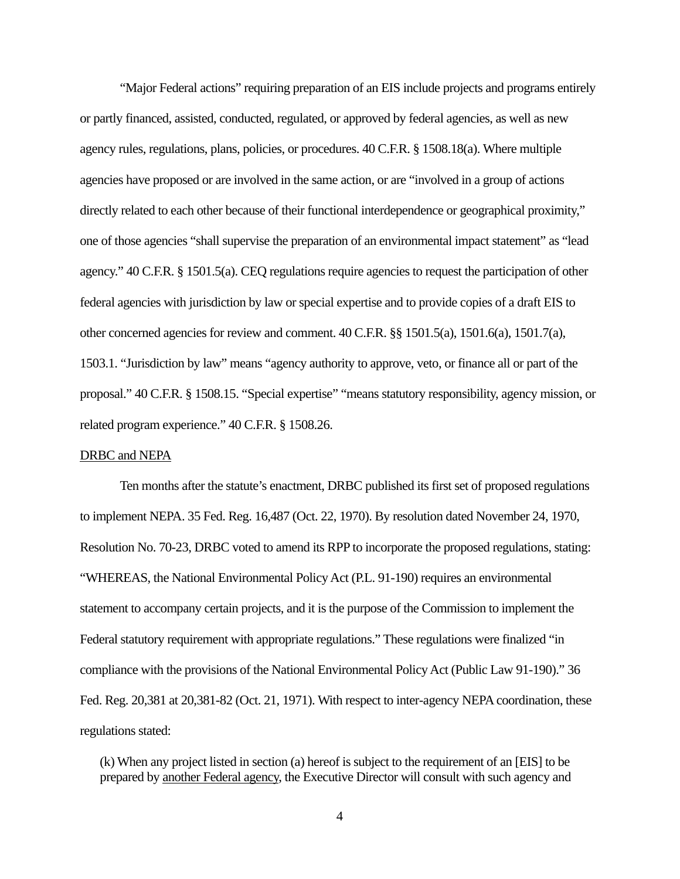"Major Federal actions" requiring preparation of an EIS include projects and programs entirely or partly financed, assisted, conducted, regulated, or approved by federal agencies, as well as new agency rules, regulations, plans, policies, or procedures. 40 C.F.R. § 1508.18(a). Where multiple agencies have proposed or are involved in the same action, or are "involved in a group of actions directly related to each other because of their functional interdependence or geographical proximity," one of those agencies "shall supervise the preparation of an environmental impact statement" as "lead agency." 40 C.F.R. § 1501.5(a). CEQ regulations require agencies to request the participation of other federal agencies with jurisdiction by law or special expertise and to provide copies of a draft EIS to other concerned agencies for review and comment. 40 C.F.R. §§ 1501.5(a), 1501.6(a), 1501.7(a), 1503.1. "Jurisdiction by law" means "agency authority to approve, veto, or finance all or part of the proposal." 40 C.F.R. § 1508.15. "Special expertise" "means statutory responsibility, agency mission, or related program experience." 40 C.F.R. § 1508.26.

#### DRBC and NEPA

 Ten months after the statute's enactment, DRBC published its first set of proposed regulations to implement NEPA. 35 Fed. Reg. 16,487 (Oct. 22, 1970). By resolution dated November 24, 1970, Resolution No. 70-23, DRBC voted to amend its RPP to incorporate the proposed regulations, stating: "WHEREAS, the National Environmental Policy Act (P.L. 91-190) requires an environmental statement to accompany certain projects, and it is the purpose of the Commission to implement the Federal statutory requirement with appropriate regulations." These regulations were finalized "in compliance with the provisions of the National Environmental Policy Act (Public Law 91-190)." 36 Fed. Reg. 20,381 at 20,381-82 (Oct. 21, 1971). With respect to inter-agency NEPA coordination, these regulations stated:

(k) When any project listed in section (a) hereof is subject to the requirement of an [EIS] to be prepared by another Federal agency, the Executive Director will consult with such agency and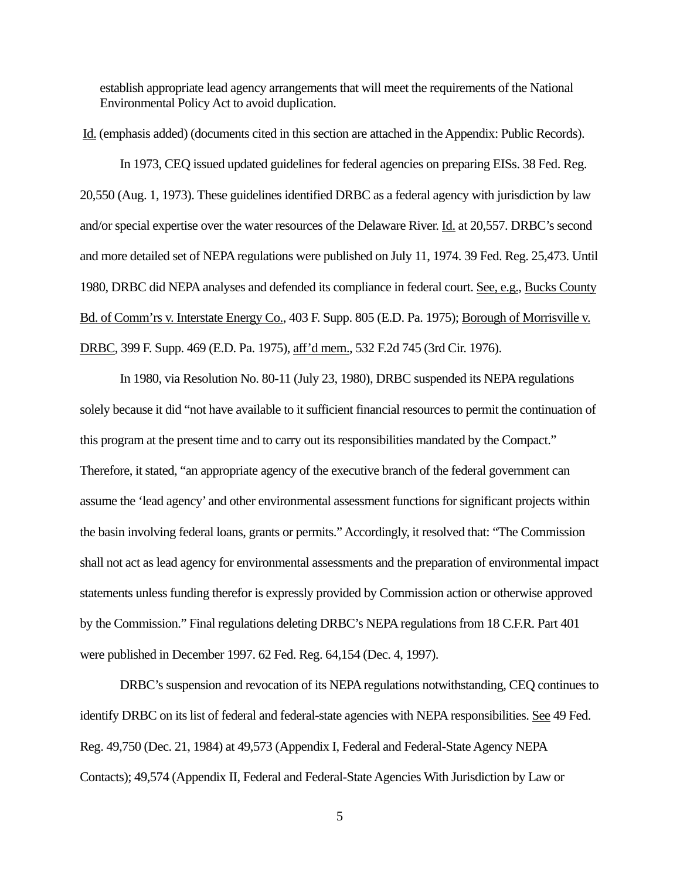establish appropriate lead agency arrangements that will meet the requirements of the National Environmental Policy Act to avoid duplication.

 Id. (emphasis added) (documents cited in this section are attached in the Appendix: Public Records). In 1973, CEQ issued updated guidelines for federal agencies on preparing EISs. 38 Fed. Reg. 20,550 (Aug. 1, 1973). These guidelines identified DRBC as a federal agency with jurisdiction by law and/or special expertise over the water resources of the Delaware River. Id. at 20,557. DRBC's second and more detailed set of NEPA regulations were published on July 11, 1974. 39 Fed. Reg. 25,473. Until 1980, DRBC did NEPA analyses and defended its compliance in federal court. See, e.g., Bucks County Bd. of Comm'rs v. Interstate Energy Co., 403 F. Supp. 805 (E.D. Pa. 1975); Borough of Morrisville v. DRBC, 399 F. Supp. 469 (E.D. Pa. 1975), aff'd mem., 532 F.2d 745 (3rd Cir. 1976).

 In 1980, via Resolution No. 80-11 (July 23, 1980), DRBC suspended its NEPA regulations solely because it did "not have available to it sufficient financial resources to permit the continuation of this program at the present time and to carry out its responsibilities mandated by the Compact." Therefore, it stated, "an appropriate agency of the executive branch of the federal government can assume the 'lead agency' and other environmental assessment functions for significant projects within the basin involving federal loans, grants or permits." Accordingly, it resolved that: "The Commission shall not act as lead agency for environmental assessments and the preparation of environmental impact statements unless funding therefor is expressly provided by Commission action or otherwise approved by the Commission." Final regulations deleting DRBC's NEPA regulations from 18 C.F.R. Part 401 were published in December 1997. 62 Fed. Reg. 64,154 (Dec. 4, 1997).

DRBC's suspension and revocation of its NEPA regulations notwithstanding, CEQ continues to identify DRBC on its list of federal and federal-state agencies with NEPA responsibilities. See 49 Fed. Reg. 49,750 (Dec. 21, 1984) at 49,573 (Appendix I, Federal and Federal-State Agency NEPA Contacts); 49,574 (Appendix II, Federal and Federal-State Agencies With Jurisdiction by Law or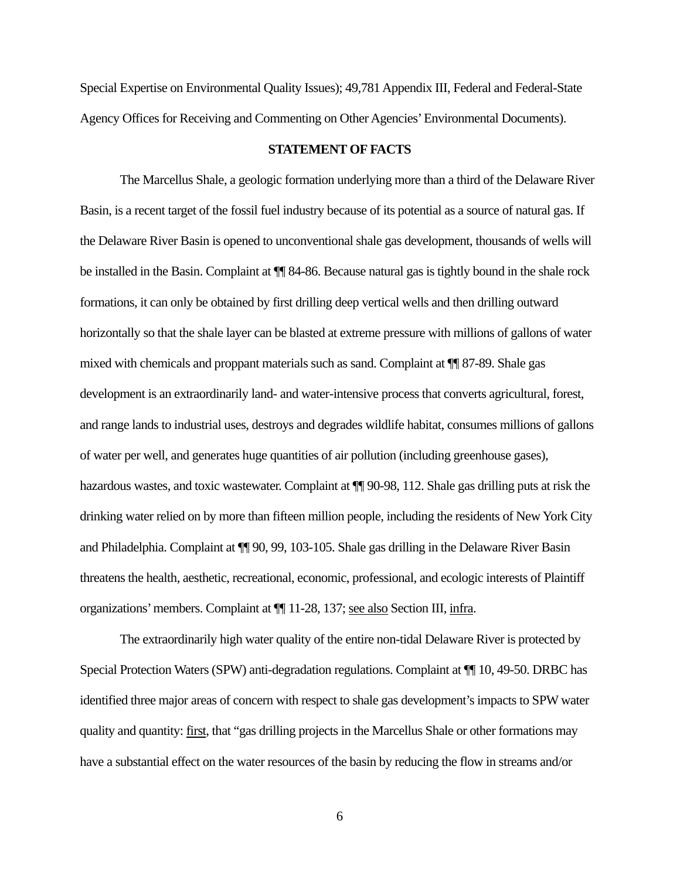Special Expertise on Environmental Quality Issues); 49,781 Appendix III, Federal and Federal-State Agency Offices for Receiving and Commenting on Other Agencies' Environmental Documents).

## **STATEMENT OF FACTS**

The Marcellus Shale, a geologic formation underlying more than a third of the Delaware River Basin, is a recent target of the fossil fuel industry because of its potential as a source of natural gas. If the Delaware River Basin is opened to unconventional shale gas development, thousands of wells will be installed in the Basin. Complaint at ¶¶ 84-86. Because natural gas is tightly bound in the shale rock formations, it can only be obtained by first drilling deep vertical wells and then drilling outward horizontally so that the shale layer can be blasted at extreme pressure with millions of gallons of water mixed with chemicals and proppant materials such as sand. Complaint at ¶¶ 87-89. Shale gas development is an extraordinarily land- and water-intensive process that converts agricultural, forest, and range lands to industrial uses, destroys and degrades wildlife habitat, consumes millions of gallons of water per well, and generates huge quantities of air pollution (including greenhouse gases), hazardous wastes, and toxic wastewater. Complaint at  $\P$  90-98, 112. Shale gas drilling puts at risk the drinking water relied on by more than fifteen million people, including the residents of New York City and Philadelphia. Complaint at ¶¶ 90, 99, 103-105. Shale gas drilling in the Delaware River Basin threatens the health, aesthetic, recreational, economic, professional, and ecologic interests of Plaintiff organizations' members. Complaint at ¶¶ 11-28, 137; see also Section III, infra.

The extraordinarily high water quality of the entire non-tidal Delaware River is protected by Special Protection Waters (SPW) anti-degradation regulations. Complaint at ¶¶ 10, 49-50. DRBC has identified three major areas of concern with respect to shale gas development's impacts to SPW water quality and quantity: first, that "gas drilling projects in the Marcellus Shale or other formations may have a substantial effect on the water resources of the basin by reducing the flow in streams and/or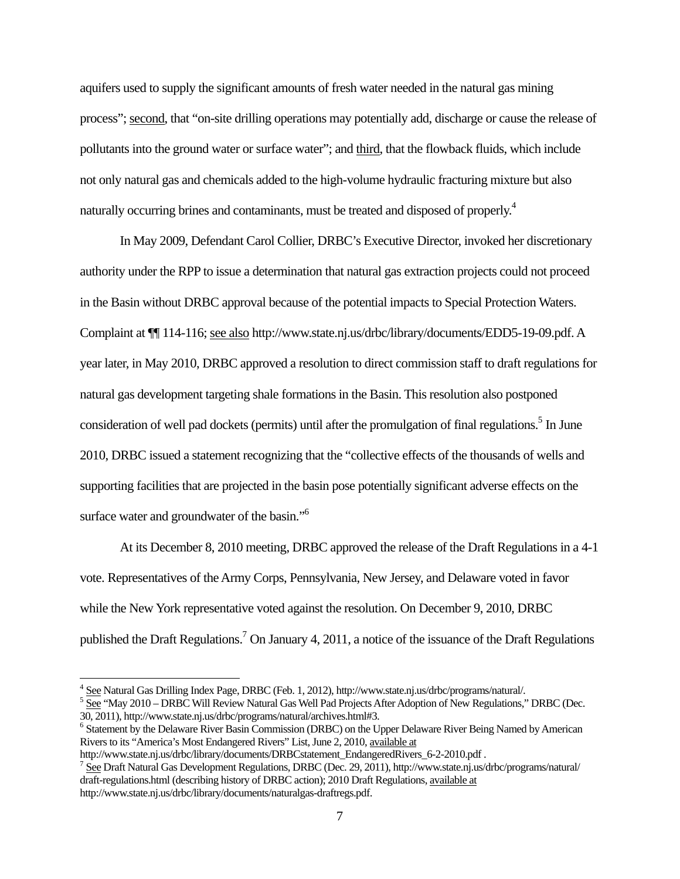aquifers used to supply the significant amounts of fresh water needed in the natural gas mining process"; second, that "on-site drilling operations may potentially add, discharge or cause the release of pollutants into the ground water or surface water"; and third, that the flowback fluids, which include not only natural gas and chemicals added to the high-volume hydraulic fracturing mixture but also naturally occurring brines and contaminants, must be treated and disposed of properly.<sup>4</sup>

In May 2009, Defendant Carol Collier, DRBC's Executive Director, invoked her discretionary authority under the RPP to issue a determination that natural gas extraction projects could not proceed in the Basin without DRBC approval because of the potential impacts to Special Protection Waters. Complaint at ¶¶ 114-116; see also http://www.state.nj.us/drbc/library/documents/EDD5-19-09.pdf. A year later, in May 2010, DRBC approved a resolution to direct commission staff to draft regulations for natural gas development targeting shale formations in the Basin. This resolution also postponed consideration of well pad dockets (permits) until after the promulgation of final regulations.<sup>5</sup> In June 2010, DRBC issued a statement recognizing that the "collective effects of the thousands of wells and supporting facilities that are projected in the basin pose potentially significant adverse effects on the surface water and groundwater of the basin."<sup>6</sup>

At its December 8, 2010 meeting, DRBC approved the release of the Draft Regulations in a 4-1 vote. Representatives of the Army Corps, Pennsylvania, New Jersey, and Delaware voted in favor while the New York representative voted against the resolution. On December 9, 2010, DRBC published the Draft Regulations.<sup>7</sup> On January 4, 2011, a notice of the issuance of the Draft Regulations

<sup>&</sup>lt;sup>4</sup> See Natural Gas Drilling Index Page, DRBC (Feb. 1, 2012), http://www.state.nj.us/drbc/programs/natural/.<br><sup>5</sup> See "May 2010 ... DRBC Will Baview Natural Gas Wall Bad Brojects A free Adoption of Naw Begulations."

 $5\frac{\text{See}}{\text{See}}$  "May 2010 – DRBC Will Review Natural Gas Well Pad Projects After Adoption of New Regulations," DRBC (Dec. 30, 2011), http://www.state.nj.us/drbc/programs/natural/archives.html#3.

<sup>&</sup>lt;sup>6</sup> Statement by the Delaware River Basin Commission (DRBC) on the Upper Delaware River Being Named by American Rivers to its "America's Most Endangered Rivers" List, June 2, 2010, available at

http://www.state.nj.us/drbc/library/documents/DRBCstatement\_EndangeredRivers\_6-2-2010.pdf .

<sup>&</sup>lt;sup>7</sup> See Draft Natural Gas Development Regulations, DRBC (Dec. 29, 2011), http://www.state.nj.us/drbc/programs/natural/ draft-regulations.html (describing history of DRBC action); 2010 Draft Regulations, available at http://www.state.nj.us/drbc/library/documents/naturalgas-draftregs.pdf.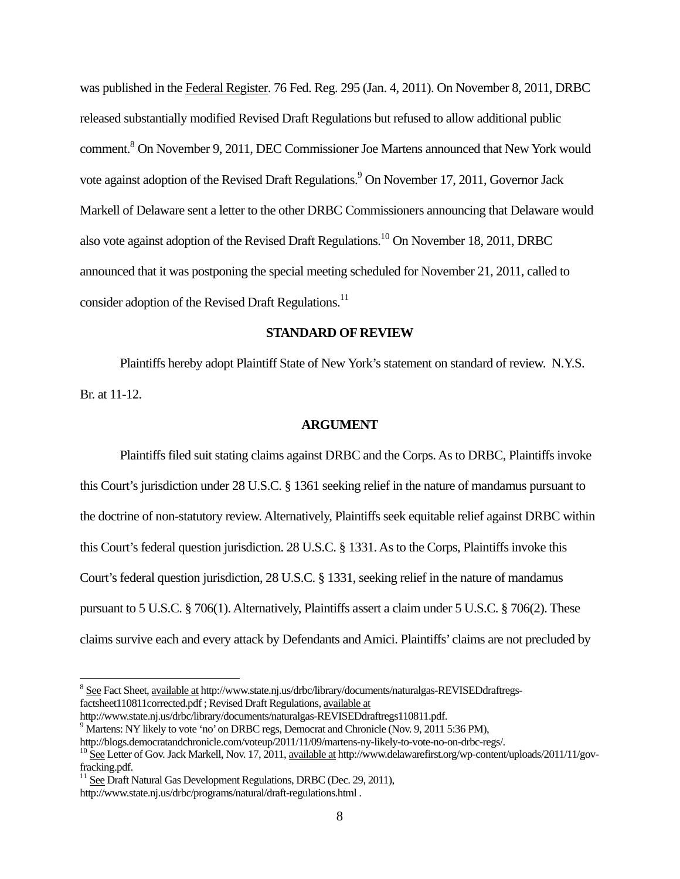was published in the Federal Register. 76 Fed. Reg. 295 (Jan. 4, 2011). On November 8, 2011, DRBC released substantially modified Revised Draft Regulations but refused to allow additional public comment.<sup>8</sup> On November 9, 2011, DEC Commissioner Joe Martens announced that New York would vote against adoption of the Revised Draft Regulations.<sup>9</sup> On November 17, 2011, Governor Jack Markell of Delaware sent a letter to the other DRBC Commissioners announcing that Delaware would also vote against adoption of the Revised Draft Regulations.10 On November 18, 2011, DRBC announced that it was postponing the special meeting scheduled for November 21, 2011, called to consider adoption of the Revised Draft Regulations.<sup>11</sup>

## **STANDARD OF REVIEW**

Plaintiffs hereby adopt Plaintiff State of New York's statement on standard of review. N.Y.S. Br. at 11-12.

#### **ARGUMENT**

Plaintiffs filed suit stating claims against DRBC and the Corps. As to DRBC, Plaintiffs invoke this Court's jurisdiction under 28 U.S.C. § 1361 seeking relief in the nature of mandamus pursuant to the doctrine of non-statutory review. Alternatively, Plaintiffs seek equitable relief against DRBC within this Court's federal question jurisdiction. 28 U.S.C. § 1331. As to the Corps, Plaintiffs invoke this Court's federal question jurisdiction, 28 U.S.C. § 1331, seeking relief in the nature of mandamus pursuant to 5 U.S.C. § 706(1). Alternatively, Plaintiffs assert a claim under 5 U.S.C. § 706(2). These claims survive each and every attack by Defendants and Amici. Plaintiffs' claims are not precluded by

http://www.state.nj.us/drbc/library/documents/naturalgas-REVISEDdraftregs110811.pdf. 9 <sup>9</sup> Martens: NY likely to vote 'no' on DRBC regs, Democrat and Chronicle (Nov. 9, 2011 5:36 PM),

 $^8$  See Fact Sheet, <u>available at</u> http://www.state.nj.us/drbc/library/documents/naturalgas-REVISEDdraftregsfactsheet110811corrected.pdf ; Revised Draft Regulations, available at

http://blogs.democratandchronicle.com/voteup/2011/11/09/martens-ny-likely-to-vote-no-on-drbc-regs/.<br><sup>10</sup> See Letter of Gov. Jack Markell, Nov. 17, 2011, available at http://www.delawarefirst.org/wp-content/uploads/2011/11/ fracking.pdf.

<sup>&</sup>lt;sup>11</sup> See Draft Natural Gas Development Regulations, DRBC (Dec. 29, 2011),

http://www.state.nj.us/drbc/programs/natural/draft-regulations.html .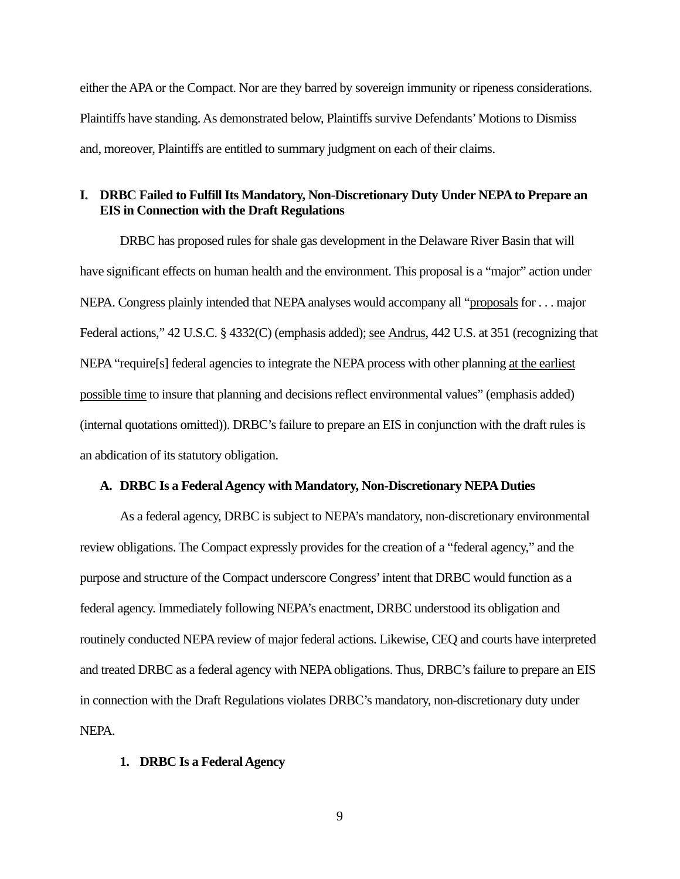either the APA or the Compact. Nor are they barred by sovereign immunity or ripeness considerations. Plaintiffs have standing. As demonstrated below, Plaintiffs survive Defendants' Motions to Dismiss and, moreover, Plaintiffs are entitled to summary judgment on each of their claims.

# **I. DRBC Failed to Fulfill Its Mandatory, Non-Discretionary Duty Under NEPA to Prepare an EIS in Connection with the Draft Regulations**

DRBC has proposed rules for shale gas development in the Delaware River Basin that will have significant effects on human health and the environment. This proposal is a "major" action under NEPA. Congress plainly intended that NEPA analyses would accompany all "proposals for . . . major Federal actions," 42 U.S.C. § 4332(C) (emphasis added); see Andrus, 442 U.S. at 351 (recognizing that NEPA "require[s] federal agencies to integrate the NEPA process with other planning at the earliest possible time to insure that planning and decisions reflect environmental values" (emphasis added) (internal quotations omitted)). DRBC's failure to prepare an EIS in conjunction with the draft rules is an abdication of its statutory obligation.

#### **A. DRBC Is a Federal Agency with Mandatory, Non-Discretionary NEPA Duties**

As a federal agency, DRBC is subject to NEPA's mandatory, non-discretionary environmental review obligations. The Compact expressly provides for the creation of a "federal agency," and the purpose and structure of the Compact underscore Congress' intent that DRBC would function as a federal agency. Immediately following NEPA's enactment, DRBC understood its obligation and routinely conducted NEPA review of major federal actions. Likewise, CEQ and courts have interpreted and treated DRBC as a federal agency with NEPA obligations. Thus, DRBC's failure to prepare an EIS in connection with the Draft Regulations violates DRBC's mandatory, non-discretionary duty under NEPA.

#### **1. DRBC Is a Federal Agency**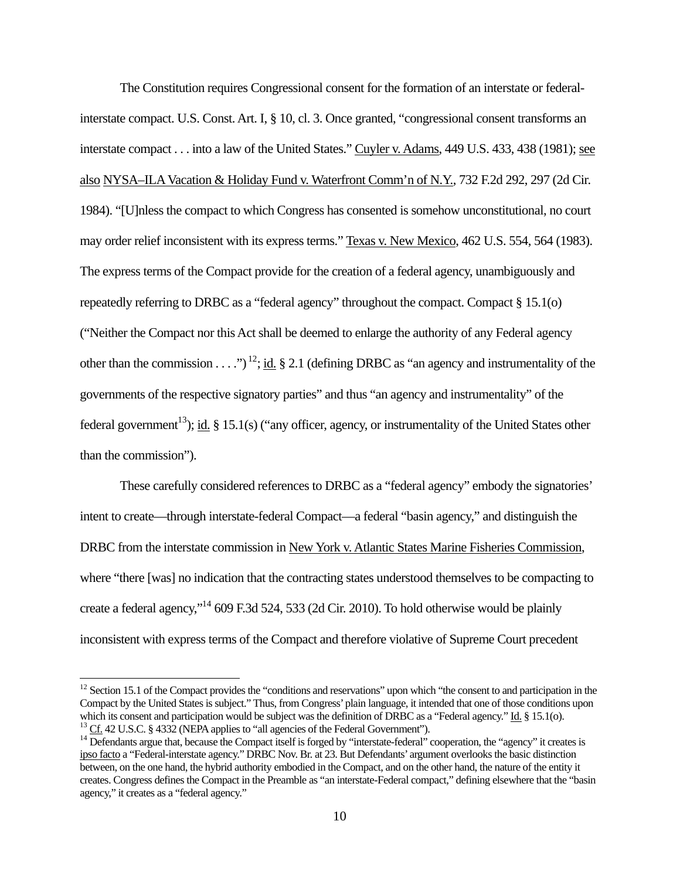The Constitution requires Congressional consent for the formation of an interstate or federalinterstate compact. U.S. Const. Art. I, § 10, cl. 3. Once granted, "congressional consent transforms an interstate compact . . . into a law of the United States." Cuyler v. Adams, 449 U.S. 433, 438 (1981); see also NYSA–ILA Vacation & Holiday Fund v. Waterfront Comm'n of N.Y., 732 F.2d 292, 297 (2d Cir. 1984). "[U]nless the compact to which Congress has consented is somehow unconstitutional, no court may order relief inconsistent with its express terms." Texas v. New Mexico, 462 U.S. 554, 564 (1983). The express terms of the Compact provide for the creation of a federal agency, unambiguously and repeatedly referring to DRBC as a "federal agency" throughout the compact. Compact § 15.1(o) ("Neither the Compact nor this Act shall be deemed to enlarge the authority of any Federal agency other than the commission . . . .")<sup>12</sup>; id. § 2.1 (defining DRBC as "an agency and instrumentality of the governments of the respective signatory parties" and thus "an agency and instrumentality" of the federal government<sup>13</sup>); id. § 15.1(s) ("any officer, agency, or instrumentality of the United States other than the commission").

These carefully considered references to DRBC as a "federal agency" embody the signatories' intent to create—through interstate-federal Compact—a federal "basin agency," and distinguish the DRBC from the interstate commission in New York v. Atlantic States Marine Fisheries Commission, where "there [was] no indication that the contracting states understood themselves to be compacting to create a federal agency,"14 609 F.3d 524, 533 (2d Cir. 2010). To hold otherwise would be plainly inconsistent with express terms of the Compact and therefore violative of Supreme Court precedent

 $12$  Section 15.1 of the Compact provides the "conditions and reservations" upon which "the consent to and participation in the Compact by the United States is subject." Thus, from Congress' plain language, it intended that one of those conditions upon which its consent and participation would be subject was the definition of DRBC as a "Federal age

 $^{13}$  Cf. 42 U.S.C. § 4332 (NEPA applies to "all agencies of the Federal Government").<br><sup>14</sup> Defendants argue that, because the Compact itself is forged by "interstate-federal" cooperation, the "agency" it creates is ipso facto a "Federal-interstate agency." DRBC Nov. Br. at 23. But Defendants' argument overlooks the basic distinction between, on the one hand, the hybrid authority embodied in the Compact, and on the other hand, the nature of the entity it creates. Congress defines the Compact in the Preamble as "an interstate-Federal compact," defining elsewhere that the "basin agency," it creates as a "federal agency."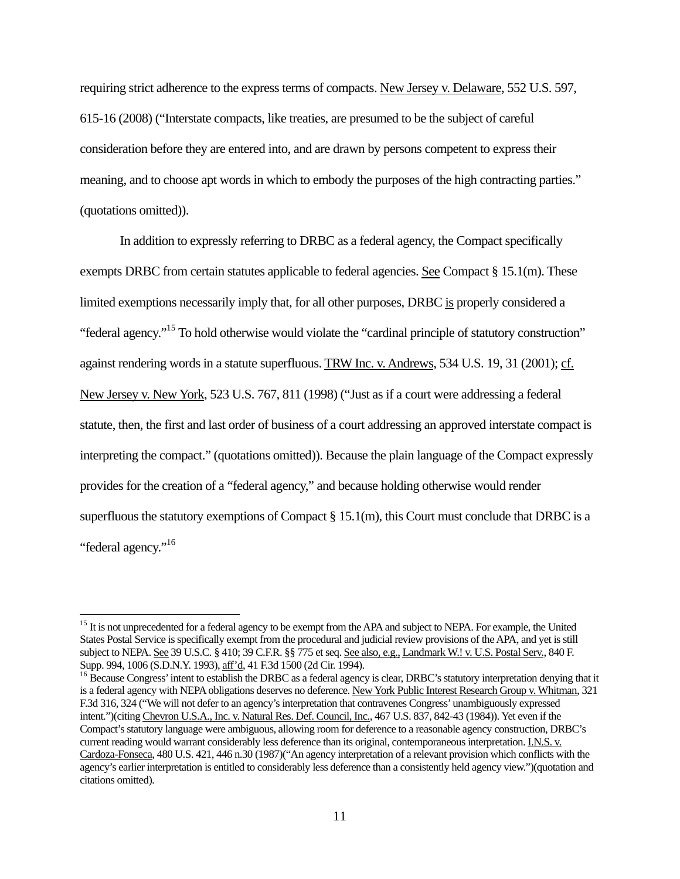requiring strict adherence to the express terms of compacts. New Jersey v. Delaware, 552 U.S. 597, 615-16 (2008) ("Interstate compacts, like treaties, are presumed to be the subject of careful consideration before they are entered into, and are drawn by persons competent to express their meaning, and to choose apt words in which to embody the purposes of the high contracting parties." (quotations omitted)).

In addition to expressly referring to DRBC as a federal agency, the Compact specifically exempts DRBC from certain statutes applicable to federal agencies. See Compact  $\S 15.1(m)$ . These limited exemptions necessarily imply that, for all other purposes, DRBC is properly considered a "federal agency."15 To hold otherwise would violate the "cardinal principle of statutory construction" against rendering words in a statute superfluous. TRW Inc. v. Andrews, 534 U.S. 19, 31 (2001); cf. New Jersey v. New York, 523 U.S. 767, 811 (1998) ("Just as if a court were addressing a federal statute, then, the first and last order of business of a court addressing an approved interstate compact is interpreting the compact." (quotations omitted)). Because the plain language of the Compact expressly provides for the creation of a "federal agency," and because holding otherwise would render superfluous the statutory exemptions of Compact § 15.1(m), this Court must conclude that DRBC is a "federal agency."16

<sup>&</sup>lt;sup>15</sup> It is not unprecedented for a federal agency to be exempt from the APA and subject to NEPA. For example, the United States Postal Service is specifically exempt from the procedural and judicial review provisions of the APA, and yet is still subject to NEPA. See 39 U.S.C. § 410; 39 C.F.R. §§ 775 et seq. See also, e.g., Landmark W.! v. U.S. Postal Serv., 840 F. Supp. 994, 1006 (S.D.N.Y. 1993), aff'd, 41 F.3d 1500 (2d Cir. 1994).

<sup>&</sup>lt;sup>16</sup> Because Congress' intent to establish the DRBC as a federal agency is clear, DRBC's statutory interpretation denying that it is a federal agency with NEPA obligations deserves no deference. New York Public Interest Research Group v. Whitman, 321 F.3d 316, 324 ("We will not defer to an agency's interpretation that contravenes Congress' unambiguously expressed intent.")(citing Chevron U.S.A., Inc. v. Natural Res. Def. Council, Inc., 467 U.S. 837, 842-43 (1984)). Yet even if the Compact's statutory language were ambiguous, allowing room for deference to a reasonable agency construction, DRBC's current reading would warrant considerably less deference than its original, contemporaneous interpretation. I.N.S. v. Cardoza-Fonseca, 480 U.S. 421, 446 n.30 (1987)("An agency interpretation of a relevant provision which conflicts with the agency's earlier interpretation is entitled to considerably less deference than a consistently held agency view.")(quotation and citations omitted).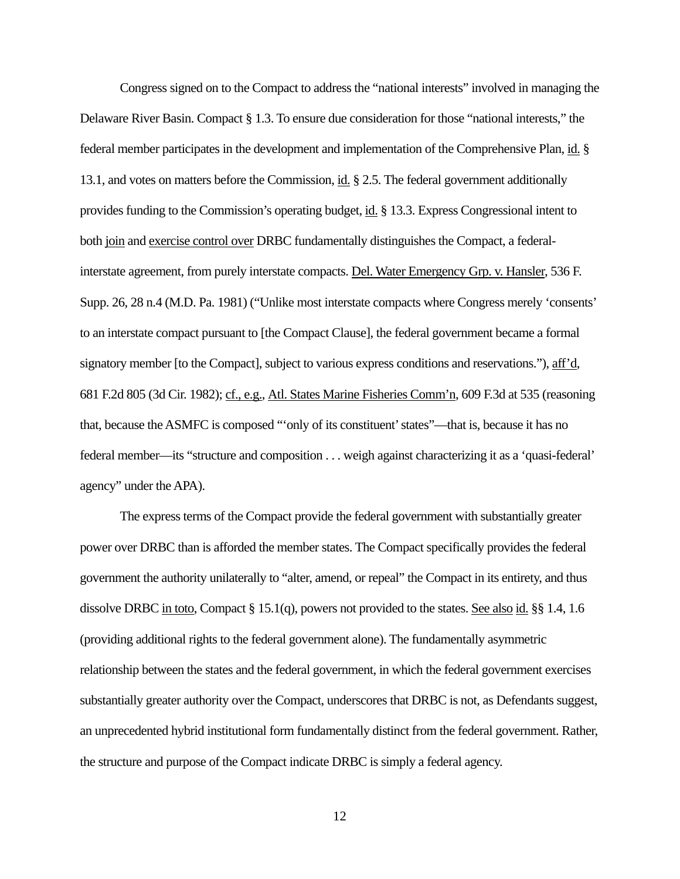Congress signed on to the Compact to address the "national interests" involved in managing the Delaware River Basin. Compact § 1.3. To ensure due consideration for those "national interests," the federal member participates in the development and implementation of the Comprehensive Plan, id. § 13.1, and votes on matters before the Commission, id. § 2.5. The federal government additionally provides funding to the Commission's operating budget, id. § 13.3. Express Congressional intent to both join and exercise control over DRBC fundamentally distinguishes the Compact, a federalinterstate agreement, from purely interstate compacts. Del. Water Emergency Grp. v. Hansler, 536 F. Supp. 26, 28 n.4 (M.D. Pa. 1981) ("Unlike most interstate compacts where Congress merely 'consents' to an interstate compact pursuant to [the Compact Clause], the federal government became a formal signatory member [to the Compact], subject to various express conditions and reservations."), aff'd, 681 F.2d 805 (3d Cir. 1982); cf., e.g., Atl. States Marine Fisheries Comm'n, 609 F.3d at 535 (reasoning that, because the ASMFC is composed "'only of its constituent' states"—that is, because it has no federal member—its "structure and composition . . . weigh against characterizing it as a 'quasi-federal' agency" under the APA).

The express terms of the Compact provide the federal government with substantially greater power over DRBC than is afforded the member states. The Compact specifically provides the federal government the authority unilaterally to "alter, amend, or repeal" the Compact in its entirety, and thus dissolve DRBC in toto, Compact § 15.1(q), powers not provided to the states. See also id. §§ 1.4, 1.6 (providing additional rights to the federal government alone). The fundamentally asymmetric relationship between the states and the federal government, in which the federal government exercises substantially greater authority over the Compact, underscores that DRBC is not, as Defendants suggest, an unprecedented hybrid institutional form fundamentally distinct from the federal government. Rather, the structure and purpose of the Compact indicate DRBC is simply a federal agency.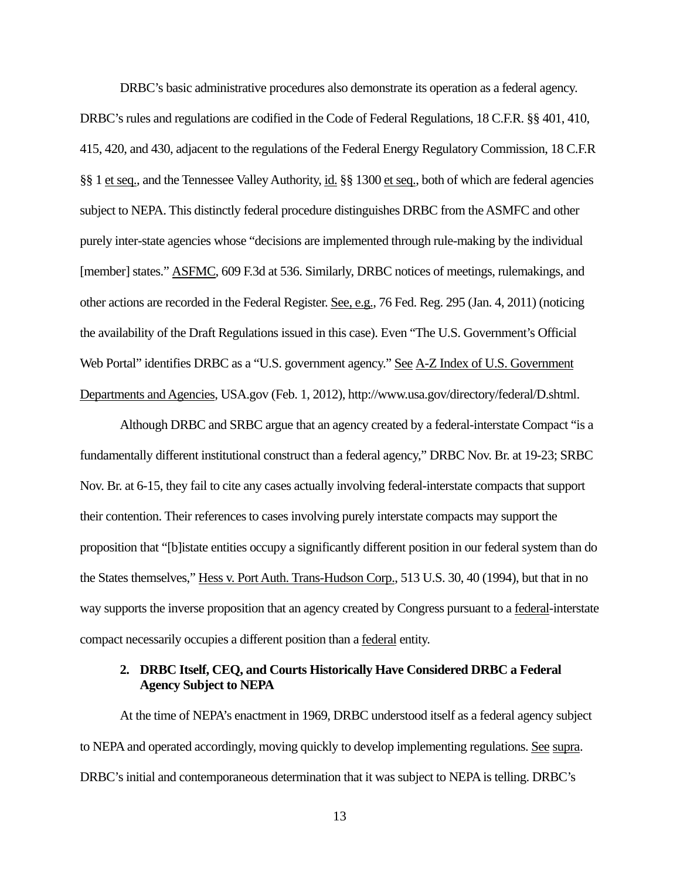DRBC's basic administrative procedures also demonstrate its operation as a federal agency. DRBC's rules and regulations are codified in the Code of Federal Regulations, 18 C.F.R. §§ 401, 410, 415, 420, and 430, adjacent to the regulations of the Federal Energy Regulatory Commission, 18 C.F.R §§ 1 et seq., and the Tennessee Valley Authority, id. §§ 1300 et seq., both of which are federal agencies subject to NEPA. This distinctly federal procedure distinguishes DRBC from the ASMFC and other purely inter-state agencies whose "decisions are implemented through rule-making by the individual [member] states." ASFMC, 609 F.3d at 536. Similarly, DRBC notices of meetings, rulemakings, and other actions are recorded in the Federal Register. See, e.g., 76 Fed. Reg. 295 (Jan. 4, 2011) (noticing the availability of the Draft Regulations issued in this case). Even "The U.S. Government's Official Web Portal" identifies DRBC as a "U.S. government agency." See A-Z Index of U.S. Government Departments and Agencies, USA.gov (Feb. 1, 2012), http://www.usa.gov/directory/federal/D.shtml.

Although DRBC and SRBC argue that an agency created by a federal-interstate Compact "is a fundamentally different institutional construct than a federal agency," DRBC Nov. Br. at 19-23; SRBC Nov. Br. at 6-15, they fail to cite any cases actually involving federal-interstate compacts that support their contention. Their references to cases involving purely interstate compacts may support the proposition that "[b]istate entities occupy a significantly different position in our federal system than do the States themselves," Hess v. Port Auth. Trans-Hudson Corp., 513 U.S. 30, 40 (1994), but that in no way supports the inverse proposition that an agency created by Congress pursuant to a federal-interstate compact necessarily occupies a different position than a federal entity.

## **2. DRBC Itself, CEQ, and Courts Historically Have Considered DRBC a Federal Agency Subject to NEPA**

At the time of NEPA's enactment in 1969, DRBC understood itself as a federal agency subject to NEPA and operated accordingly, moving quickly to develop implementing regulations. See supra. DRBC's initial and contemporaneous determination that it was subject to NEPA is telling. DRBC's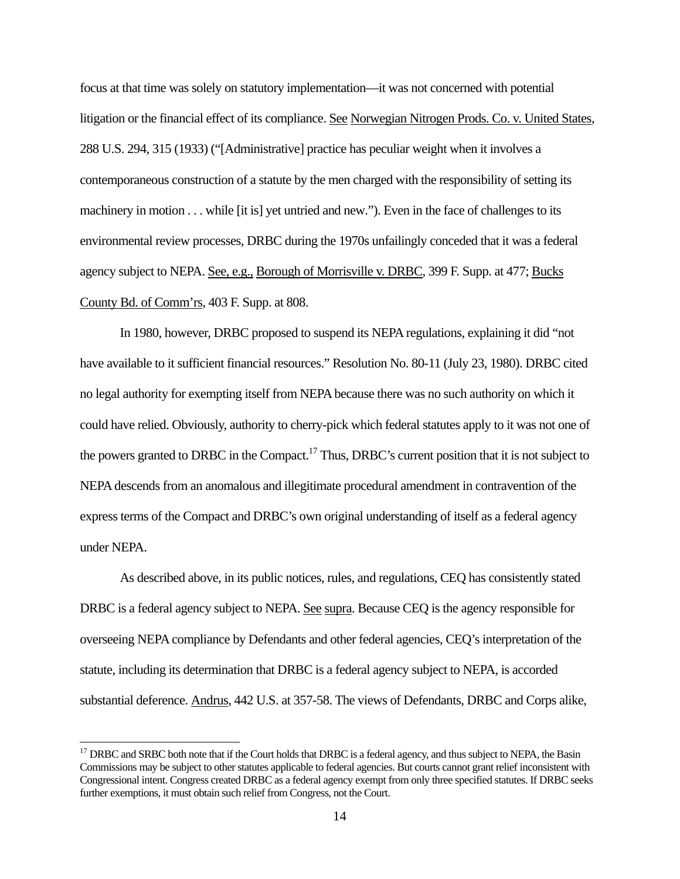focus at that time was solely on statutory implementation—it was not concerned with potential litigation or the financial effect of its compliance. See Norwegian Nitrogen Prods. Co. v. United States, 288 U.S. 294, 315 (1933) ("[Administrative] practice has peculiar weight when it involves a contemporaneous construction of a statute by the men charged with the responsibility of setting its machinery in motion . . . while [it is] yet untried and new."). Even in the face of challenges to its environmental review processes, DRBC during the 1970s unfailingly conceded that it was a federal agency subject to NEPA. See, e.g., Borough of Morrisville v. DRBC, 399 F. Supp. at 477; Bucks County Bd. of Comm'rs, 403 F. Supp. at 808.

In 1980, however, DRBC proposed to suspend its NEPA regulations, explaining it did "not have available to it sufficient financial resources." Resolution No. 80-11 (July 23, 1980). DRBC cited no legal authority for exempting itself from NEPA because there was no such authority on which it could have relied. Obviously, authority to cherry-pick which federal statutes apply to it was not one of the powers granted to DRBC in the Compact.<sup>17</sup> Thus, DRBC's current position that it is not subject to NEPA descends from an anomalous and illegitimate procedural amendment in contravention of the express terms of the Compact and DRBC's own original understanding of itself as a federal agency under NEPA.

As described above, in its public notices, rules, and regulations, CEQ has consistently stated DRBC is a federal agency subject to NEPA. See supra. Because CEQ is the agency responsible for overseeing NEPA compliance by Defendants and other federal agencies, CEQ's interpretation of the statute, including its determination that DRBC is a federal agency subject to NEPA, is accorded substantial deference. Andrus, 442 U.S. at 357-58. The views of Defendants, DRBC and Corps alike,

<sup>&</sup>lt;sup>17</sup> DRBC and SRBC both note that if the Court holds that DRBC is a federal agency, and thus subject to NEPA, the Basin Commissions may be subject to other statutes applicable to federal agencies. But courts cannot grant relief inconsistent with Congressional intent. Congress created DRBC as a federal agency exempt from only three specified statutes. If DRBC seeks further exemptions, it must obtain such relief from Congress, not the Court.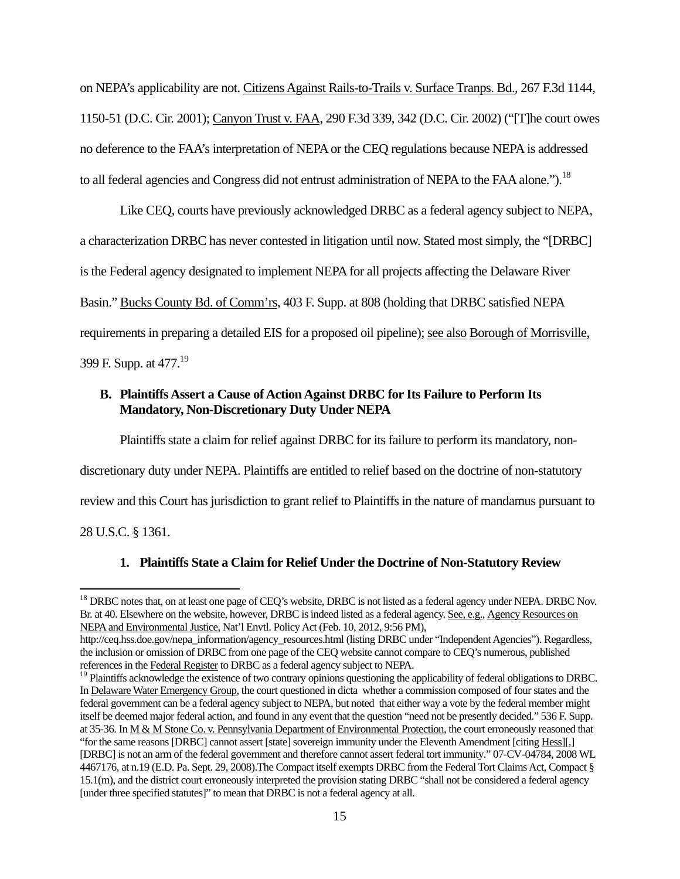on NEPA's applicability are not. Citizens Against Rails-to-Trails v. Surface Tranps. Bd., 267 F.3d 1144, 1150-51 (D.C. Cir. 2001); Canyon Trust v. FAA, 290 F.3d 339, 342 (D.C. Cir. 2002) ("[T]he court owes no deference to the FAA's interpretation of NEPA or the CEQ regulations because NEPA is addressed to all federal agencies and Congress did not entrust administration of NEPA to the FAA alone.").<sup>18</sup>

Like CEQ, courts have previously acknowledged DRBC as a federal agency subject to NEPA, a characterization DRBC has never contested in litigation until now. Stated most simply, the "[DRBC] is the Federal agency designated to implement NEPA for all projects affecting the Delaware River Basin." Bucks County Bd. of Comm'rs, 403 F. Supp. at 808 (holding that DRBC satisfied NEPA requirements in preparing a detailed EIS for a proposed oil pipeline); see also Borough of Morrisville, 399 F. Supp. at 477.19

# **B. Plaintiffs Assert a Cause of Action Against DRBC for Its Failure to Perform Its Mandatory, Non-Discretionary Duty Under NEPA**

Plaintiffs state a claim for relief against DRBC for its failure to perform its mandatory, non-

discretionary duty under NEPA. Plaintiffs are entitled to relief based on the doctrine of non-statutory

review and this Court has jurisdiction to grant relief to Plaintiffs in the nature of mandamus pursuant to

28 U.S.C. § 1361.

# **1. Plaintiffs State a Claim for Relief Under the Doctrine of Non-Statutory Review**

<sup>&</sup>lt;sup>18</sup> DRBC notes that, on at least one page of CEQ's website, DRBC is not listed as a federal agency under NEPA. DRBC Nov. Br. at 40. Elsewhere on the website, however, DRBC is indeed listed as a federal agency. See, e.g., Agency Resources on NEPA and Environmental Justice, Nat'l Envtl. Policy Act (Feb. 10, 2012, 9:56 PM),

http://ceq.hss.doe.gov/nepa\_information/agency\_resources.html (listing DRBC under "Independent Agencies"). Regardless, the inclusion or omission of DRBC from one page of the CEQ website cannot compare to CEQ's numerous, published references in the Federal Register to DRBC as a federal agency subject to NEPA.

<sup>&</sup>lt;sup>19</sup> Plaintiffs acknowledge the existence of two contrary opinions questioning the applicability of federal obligations to DRBC. In Delaware Water Emergency Group, the court questioned in dicta whether a commission composed of four states and the federal government can be a federal agency subject to NEPA, but noted that either way a vote by the federal member might itself be deemed major federal action, and found in any event that the question "need not be presently decided." 536 F. Supp. at 35-36. In M & M Stone Co. v. Pennsylvania Department of Environmental Protection, the court erroneously reasoned that "for the same reasons [DRBC] cannot assert [state] sovereign immunity under the Eleventh Amendment [citing Hess][,] [DRBC] is not an arm of the federal government and therefore cannot assert federal tort immunity." 07-CV-04784, 2008 WL 4467176, at n.19 (E.D. Pa. Sept. 29, 2008).The Compact itself exempts DRBC from the Federal Tort Claims Act, Compact § 15.1(m), and the district court erroneously interpreted the provision stating DRBC "shall not be considered a federal agency [under three specified statutes]" to mean that DRBC is not a federal agency at all.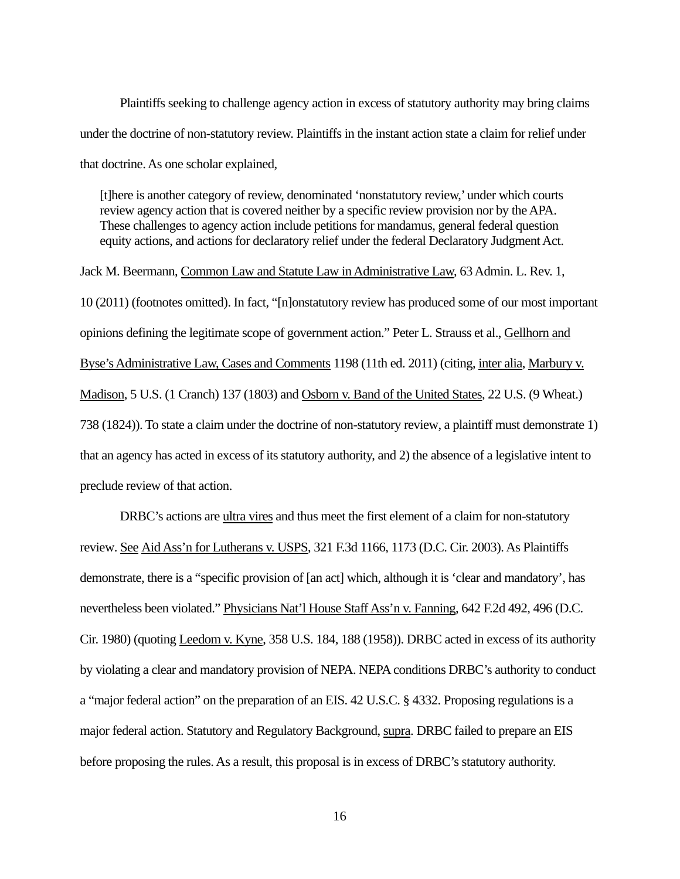Plaintiffs seeking to challenge agency action in excess of statutory authority may bring claims under the doctrine of non-statutory review. Plaintiffs in the instant action state a claim for relief under that doctrine. As one scholar explained,

[t]here is another category of review, denominated 'nonstatutory review,' under which courts review agency action that is covered neither by a specific review provision nor by the APA. These challenges to agency action include petitions for mandamus, general federal question equity actions, and actions for declaratory relief under the federal Declaratory Judgment Act.

Jack M. Beermann, Common Law and Statute Law in Administrative Law, 63 Admin. L. Rev. 1, 10 (2011) (footnotes omitted). In fact, "[n]onstatutory review has produced some of our most important opinions defining the legitimate scope of government action." Peter L. Strauss et al., Gellhorn and Byse's Administrative Law, Cases and Comments 1198 (11th ed. 2011) (citing, inter alia, Marbury v. Madison, 5 U.S. (1 Cranch) 137 (1803) and Osborn v. Band of the United States, 22 U.S. (9 Wheat.) 738 (1824)). To state a claim under the doctrine of non-statutory review, a plaintiff must demonstrate 1) that an agency has acted in excess of its statutory authority, and 2) the absence of a legislative intent to preclude review of that action.

DRBC's actions are ultra vires and thus meet the first element of a claim for non-statutory review. See Aid Ass'n for Lutherans v. USPS, 321 F.3d 1166, 1173 (D.C. Cir. 2003). As Plaintiffs demonstrate, there is a "specific provision of [an act] which, although it is 'clear and mandatory', has nevertheless been violated." Physicians Nat'l House Staff Ass'n v. Fanning, 642 F.2d 492, 496 (D.C. Cir. 1980) (quoting Leedom v. Kyne, 358 U.S. 184, 188 (1958)). DRBC acted in excess of its authority by violating a clear and mandatory provision of NEPA. NEPA conditions DRBC's authority to conduct a "major federal action" on the preparation of an EIS. 42 U.S.C. § 4332. Proposing regulations is a major federal action. Statutory and Regulatory Background, supra. DRBC failed to prepare an EIS before proposing the rules. As a result, this proposal is in excess of DRBC's statutory authority.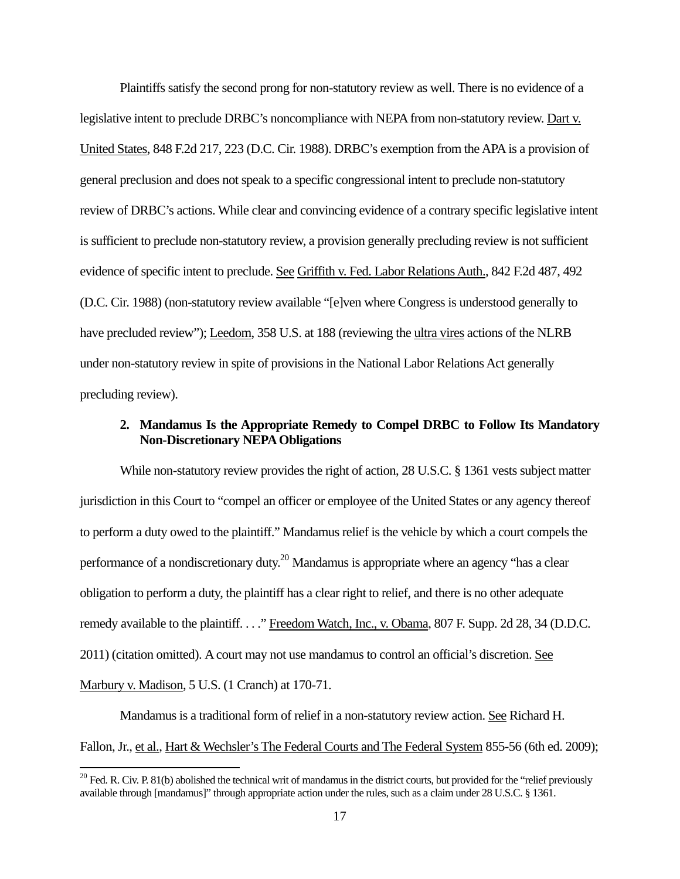Plaintiffs satisfy the second prong for non-statutory review as well. There is no evidence of a legislative intent to preclude DRBC's noncompliance with NEPA from non-statutory review. Dart v. United States, 848 F.2d 217, 223 (D.C. Cir. 1988). DRBC's exemption from the APA is a provision of general preclusion and does not speak to a specific congressional intent to preclude non-statutory review of DRBC's actions. While clear and convincing evidence of a contrary specific legislative intent is sufficient to preclude non-statutory review, a provision generally precluding review is not sufficient evidence of specific intent to preclude. See Griffith v. Fed. Labor Relations Auth., 842 F.2d 487, 492 (D.C. Cir. 1988) (non-statutory review available "[e]ven where Congress is understood generally to have precluded review"); Leedom, 358 U.S. at 188 (reviewing the ultra vires actions of the NLRB under non-statutory review in spite of provisions in the National Labor Relations Act generally precluding review).

# **2. Mandamus Is the Appropriate Remedy to Compel DRBC to Follow Its Mandatory Non-Discretionary NEPA Obligations**

While non-statutory review provides the right of action, 28 U.S.C. § 1361 vests subject matter jurisdiction in this Court to "compel an officer or employee of the United States or any agency thereof to perform a duty owed to the plaintiff." Mandamus relief is the vehicle by which a court compels the performance of a nondiscretionary duty.<sup>20</sup> Mandamus is appropriate where an agency "has a clear obligation to perform a duty, the plaintiff has a clear right to relief, and there is no other adequate remedy available to the plaintiff. . . ." Freedom Watch, Inc., v. Obama, 807 F. Supp. 2d 28, 34 (D.D.C. 2011) (citation omitted). A court may not use mandamus to control an official's discretion. See Marbury v. Madison, 5 U.S. (1 Cranch) at 170-71.

Mandamus is a traditional form of relief in a non-statutory review action. See Richard H. Fallon, Jr., et al., Hart & Wechsler's The Federal Courts and The Federal System 855-56 (6th ed. 2009);

 $20$  Fed. R. Civ. P. 81(b) abolished the technical writ of mandamus in the district courts, but provided for the "relief previously available through [mandamus]" through appropriate action under the rules, such as a claim under 28 U.S.C. § 1361.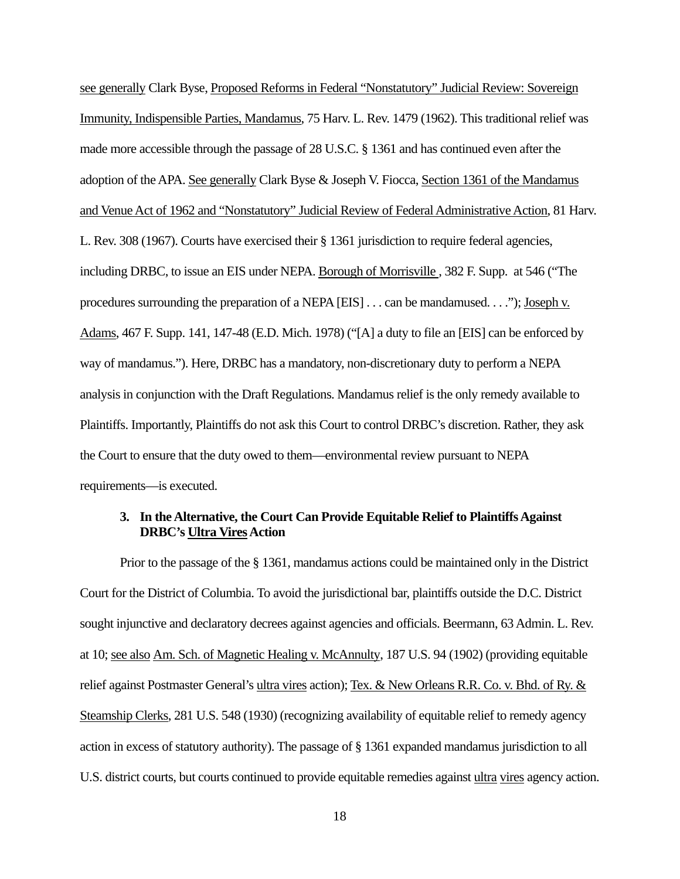see generally Clark Byse, Proposed Reforms in Federal "Nonstatutory" Judicial Review: Sovereign Immunity, Indispensible Parties, Mandamus, 75 Harv. L. Rev. 1479 (1962). This traditional relief was made more accessible through the passage of 28 U.S.C. § 1361 and has continued even after the adoption of the APA. See generally Clark Byse & Joseph V. Fiocca, Section 1361 of the Mandamus and Venue Act of 1962 and "Nonstatutory" Judicial Review of Federal Administrative Action, 81 Harv. L. Rev. 308 (1967). Courts have exercised their § 1361 jurisdiction to require federal agencies, including DRBC, to issue an EIS under NEPA. Borough of Morrisville , 382 F. Supp. at 546 ("The procedures surrounding the preparation of a NEPA [EIS] . . . can be mandamused. . . ."); Joseph v. Adams, 467 F. Supp. 141, 147-48 (E.D. Mich. 1978) ("[A] a duty to file an [EIS] can be enforced by way of mandamus."). Here, DRBC has a mandatory, non-discretionary duty to perform a NEPA analysis in conjunction with the Draft Regulations. Mandamus relief is the only remedy available to Plaintiffs. Importantly, Plaintiffs do not ask this Court to control DRBC's discretion. Rather, they ask the Court to ensure that the duty owed to them—environmental review pursuant to NEPA requirements—is executed.

# **3. In the Alternative, the Court Can Provide Equitable Relief to Plaintiffs Against DRBC's Ultra Vires Action**

 Prior to the passage of the § 1361, mandamus actions could be maintained only in the District Court for the District of Columbia. To avoid the jurisdictional bar, plaintiffs outside the D.C. District sought injunctive and declaratory decrees against agencies and officials. Beermann, 63 Admin. L. Rev. at 10; see also Am. Sch. of Magnetic Healing v. McAnnulty, 187 U.S. 94 (1902) (providing equitable relief against Postmaster General's ultra vires action); Tex. & New Orleans R.R. Co. v. Bhd. of Ry. & Steamship Clerks, 281 U.S. 548 (1930) (recognizing availability of equitable relief to remedy agency action in excess of statutory authority). The passage of § 1361 expanded mandamus jurisdiction to all U.S. district courts, but courts continued to provide equitable remedies against ultra vires agency action.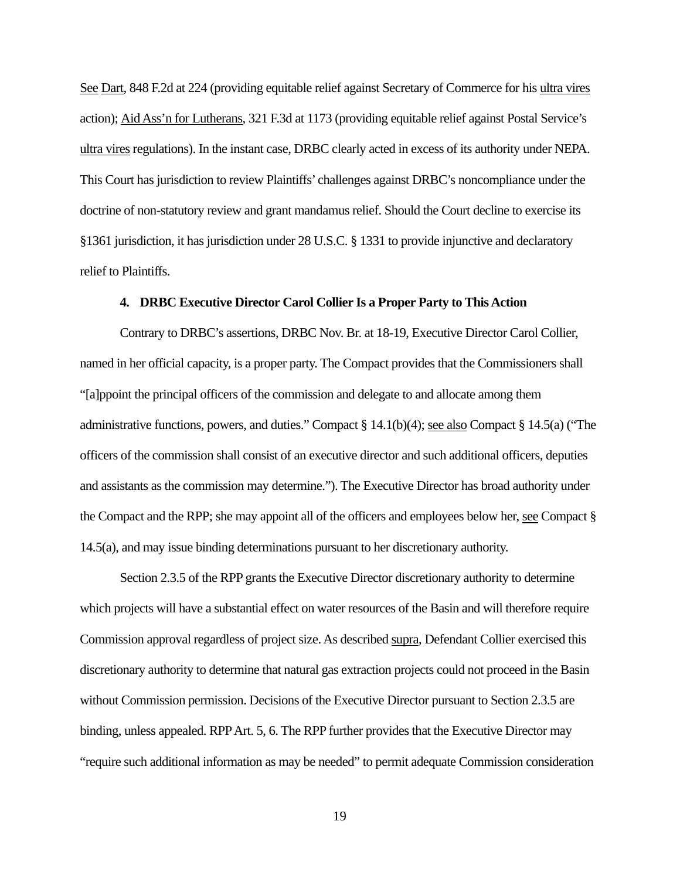See Dart, 848 F.2d at 224 (providing equitable relief against Secretary of Commerce for his ultra vires action); Aid Ass'n for Lutherans, 321 F.3d at 1173 (providing equitable relief against Postal Service's ultra vires regulations). In the instant case, DRBC clearly acted in excess of its authority under NEPA. This Court has jurisdiction to review Plaintiffs' challenges against DRBC's noncompliance under the doctrine of non-statutory review and grant mandamus relief. Should the Court decline to exercise its §1361 jurisdiction, it has jurisdiction under 28 U.S.C. § 1331 to provide injunctive and declaratory relief to Plaintiffs.

### **4. DRBC Executive Director Carol Collier Is a Proper Party to This Action**

Contrary to DRBC's assertions, DRBC Nov. Br. at 18-19, Executive Director Carol Collier, named in her official capacity, is a proper party. The Compact provides that the Commissioners shall "[a]ppoint the principal officers of the commission and delegate to and allocate among them administrative functions, powers, and duties." Compact § 14.1(b)(4); see also Compact § 14.5(a) ("The officers of the commission shall consist of an executive director and such additional officers, deputies and assistants as the commission may determine."). The Executive Director has broad authority under the Compact and the RPP; she may appoint all of the officers and employees below her, see Compact § 14.5(a), and may issue binding determinations pursuant to her discretionary authority.

Section 2.3.5 of the RPP grants the Executive Director discretionary authority to determine which projects will have a substantial effect on water resources of the Basin and will therefore require Commission approval regardless of project size. As described supra, Defendant Collier exercised this discretionary authority to determine that natural gas extraction projects could not proceed in the Basin without Commission permission. Decisions of the Executive Director pursuant to Section 2.3.5 are binding, unless appealed. RPP Art. 5, 6. The RPP further provides that the Executive Director may "require such additional information as may be needed" to permit adequate Commission consideration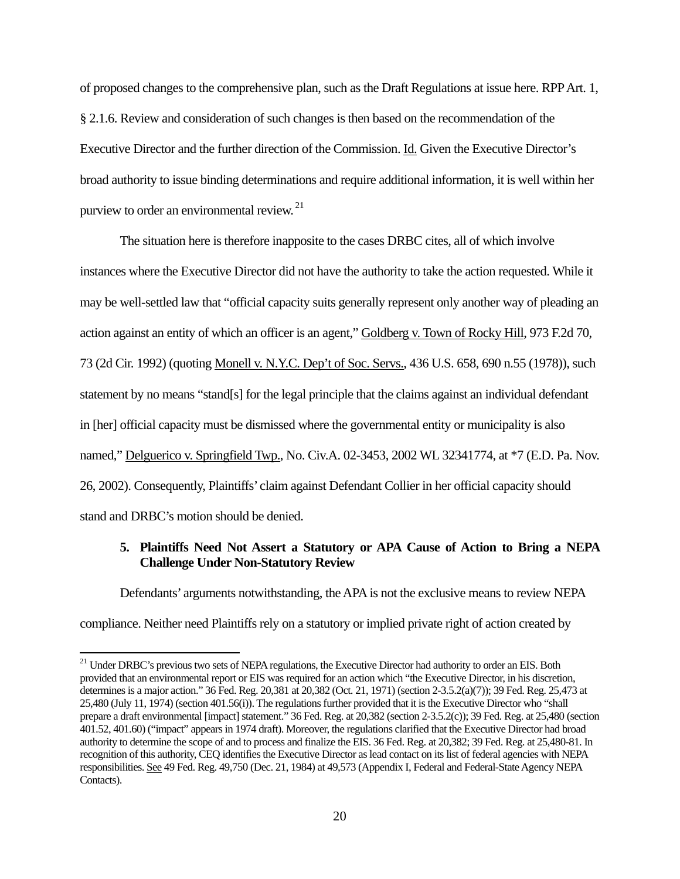of proposed changes to the comprehensive plan, such as the Draft Regulations at issue here. RPP Art. 1, § 2.1.6. Review and consideration of such changes is then based on the recommendation of the Executive Director and the further direction of the Commission. Id. Given the Executive Director's broad authority to issue binding determinations and require additional information, it is well within her purview to order an environmental review. 21

The situation here is therefore inapposite to the cases DRBC cites, all of which involve instances where the Executive Director did not have the authority to take the action requested. While it may be well-settled law that "official capacity suits generally represent only another way of pleading an action against an entity of which an officer is an agent," Goldberg v. Town of Rocky Hill, 973 F.2d 70, 73 (2d Cir. 1992) (quoting Monell v. N.Y.C. Dep't of Soc. Servs., 436 U.S. 658, 690 n.55 (1978)), such statement by no means "stand[s] for the legal principle that the claims against an individual defendant in [her] official capacity must be dismissed where the governmental entity or municipality is also named," Delguerico v. Springfield Twp., No. Civ.A. 02-3453, 2002 WL 32341774, at \*7 (E.D. Pa. Nov. 26, 2002). Consequently, Plaintiffs' claim against Defendant Collier in her official capacity should stand and DRBC's motion should be denied.

# **5. Plaintiffs Need Not Assert a Statutory or APA Cause of Action to Bring a NEPA Challenge Under Non-Statutory Review**

Defendants' arguments notwithstanding, the APA is not the exclusive means to review NEPA compliance. Neither need Plaintiffs rely on a statutory or implied private right of action created by

 <sup>21</sup> Under DRBC's previous two sets of NEPA regulations, the Executive Director had authority to order an EIS. Both provided that an environmental report or EIS was required for an action which "the Executive Director, in his discretion, determines is a major action." 36 Fed. Reg. 20,381 at 20,382 (Oct. 21, 1971) (section 2-3.5.2(a)(7)); 39 Fed. Reg. 25,473 at 25,480 (July 11, 1974) (section 401.56(i)). The regulations further provided that it is the Executive Director who "shall prepare a draft environmental [impact] statement." 36 Fed. Reg. at 20,382 (section 2-3.5.2(c)); 39 Fed. Reg. at 25,480 (section 401.52, 401.60) ("impact" appears in 1974 draft). Moreover, the regulations clarified that the Executive Director had broad authority to determine the scope of and to process and finalize the EIS. 36 Fed. Reg. at 20,382; 39 Fed. Reg. at 25,480-81. In recognition of this authority, CEQ identifies the Executive Director as lead contact on its list of federal agencies with NEPA responsibilities. See 49 Fed. Reg. 49,750 (Dec. 21, 1984) at 49,573 (Appendix I, Federal and Federal-State Agency NEPA Contacts).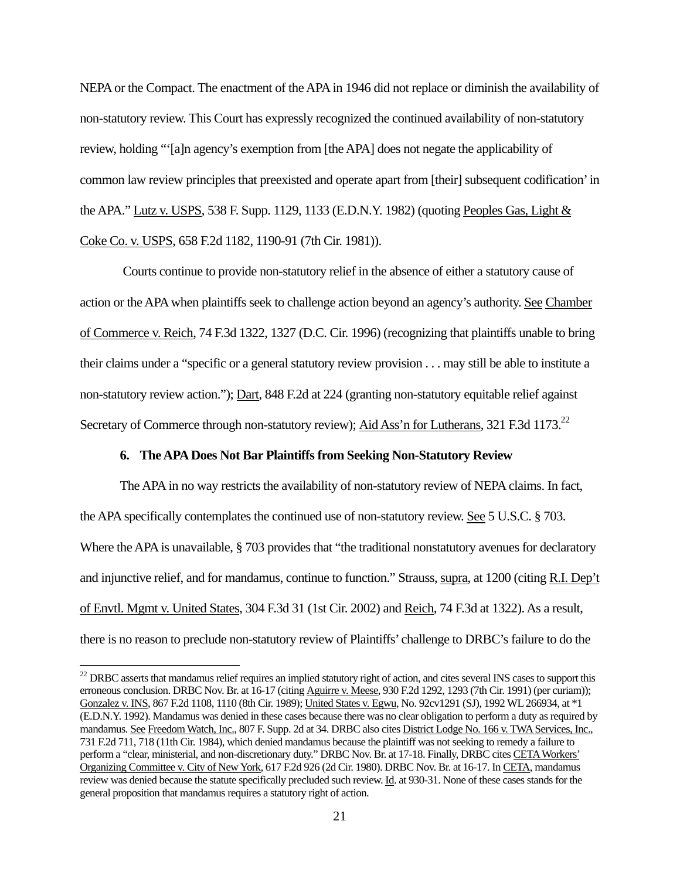NEPA or the Compact. The enactment of the APA in 1946 did not replace or diminish the availability of non-statutory review. This Court has expressly recognized the continued availability of non-statutory review, holding "'[a]n agency's exemption from [the APA] does not negate the applicability of common law review principles that preexisted and operate apart from [their] subsequent codification' in the APA." Lutz v. USPS, 538 F. Supp. 1129, 1133 (E.D.N.Y. 1982) (quoting Peoples Gas, Light & Coke Co. v. USPS, 658 F.2d 1182, 1190-91 (7th Cir. 1981)).

 Courts continue to provide non-statutory relief in the absence of either a statutory cause of action or the APA when plaintiffs seek to challenge action beyond an agency's authority. See Chamber of Commerce v. Reich, 74 F.3d 1322, 1327 (D.C. Cir. 1996) (recognizing that plaintiffs unable to bring their claims under a "specific or a general statutory review provision . . . may still be able to institute a non-statutory review action."); Dart, 848 F.2d at 224 (granting non-statutory equitable relief against Secretary of Commerce through non-statutory review); Aid Ass'n for Lutherans, 321 F.3d 1173.<sup>22</sup>

## **6. The APA Does Not Bar Plaintiffs from Seeking Non-Statutory Review**

The APA in no way restricts the availability of non-statutory review of NEPA claims. In fact, the APA specifically contemplates the continued use of non-statutory review. See 5 U.S.C. § 703. Where the APA is unavailable, § 703 provides that "the traditional nonstatutory avenues for declaratory and injunctive relief, and for mandamus, continue to function." Strauss, supra, at 1200 (citing R.I. Dep't of Envtl. Mgmt v. United States, 304 F.3d 31 (1st Cir. 2002) and Reich, 74 F.3d at 1322). As a result, there is no reason to preclude non-statutory review of Plaintiffs' challenge to DRBC's failure to do the

<sup>&</sup>lt;sup>22</sup> DRBC asserts that mandamus relief requires an implied statutory right of action, and cites several INS cases to support this erroneous conclusion. DRBC Nov. Br. at 16-17 (citing Aguirre v. Meese, 930 F.2d 1292, 1293 (7th Cir. 1991) (per curiam)); Gonzalez v. INS, 867 F.2d 1108, 1110 (8th Cir. 1989); United States v. Egwu, No. 92cv1291 (SJ), 1992 WL 266934, at \*1 (E.D.N.Y. 1992). Mandamus was denied in these cases because there was no clear obligation to perform a duty as required by mandamus. See Freedom Watch, Inc., 807 F. Supp. 2d at 34. DRBC also cites District Lodge No. 166 v. TWA Services, Inc., 731 F.2d 711, 718 (11th Cir. 1984), which denied mandamus because the plaintiff was not seeking to remedy a failure to perform a "clear, ministerial, and non-discretionary duty." DRBC Nov. Br. at 17-18. Finally, DRBC cites CETA Workers' Organizing Committee v. City of New York, 617 F.2d 926 (2d Cir. 1980). DRBC Nov. Br. at 16-17. In CETA, mandamus review was denied because the statute specifically precluded such review. **Id**. at 930-31. None of these cases stands for the general proposition that mandamus requires a statutory right of action.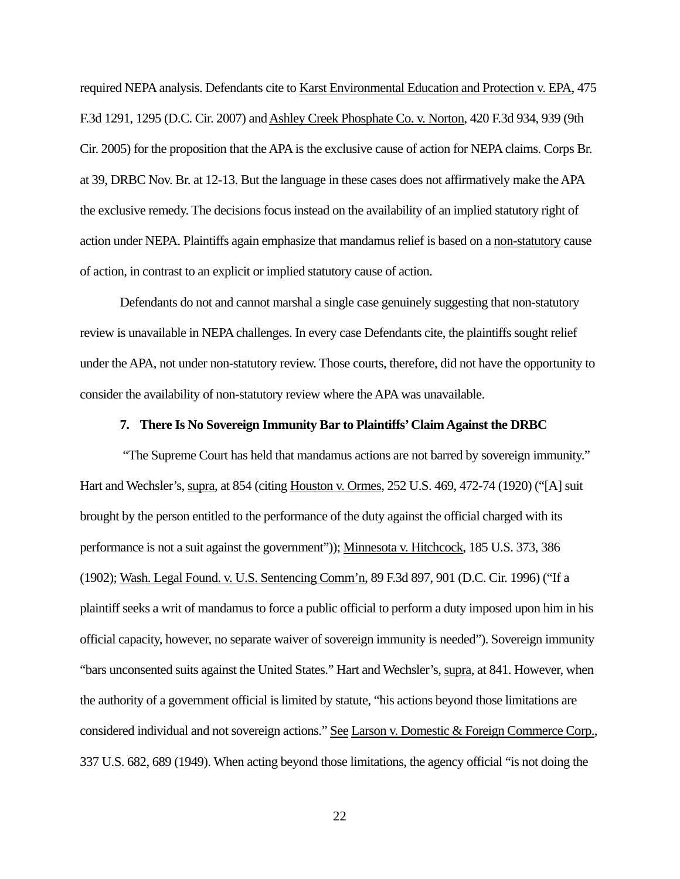required NEPA analysis. Defendants cite to Karst Environmental Education and Protection v. EPA, 475 F.3d 1291, 1295 (D.C. Cir. 2007) and Ashley Creek Phosphate Co. v. Norton, 420 F.3d 934, 939 (9th Cir. 2005) for the proposition that the APA is the exclusive cause of action for NEPA claims. Corps Br. at 39, DRBC Nov. Br. at 12-13. But the language in these cases does not affirmatively make the APA the exclusive remedy. The decisions focus instead on the availability of an implied statutory right of action under NEPA. Plaintiffs again emphasize that mandamus relief is based on a non-statutory cause of action, in contrast to an explicit or implied statutory cause of action.

 Defendants do not and cannot marshal a single case genuinely suggesting that non-statutory review is unavailable in NEPA challenges. In every case Defendants cite, the plaintiffs sought relief under the APA, not under non-statutory review. Those courts, therefore, did not have the opportunity to consider the availability of non-statutory review where the APA was unavailable.

## **7. There Is No Sovereign Immunity Bar to Plaintiffs' Claim Against the DRBC**

"The Supreme Court has held that mandamus actions are not barred by sovereign immunity." Hart and Wechsler's, supra, at 854 (citing Houston v. Ormes, 252 U.S. 469, 472-74 (1920) ("[A] suit brought by the person entitled to the performance of the duty against the official charged with its performance is not a suit against the government")); Minnesota v. Hitchcock, 185 U.S. 373, 386 (1902); Wash. Legal Found. v. U.S. Sentencing Comm'n, 89 F.3d 897, 901 (D.C. Cir. 1996) ("If a plaintiff seeks a writ of mandamus to force a public official to perform a duty imposed upon him in his official capacity, however, no separate waiver of sovereign immunity is needed"). Sovereign immunity "bars unconsented suits against the United States." Hart and Wechsler's, supra, at 841. However, when the authority of a government official is limited by statute, "his actions beyond those limitations are considered individual and not sovereign actions." See Larson v. Domestic & Foreign Commerce Corp., 337 U.S. 682, 689 (1949). When acting beyond those limitations, the agency official "is not doing the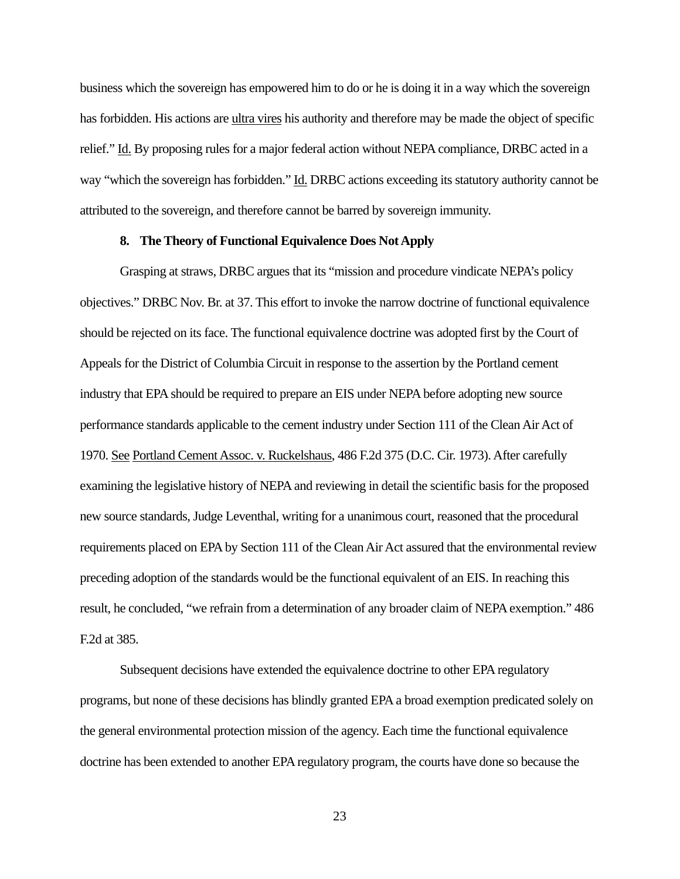business which the sovereign has empowered him to do or he is doing it in a way which the sovereign has forbidden. His actions are ultra vires his authority and therefore may be made the object of specific relief." Id. By proposing rules for a major federal action without NEPA compliance, DRBC acted in a way "which the sovereign has forbidden." Id. DRBC actions exceeding its statutory authority cannot be attributed to the sovereign, and therefore cannot be barred by sovereign immunity.

## **8. The Theory of Functional Equivalence Does Not Apply**

Grasping at straws, DRBC argues that its "mission and procedure vindicate NEPA's policy objectives." DRBC Nov. Br. at 37. This effort to invoke the narrow doctrine of functional equivalence should be rejected on its face. The functional equivalence doctrine was adopted first by the Court of Appeals for the District of Columbia Circuit in response to the assertion by the Portland cement industry that EPA should be required to prepare an EIS under NEPA before adopting new source performance standards applicable to the cement industry under Section 111 of the Clean Air Act of 1970. See Portland Cement Assoc. v. Ruckelshaus, 486 F.2d 375 (D.C. Cir. 1973). After carefully examining the legislative history of NEPA and reviewing in detail the scientific basis for the proposed new source standards, Judge Leventhal, writing for a unanimous court, reasoned that the procedural requirements placed on EPA by Section 111 of the Clean Air Act assured that the environmental review preceding adoption of the standards would be the functional equivalent of an EIS. In reaching this result, he concluded, "we refrain from a determination of any broader claim of NEPA exemption." 486 F.2d at 385.

Subsequent decisions have extended the equivalence doctrine to other EPA regulatory programs, but none of these decisions has blindly granted EPA a broad exemption predicated solely on the general environmental protection mission of the agency. Each time the functional equivalence doctrine has been extended to another EPA regulatory program, the courts have done so because the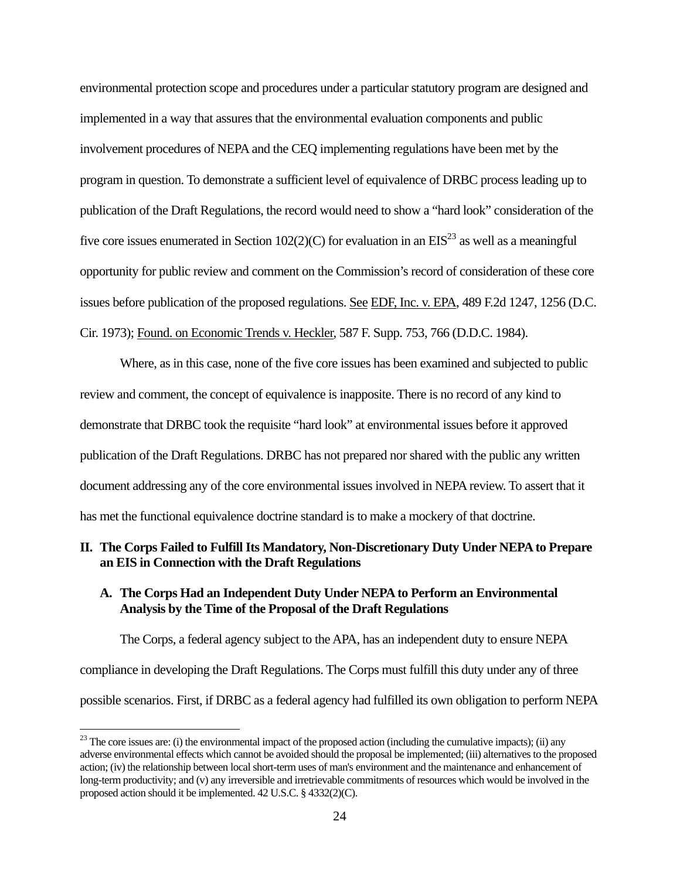environmental protection scope and procedures under a particular statutory program are designed and implemented in a way that assures that the environmental evaluation components and public involvement procedures of NEPA and the CEQ implementing regulations have been met by the program in question. To demonstrate a sufficient level of equivalence of DRBC process leading up to publication of the Draft Regulations, the record would need to show a "hard look" consideration of the five core issues enumerated in Section 102(2)(C) for evaluation in an  $EIS^{23}$  as well as a meaningful opportunity for public review and comment on the Commission's record of consideration of these core issues before publication of the proposed regulations. See EDF, Inc. v. EPA, 489 F.2d 1247, 1256 (D.C. Cir. 1973); Found. on Economic Trends v. Heckler, 587 F. Supp. 753, 766 (D.D.C. 1984).

Where, as in this case, none of the five core issues has been examined and subjected to public review and comment, the concept of equivalence is inapposite. There is no record of any kind to demonstrate that DRBC took the requisite "hard look" at environmental issues before it approved publication of the Draft Regulations. DRBC has not prepared nor shared with the public any written document addressing any of the core environmental issues involved in NEPA review. To assert that it has met the functional equivalence doctrine standard is to make a mockery of that doctrine.

# **II. The Corps Failed to Fulfill Its Mandatory, Non-Discretionary Duty Under NEPA to Prepare an EIS in Connection with the Draft Regulations**

# **A. The Corps Had an Independent Duty Under NEPA to Perform an Environmental Analysis by the Time of the Proposal of the Draft Regulations**

The Corps, a federal agency subject to the APA, has an independent duty to ensure NEPA compliance in developing the Draft Regulations. The Corps must fulfill this duty under any of three possible scenarios. First, if DRBC as a federal agency had fulfilled its own obligation to perform NEPA

 $23$  The core issues are: (i) the environmental impact of the proposed action (including the cumulative impacts); (ii) any adverse environmental effects which cannot be avoided should the proposal be implemented; (iii) alternatives to the proposed action; (iv) the relationship between local short-term uses of man's environment and the maintenance and enhancement of long-term productivity; and (v) any irreversible and irretrievable commitments of resources which would be involved in the proposed action should it be implemented. 42 U.S.C. § 4332(2)(C).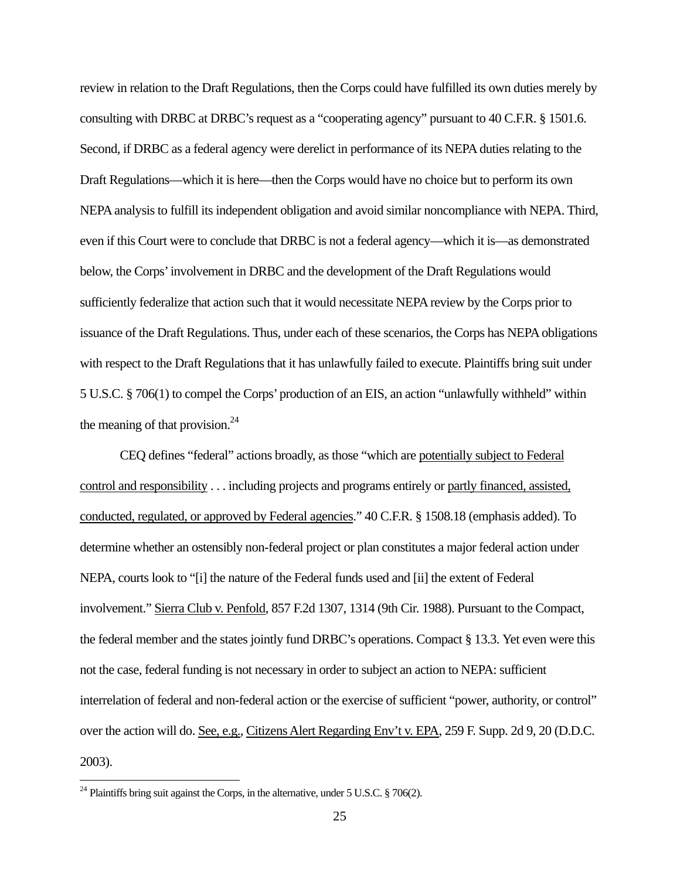review in relation to the Draft Regulations, then the Corps could have fulfilled its own duties merely by consulting with DRBC at DRBC's request as a "cooperating agency" pursuant to 40 C.F.R. § 1501.6. Second, if DRBC as a federal agency were derelict in performance of its NEPA duties relating to the Draft Regulations—which it is here—then the Corps would have no choice but to perform its own NEPA analysis to fulfill its independent obligation and avoid similar noncompliance with NEPA. Third, even if this Court were to conclude that DRBC is not a federal agency—which it is—as demonstrated below, the Corps' involvement in DRBC and the development of the Draft Regulations would sufficiently federalize that action such that it would necessitate NEPA review by the Corps prior to issuance of the Draft Regulations. Thus, under each of these scenarios, the Corps has NEPA obligations with respect to the Draft Regulations that it has unlawfully failed to execute. Plaintiffs bring suit under 5 U.S.C. § 706(1) to compel the Corps' production of an EIS, an action "unlawfully withheld" within the meaning of that provision. $^{24}$ 

CEQ defines "federal" actions broadly, as those "which are potentially subject to Federal control and responsibility . . . including projects and programs entirely or partly financed, assisted, conducted, regulated, or approved by Federal agencies." 40 C.F.R. § 1508.18 (emphasis added). To determine whether an ostensibly non-federal project or plan constitutes a major federal action under NEPA, courts look to "[i] the nature of the Federal funds used and [ii] the extent of Federal involvement." Sierra Club v. Penfold, 857 F.2d 1307, 1314 (9th Cir. 1988). Pursuant to the Compact, the federal member and the states jointly fund DRBC's operations. Compact § 13.3. Yet even were this not the case, federal funding is not necessary in order to subject an action to NEPA: sufficient interrelation of federal and non-federal action or the exercise of sufficient "power, authority, or control" over the action will do. See, e.g., Citizens Alert Regarding Env't v. EPA, 259 F. Supp. 2d 9, 20 (D.D.C. 2003).

<sup>&</sup>lt;sup>24</sup> Plaintiffs bring suit against the Corps, in the alternative, under 5 U.S.C. § 706(2).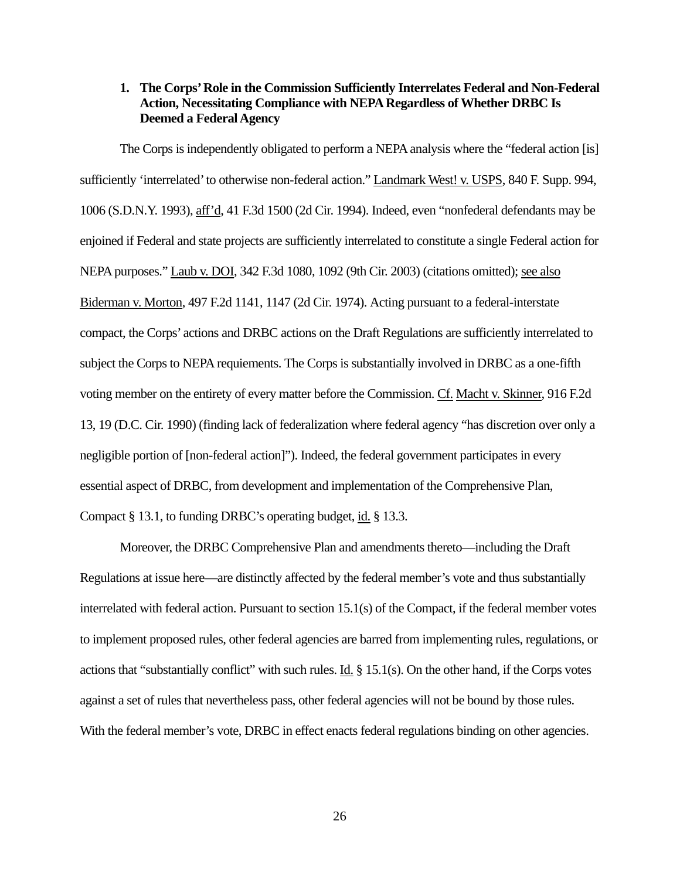# **1. The Corps' Role in the Commission Sufficiently Interrelates Federal and Non-Federal Action, Necessitating Compliance with NEPA Regardless of Whether DRBC Is Deemed a Federal Agency**

The Corps is independently obligated to perform a NEPA analysis where the "federal action [is] sufficiently 'interrelated' to otherwise non-federal action." Landmark West! v. USPS, 840 F. Supp. 994, 1006 (S.D.N.Y. 1993), aff'd, 41 F.3d 1500 (2d Cir. 1994). Indeed, even "nonfederal defendants may be enjoined if Federal and state projects are sufficiently interrelated to constitute a single Federal action for NEPA purposes." Laub v. DOI, 342 F.3d 1080, 1092 (9th Cir. 2003) (citations omitted); see also Biderman v. Morton, 497 F.2d 1141, 1147 (2d Cir. 1974). Acting pursuant to a federal-interstate compact, the Corps' actions and DRBC actions on the Draft Regulations are sufficiently interrelated to subject the Corps to NEPA requiements. The Corps is substantially involved in DRBC as a one-fifth voting member on the entirety of every matter before the Commission. Cf. Macht v. Skinner, 916 F.2d 13, 19 (D.C. Cir. 1990) (finding lack of federalization where federal agency "has discretion over only a negligible portion of [non-federal action]"). Indeed, the federal government participates in every essential aspect of DRBC, from development and implementation of the Comprehensive Plan, Compact § 13.1, to funding DRBC's operating budget, id. § 13.3.

Moreover, the DRBC Comprehensive Plan and amendments thereto—including the Draft Regulations at issue here—are distinctly affected by the federal member's vote and thus substantially interrelated with federal action. Pursuant to section 15.1(s) of the Compact, if the federal member votes to implement proposed rules, other federal agencies are barred from implementing rules, regulations, or actions that "substantially conflict" with such rules. <u>Id.</u>  $\S$  15.1(s). On the other hand, if the Corps votes against a set of rules that nevertheless pass, other federal agencies will not be bound by those rules. With the federal member's vote, DRBC in effect enacts federal regulations binding on other agencies.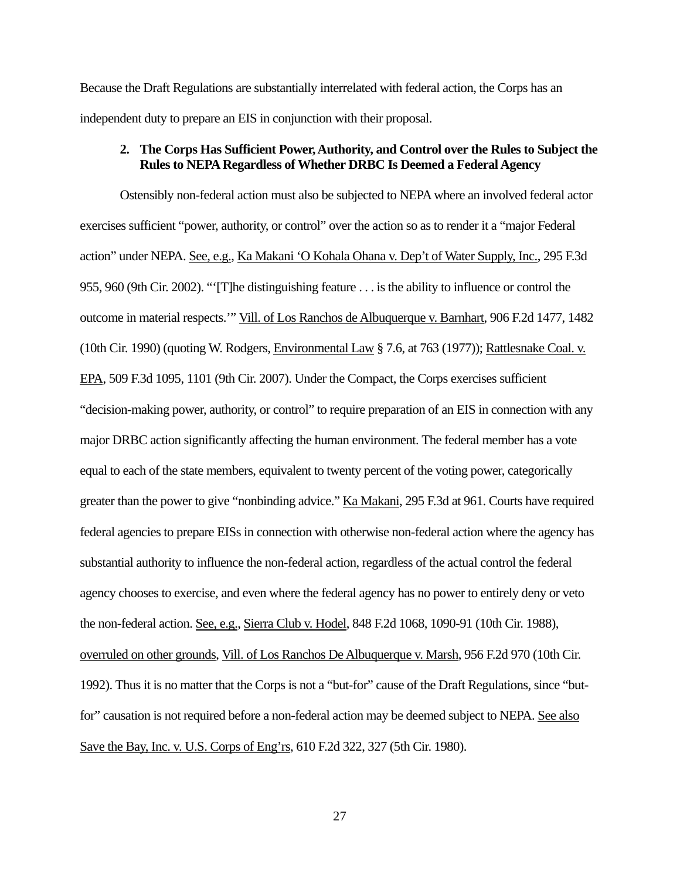Because the Draft Regulations are substantially interrelated with federal action, the Corps has an independent duty to prepare an EIS in conjunction with their proposal.

# **2. The Corps Has Sufficient Power, Authority, and Control over the Rules to Subject the Rules to NEPA Regardless of Whether DRBC Is Deemed a Federal Agency**

Ostensibly non-federal action must also be subjected to NEPA where an involved federal actor exercises sufficient "power, authority, or control" over the action so as to render it a "major Federal action" under NEPA. See, e.g., Ka Makani 'O Kohala Ohana v. Dep't of Water Supply, Inc., 295 F.3d 955, 960 (9th Cir. 2002). "'[T]he distinguishing feature . . . is the ability to influence or control the outcome in material respects.'" Vill. of Los Ranchos de Albuquerque v. Barnhart, 906 F.2d 1477, 1482 (10th Cir. 1990) (quoting W. Rodgers, Environmental Law § 7.6, at 763 (1977)); Rattlesnake Coal. v. EPA, 509 F.3d 1095, 1101 (9th Cir. 2007). Under the Compact, the Corps exercises sufficient "decision-making power, authority, or control" to require preparation of an EIS in connection with any major DRBC action significantly affecting the human environment. The federal member has a vote equal to each of the state members, equivalent to twenty percent of the voting power, categorically greater than the power to give "nonbinding advice." Ka Makani, 295 F.3d at 961. Courts have required federal agencies to prepare EISs in connection with otherwise non-federal action where the agency has substantial authority to influence the non-federal action, regardless of the actual control the federal agency chooses to exercise, and even where the federal agency has no power to entirely deny or veto the non-federal action. See, e.g., Sierra Club v. Hodel, 848 F.2d 1068, 1090-91 (10th Cir. 1988), overruled on other grounds, Vill. of Los Ranchos De Albuquerque v. Marsh, 956 F.2d 970 (10th Cir. 1992). Thus it is no matter that the Corps is not a "but-for" cause of the Draft Regulations, since "butfor" causation is not required before a non-federal action may be deemed subject to NEPA. See also Save the Bay, Inc. v. U.S. Corps of Eng'rs, 610 F.2d 322, 327 (5th Cir. 1980).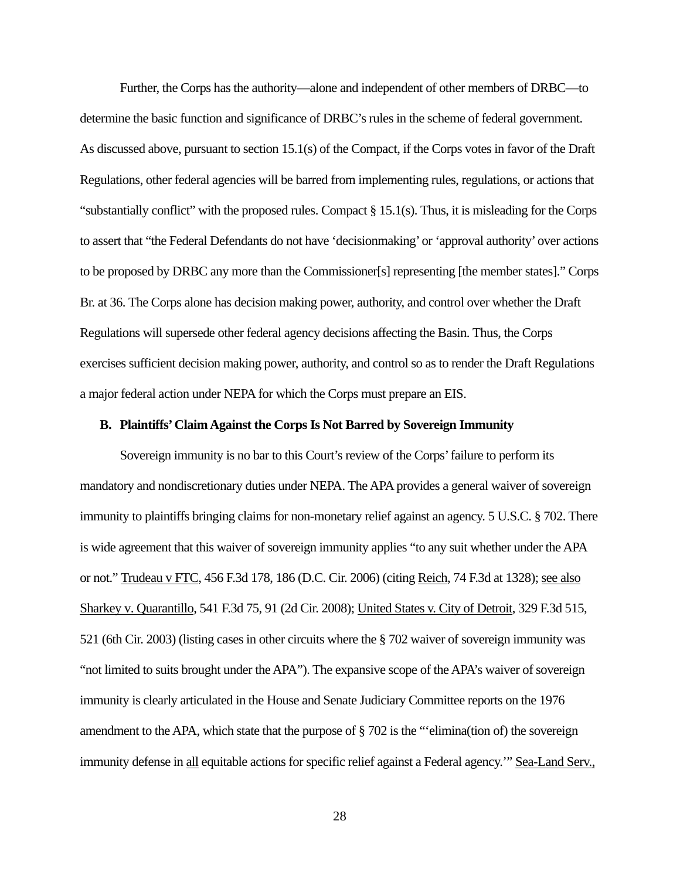Further, the Corps has the authority—alone and independent of other members of DRBC—to determine the basic function and significance of DRBC's rules in the scheme of federal government. As discussed above, pursuant to section 15.1(s) of the Compact, if the Corps votes in favor of the Draft Regulations, other federal agencies will be barred from implementing rules, regulations, or actions that "substantially conflict" with the proposed rules. Compact § 15.1(s). Thus, it is misleading for the Corps to assert that "the Federal Defendants do not have 'decisionmaking' or 'approval authority' over actions to be proposed by DRBC any more than the Commissioner[s] representing [the member states]." Corps Br. at 36. The Corps alone has decision making power, authority, and control over whether the Draft Regulations will supersede other federal agency decisions affecting the Basin. Thus, the Corps exercises sufficient decision making power, authority, and control so as to render the Draft Regulations a major federal action under NEPA for which the Corps must prepare an EIS.

# **B. Plaintiffs' Claim Against the Corps Is Not Barred by Sovereign Immunity**

Sovereign immunity is no bar to this Court's review of the Corps' failure to perform its mandatory and nondiscretionary duties under NEPA. The APA provides a general waiver of sovereign immunity to plaintiffs bringing claims for non-monetary relief against an agency. 5 U.S.C. § 702. There is wide agreement that this waiver of sovereign immunity applies "to any suit whether under the APA or not." Trudeau v FTC, 456 F.3d 178, 186 (D.C. Cir. 2006) (citing Reich, 74 F.3d at 1328); see also Sharkey v. Quarantillo, 541 F.3d 75, 91 (2d Cir. 2008); United States v. City of Detroit, 329 F.3d 515, 521 (6th Cir. 2003) (listing cases in other circuits where the § 702 waiver of sovereign immunity was "not limited to suits brought under the APA"). The expansive scope of the APA's waiver of sovereign immunity is clearly articulated in the House and Senate Judiciary Committee reports on the 1976 amendment to the APA, which state that the purpose of § 702 is the "'elimina(tion of) the sovereign immunity defense in all equitable actions for specific relief against a Federal agency.'" Sea-Land Serv.,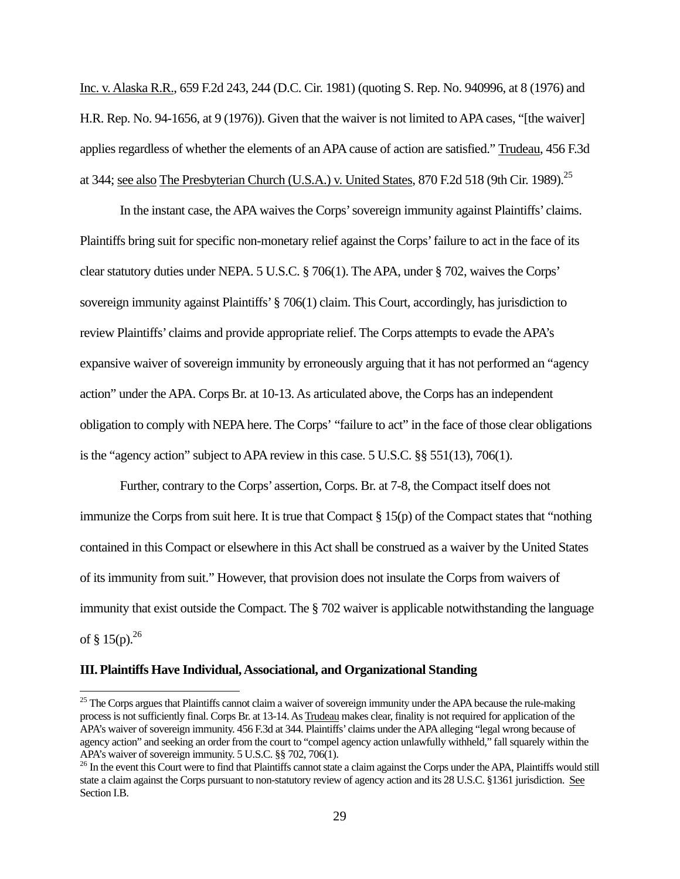Inc. v. Alaska R.R., 659 F.2d 243, 244 (D.C. Cir. 1981) (quoting S. Rep. No. 940996, at 8 (1976) and H.R. Rep. No. 94-1656, at 9 (1976)). Given that the waiver is not limited to APA cases, "[the waiver] applies regardless of whether the elements of an APA cause of action are satisfied." Trudeau, 456 F.3d at 344; see also The Presbyterian Church (U.S.A.) v. United States, 870 F.2d 518 (9th Cir. 1989).<sup>25</sup>

 In the instant case, the APA waives the Corps' sovereign immunity against Plaintiffs' claims. Plaintiffs bring suit for specific non-monetary relief against the Corps' failure to act in the face of its clear statutory duties under NEPA. 5 U.S.C. § 706(1). The APA, under § 702, waives the Corps' sovereign immunity against Plaintiffs' § 706(1) claim. This Court, accordingly, has jurisdiction to review Plaintiffs' claims and provide appropriate relief. The Corps attempts to evade the APA's expansive waiver of sovereign immunity by erroneously arguing that it has not performed an "agency action" under the APA. Corps Br. at 10-13. As articulated above, the Corps has an independent obligation to comply with NEPA here. The Corps' "failure to act" in the face of those clear obligations is the "agency action" subject to APA review in this case. 5 U.S.C. §§ 551(13), 706(1).

 Further, contrary to the Corps' assertion, Corps. Br. at 7-8, the Compact itself does not immunize the Corps from suit here. It is true that Compact § 15(p) of the Compact states that "nothing contained in this Compact or elsewhere in this Act shall be construed as a waiver by the United States of its immunity from suit." However, that provision does not insulate the Corps from waivers of immunity that exist outside the Compact. The § 702 waiver is applicable notwithstanding the language of § 15(p). $^{26}$ 

#### **III. Plaintiffs Have Individual, Associational, and Organizational Standing**

 $25$  The Corps argues that Plaintiffs cannot claim a waiver of sovereign immunity under the APA because the rule-making process is not sufficiently final. Corps Br. at 13-14. As Trudeau makes clear, finality is not required for application of the APA's waiver of sovereign immunity. 456 F.3d at 344. Plaintiffs' claims under the APA alleging "legal wrong because of agency action" and seeking an order from the court to "compel agency action unlawfully withheld," fall squarely within the APA's waiver of sovereign immunity. 5 U.S.C. §§ 702, 706(1).

<sup>&</sup>lt;sup>26</sup> In the event this Court were to find that Plaintiffs cannot state a claim against the Corps under the APA, Plaintiffs would still state a claim against the Corps pursuant to non-statutory review of agency action and its 28 U.S.C. §1361 jurisdiction. See Section I.B.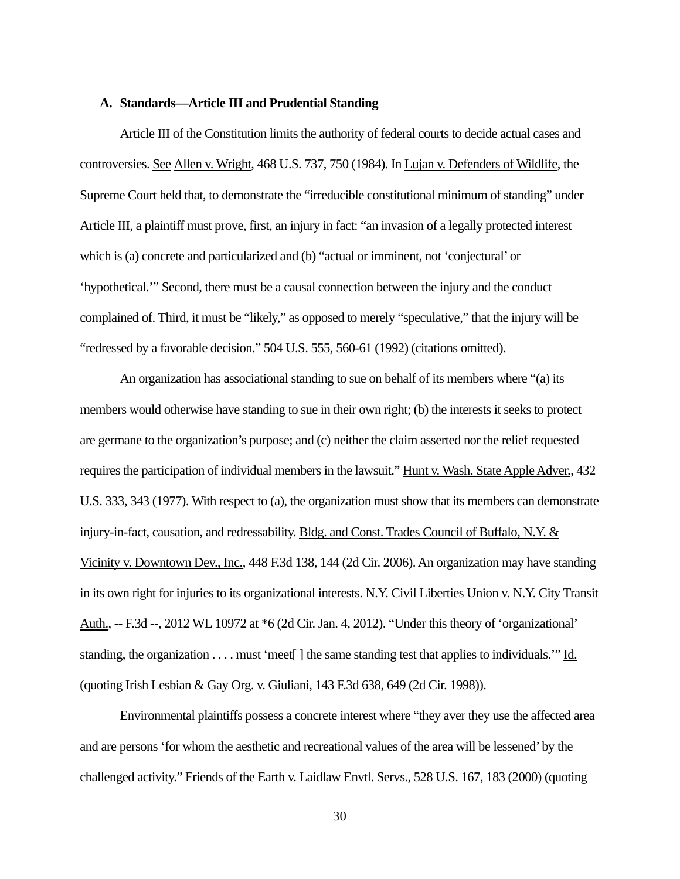## **A. Standards—Article III and Prudential Standing**

Article III of the Constitution limits the authority of federal courts to decide actual cases and controversies. See Allen v. Wright, 468 U.S. 737, 750 (1984). In Lujan v. Defenders of Wildlife, the Supreme Court held that, to demonstrate the "irreducible constitutional minimum of standing" under Article III, a plaintiff must prove, first, an injury in fact: "an invasion of a legally protected interest which is (a) concrete and particularized and (b) "actual or imminent, not 'conjectural' or 'hypothetical.'" Second, there must be a causal connection between the injury and the conduct complained of. Third, it must be "likely," as opposed to merely "speculative," that the injury will be "redressed by a favorable decision." 504 U.S. 555, 560-61 (1992) (citations omitted).

An organization has associational standing to sue on behalf of its members where "(a) its members would otherwise have standing to sue in their own right; (b) the interests it seeks to protect are germane to the organization's purpose; and (c) neither the claim asserted nor the relief requested requires the participation of individual members in the lawsuit." Hunt v. Wash. State Apple Adver., 432 U.S. 333, 343 (1977). With respect to (a), the organization must show that its members can demonstrate injury-in-fact, causation, and redressability. Bldg. and Const. Trades Council of Buffalo, N.Y. & Vicinity v. Downtown Dev., Inc., 448 F.3d 138, 144 (2d Cir. 2006). An organization may have standing in its own right for injuries to its organizational interests. N.Y. Civil Liberties Union v. N.Y. City Transit Auth., -- F.3d --, 2012 WL 10972 at \*6 (2d Cir. Jan. 4, 2012). "Under this theory of 'organizational' standing, the organization . . . . must 'meet[ ] the same standing test that applies to individuals.'" Id. (quoting Irish Lesbian & Gay Org. v. Giuliani, 143 F.3d 638, 649 (2d Cir. 1998)).

Environmental plaintiffs possess a concrete interest where "they aver they use the affected area and are persons 'for whom the aesthetic and recreational values of the area will be lessened' by the challenged activity." Friends of the Earth v. Laidlaw Envtl. Servs., 528 U.S. 167, 183 (2000) (quoting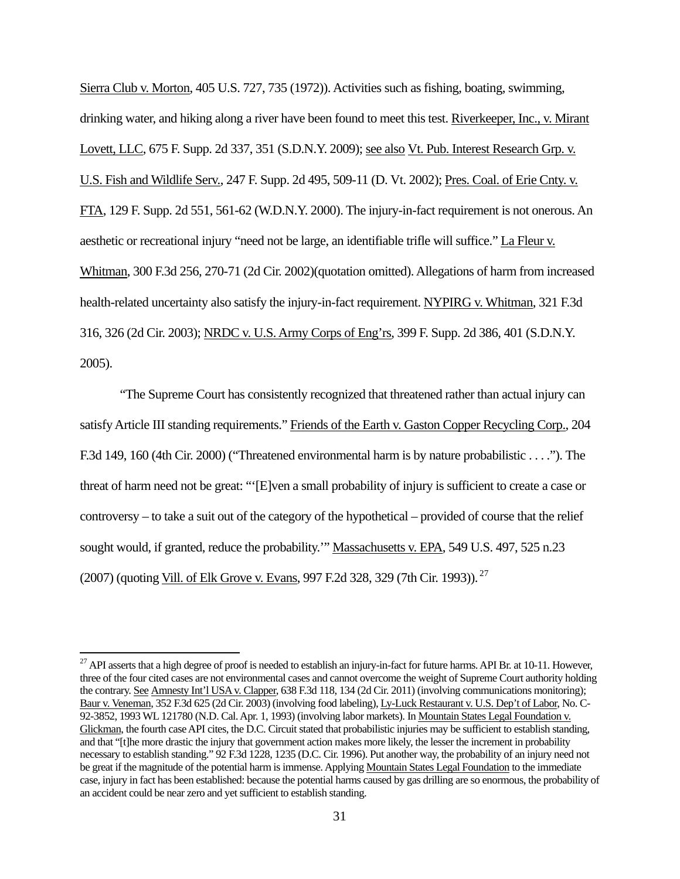Sierra Club v. Morton, 405 U.S. 727, 735 (1972)). Activities such as fishing, boating, swimming, drinking water, and hiking along a river have been found to meet this test. Riverkeeper, Inc., v. Mirant Lovett, LLC, 675 F. Supp. 2d 337, 351 (S.D.N.Y. 2009); see also Vt. Pub. Interest Research Grp. v. U.S. Fish and Wildlife Serv., 247 F. Supp. 2d 495, 509-11 (D. Vt. 2002); Pres. Coal. of Erie Cnty. v. FTA, 129 F. Supp. 2d 551, 561-62 (W.D.N.Y. 2000). The injury-in-fact requirement is not onerous. An aesthetic or recreational injury "need not be large, an identifiable trifle will suffice." La Fleur v. Whitman, 300 F.3d 256, 270-71 (2d Cir. 2002)(quotation omitted). Allegations of harm from increased health-related uncertainty also satisfy the injury-in-fact requirement. NYPIRG v. Whitman, 321 F.3d 316, 326 (2d Cir. 2003); NRDC v. U.S. Army Corps of Eng'rs, 399 F. Supp. 2d 386, 401 (S.D.N.Y. 2005).

"The Supreme Court has consistently recognized that threatened rather than actual injury can satisfy Article III standing requirements." Friends of the Earth v. Gaston Copper Recycling Corp., 204 F.3d 149, 160 (4th Cir. 2000) ("Threatened environmental harm is by nature probabilistic . . . ."). The threat of harm need not be great: "'[E]ven a small probability of injury is sufficient to create a case or controversy – to take a suit out of the category of the hypothetical – provided of course that the relief sought would, if granted, reduce the probability.'" Massachusetts v. EPA, 549 U.S. 497, 525 n.23 (2007) (quoting Vill. of Elk Grove v. Evans, 997 F.2d 328, 329 (7th Cir. 1993)). 27

 $^{27}$  API asserts that a high degree of proof is needed to establish an injury-in-fact for future harms. API Br. at 10-11. However, three of the four cited cases are not environmental cases and cannot overcome the weight of Supreme Court authority holding the contrary. See Amnesty Int'l USA v. Clapper, 638 F.3d 118, 134 (2d Cir. 2011) (involving communications monitoring); Baur v. Veneman, 352 F.3d 625 (2d Cir. 2003) (involving food labeling), Ly-Luck Restaurant v. U.S. Dep't of Labor, No. C-92-3852, 1993 WL 121780 (N.D. Cal. Apr. 1, 1993) (involving labor markets). In Mountain States Legal Foundation v. Glickman, the fourth case API cites, the D.C. Circuit stated that probabilistic injuries may be sufficient to establish standing, and that "[t]he more drastic the injury that government action makes more likely, the lesser the increment in probability necessary to establish standing." 92 F.3d 1228, 1235 (D.C. Cir. 1996). Put another way, the probability of an injury need not be great if the magnitude of the potential harm is immense. Applying Mountain States Legal Foundation to the immediate case, injury in fact has been established: because the potential harms caused by gas drilling are so enormous, the probability of an accident could be near zero and yet sufficient to establish standing.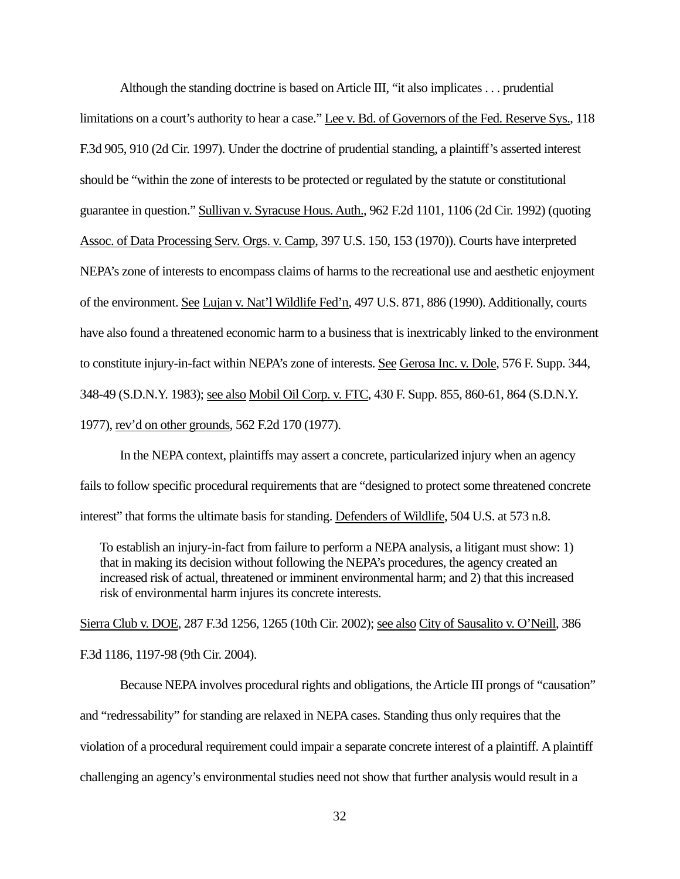Although the standing doctrine is based on Article III, "it also implicates . . . prudential limitations on a court's authority to hear a case." Lee v. Bd. of Governors of the Fed. Reserve Sys., 118 F.3d 905, 910 (2d Cir. 1997). Under the doctrine of prudential standing, a plaintiff's asserted interest should be "within the zone of interests to be protected or regulated by the statute or constitutional guarantee in question." Sullivan v. Syracuse Hous. Auth., 962 F.2d 1101, 1106 (2d Cir. 1992) (quoting Assoc. of Data Processing Serv. Orgs. v. Camp, 397 U.S. 150, 153 (1970)). Courts have interpreted NEPA's zone of interests to encompass claims of harms to the recreational use and aesthetic enjoyment of the environment. See Lujan v. Nat'l Wildlife Fed'n, 497 U.S. 871, 886 (1990). Additionally, courts have also found a threatened economic harm to a business that is inextricably linked to the environment to constitute injury-in-fact within NEPA's zone of interests. See Gerosa Inc. v. Dole, 576 F. Supp. 344, 348-49 (S.D.N.Y. 1983); see also Mobil Oil Corp. v. FTC, 430 F. Supp. 855, 860-61, 864 (S.D.N.Y. 1977), rev'd on other grounds, 562 F.2d 170 (1977).

In the NEPA context, plaintiffs may assert a concrete, particularized injury when an agency fails to follow specific procedural requirements that are "designed to protect some threatened concrete interest" that forms the ultimate basis for standing. Defenders of Wildlife, 504 U.S. at 573 n.8.

To establish an injury-in-fact from failure to perform a NEPA analysis, a litigant must show: 1) that in making its decision without following the NEPA's procedures, the agency created an increased risk of actual, threatened or imminent environmental harm; and 2) that this increased risk of environmental harm injures its concrete interests.

Sierra Club v. DOE, 287 F.3d 1256, 1265 (10th Cir. 2002); see also City of Sausalito v. O'Neill, 386 F.3d 1186, 1197-98 (9th Cir. 2004).

Because NEPA involves procedural rights and obligations, the Article III prongs of "causation" and "redressability" for standing are relaxed in NEPA cases. Standing thus only requires that the violation of a procedural requirement could impair a separate concrete interest of a plaintiff. A plaintiff challenging an agency's environmental studies need not show that further analysis would result in a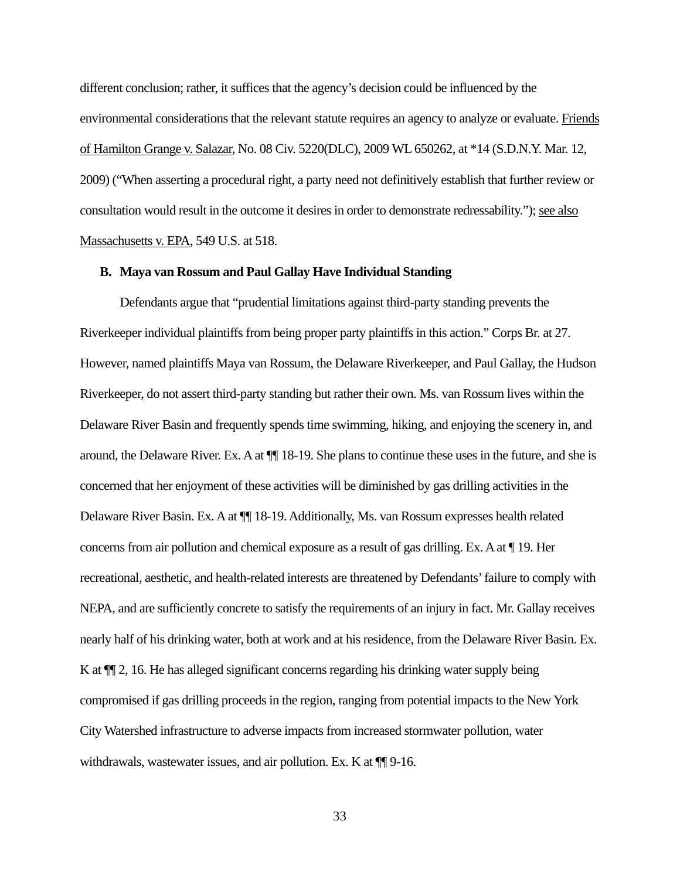different conclusion; rather, it suffices that the agency's decision could be influenced by the environmental considerations that the relevant statute requires an agency to analyze or evaluate. Friends of Hamilton Grange v. Salazar, No. 08 Civ. 5220(DLC), 2009 WL 650262, at \*14 (S.D.N.Y. Mar. 12, 2009) ("When asserting a procedural right, a party need not definitively establish that further review or consultation would result in the outcome it desires in order to demonstrate redressability."); see also Massachusetts v. EPA, 549 U.S. at 518.

## **B. Maya van Rossum and Paul Gallay Have Individual Standing**

Defendants argue that "prudential limitations against third-party standing prevents the Riverkeeper individual plaintiffs from being proper party plaintiffs in this action." Corps Br. at 27. However, named plaintiffs Maya van Rossum, the Delaware Riverkeeper, and Paul Gallay, the Hudson Riverkeeper, do not assert third-party standing but rather their own. Ms. van Rossum lives within the Delaware River Basin and frequently spends time swimming, hiking, and enjoying the scenery in, and around, the Delaware River. Ex. A at ¶¶ 18-19. She plans to continue these uses in the future, and she is concerned that her enjoyment of these activities will be diminished by gas drilling activities in the Delaware River Basin. Ex. A at ¶¶ 18-19. Additionally, Ms. van Rossum expresses health related concerns from air pollution and chemical exposure as a result of gas drilling. Ex. A at ¶ 19. Her recreational, aesthetic, and health-related interests are threatened by Defendants' failure to comply with NEPA, and are sufficiently concrete to satisfy the requirements of an injury in fact. Mr. Gallay receives nearly half of his drinking water, both at work and at his residence, from the Delaware River Basin. Ex. K at  $\P$ [2, 16. He has alleged significant concerns regarding his drinking water supply being compromised if gas drilling proceeds in the region, ranging from potential impacts to the New York City Watershed infrastructure to adverse impacts from increased stormwater pollution, water withdrawals, wastewater issues, and air pollution. Ex. K at  $\P$  9-16.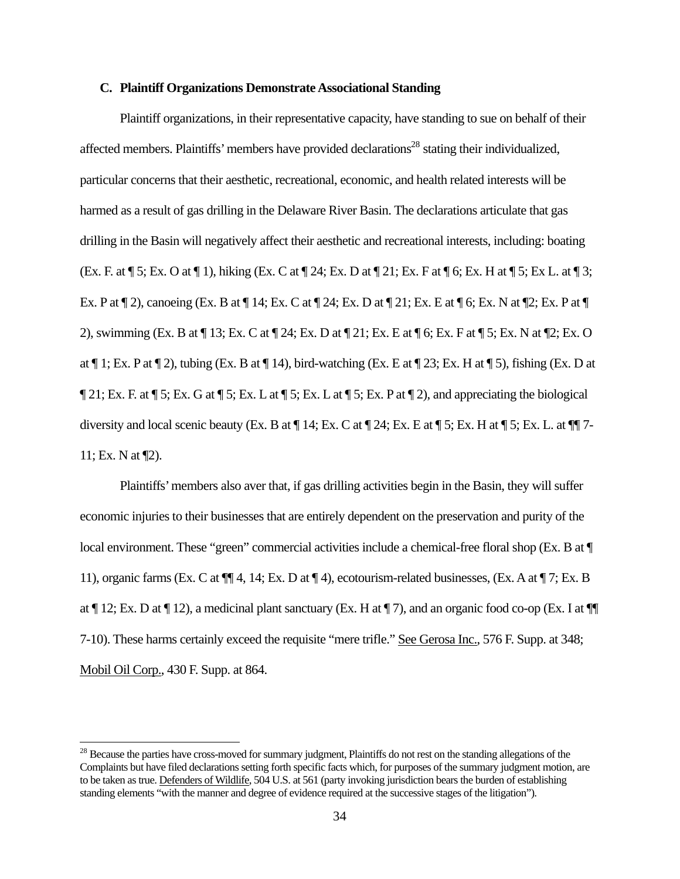## **C. Plaintiff Organizations Demonstrate Associational Standing**

Plaintiff organizations, in their representative capacity, have standing to sue on behalf of their affected members. Plaintiffs' members have provided declarations<sup>28</sup> stating their individualized, particular concerns that their aesthetic, recreational, economic, and health related interests will be harmed as a result of gas drilling in the Delaware River Basin. The declarations articulate that gas drilling in the Basin will negatively affect their aesthetic and recreational interests, including: boating (Ex. F. at ¶ 5; Ex. O at ¶ 1), hiking (Ex. C at ¶ 24; Ex. D at ¶ 21; Ex. F at ¶ 6; Ex. H at ¶ 5; Ex L. at ¶ 3; Ex. P at ¶ 2), canoeing (Ex. B at ¶ 14; Ex. C at ¶ 24; Ex. D at ¶ 21; Ex. E at ¶ 6; Ex. N at ¶2; Ex. P at ¶ 2), swimming (Ex. B at ¶ 13; Ex. C at ¶ 24; Ex. D at ¶ 21; Ex. E at ¶ 6; Ex. F at ¶ 5; Ex. N at ¶2; Ex. O at  $\P$  1; Ex. P at  $\P$  2), tubing (Ex. B at  $\P$  14), bird-watching (Ex. E at  $\P$  23; Ex. H at  $\P$  5), fishing (Ex. D at ¶ 21; Ex. F. at ¶ 5; Ex. G at ¶ 5; Ex. L at ¶ 5; Ex. L at ¶ 5; Ex. P at ¶ 2), and appreciating the biological diversity and local scenic beauty (Ex. B at  $\P$  14; Ex. C at  $\P$  24; Ex. E at  $\P$  5; Ex. H at  $\P$  5; Ex. L. at  $\P$  $\P$  7-11; Ex. N at ¶2).

Plaintiffs' members also aver that, if gas drilling activities begin in the Basin, they will suffer economic injuries to their businesses that are entirely dependent on the preservation and purity of the local environment. These "green" commercial activities include a chemical-free floral shop (Ex. B at  $\P$ ) 11), organic farms (Ex. C at ¶¶ 4, 14; Ex. D at ¶ 4), ecotourism-related businesses, (Ex. A at ¶ 7; Ex. B at ¶ 12; Ex. D at ¶ 12), a medicinal plant sanctuary (Ex. H at ¶ 7), and an organic food co-op (Ex. I at ¶¶ 7-10). These harms certainly exceed the requisite "mere trifle." See Gerosa Inc., 576 F. Supp. at 348; Mobil Oil Corp., 430 F. Supp. at 864.

<sup>&</sup>lt;sup>28</sup> Because the parties have cross-moved for summary judgment, Plaintiffs do not rest on the standing allegations of the Complaints but have filed declarations setting forth specific facts which, for purposes of the summary judgment motion, are to be taken as true. Defenders of Wildlife, 504 U.S. at 561 (party invoking jurisdiction bears the burden of establishing standing elements "with the manner and degree of evidence required at the successive stages of the litigation").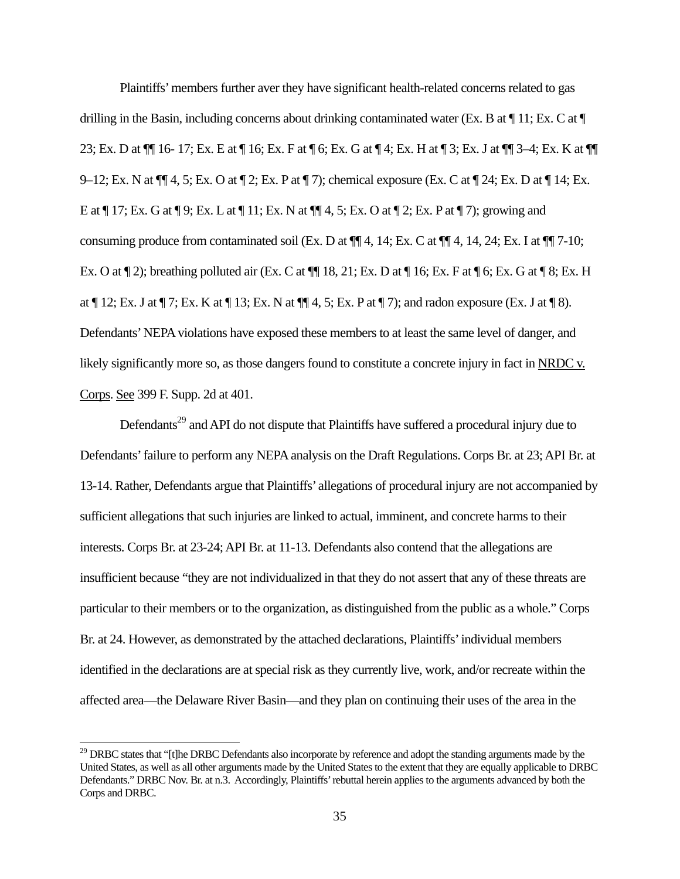Plaintiffs' members further aver they have significant health-related concerns related to gas drilling in the Basin, including concerns about drinking contaminated water (Ex. B at  $\P$  11; Ex. C at  $\P$ 23; Ex. D at ¶¶ 16- 17; Ex. E at ¶ 16; Ex. F at ¶ 6; Ex. G at ¶ 4; Ex. H at ¶ 3; Ex. J at ¶¶ 3–4; Ex. K at ¶¶ 9–12; Ex. N at ¶¶ 4, 5; Ex. O at ¶ 2; Ex. P at ¶ 7); chemical exposure (Ex. C at ¶ 24; Ex. D at ¶ 14; Ex. E at ¶ 17; Ex. G at ¶ 9; Ex. L at ¶ 11; Ex. N at ¶¶ 4, 5; Ex. O at ¶ 2; Ex. P at ¶ 7); growing and consuming produce from contaminated soil (Ex. D at  $\P\P$ 4, 14; Ex. C at  $\P\P$ 4, 14, 24; Ex. I at  $\P\P$ 7-10; Ex. O at  $\P$  2); breathing polluted air (Ex. C at  $\P$  18, 21; Ex. D at  $\P$  16; Ex. F at  $\P$  6; Ex. G at  $\P$  8; Ex. H at ¶ 12; Ex. J at ¶ 7; Ex. K at ¶ 13; Ex. N at ¶¶ 4, 5; Ex. P at ¶ 7); and radon exposure (Ex. J at ¶ 8). Defendants' NEPA violations have exposed these members to at least the same level of danger, and likely significantly more so, as those dangers found to constitute a concrete injury in fact in NRDC v. Corps. See 399 F. Supp. 2d at 401.

Defendants<sup>29</sup> and API do not dispute that Plaintiffs have suffered a procedural injury due to Defendants' failure to perform any NEPA analysis on the Draft Regulations. Corps Br. at 23; API Br. at 13-14. Rather, Defendants argue that Plaintiffs' allegations of procedural injury are not accompanied by sufficient allegations that such injuries are linked to actual, imminent, and concrete harms to their interests. Corps Br. at 23-24; API Br. at 11-13. Defendants also contend that the allegations are insufficient because "they are not individualized in that they do not assert that any of these threats are particular to their members or to the organization, as distinguished from the public as a whole." Corps Br. at 24. However, as demonstrated by the attached declarations, Plaintiffs' individual members identified in the declarations are at special risk as they currently live, work, and/or recreate within the affected area—the Delaware River Basin—and they plan on continuing their uses of the area in the

 $29$  DRBC states that "[t]he DRBC Defendants also incorporate by reference and adopt the standing arguments made by the United States, as well as all other arguments made by the United States to the extent that they are equally applicable to DRBC Defendants." DRBC Nov. Br. at n.3. Accordingly, Plaintiffs' rebuttal herein applies to the arguments advanced by both the Corps and DRBC.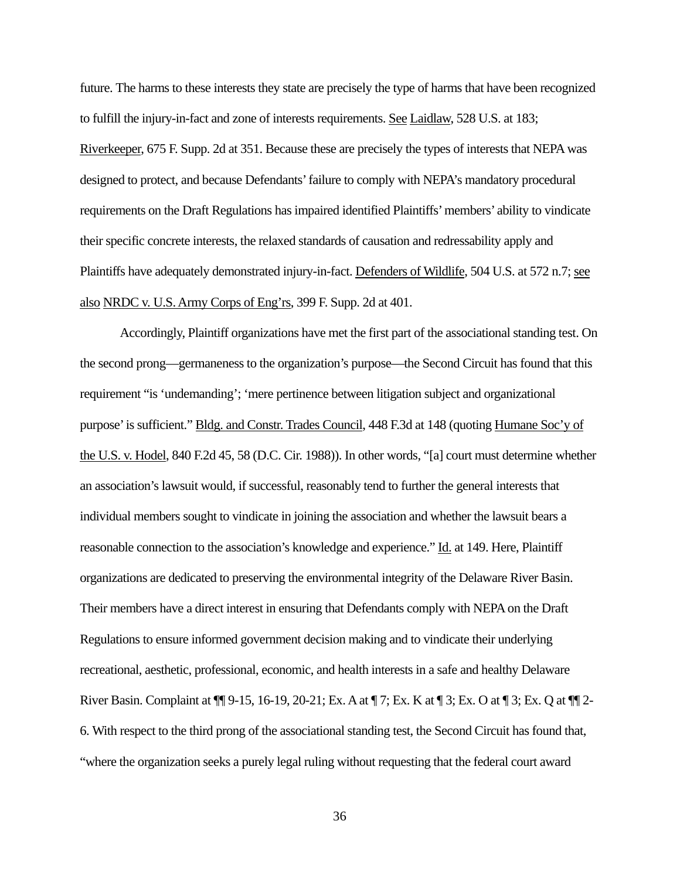future. The harms to these interests they state are precisely the type of harms that have been recognized to fulfill the injury-in-fact and zone of interests requirements. See Laidlaw, 528 U.S. at 183; Riverkeeper, 675 F. Supp. 2d at 351. Because these are precisely the types of interests that NEPA was designed to protect, and because Defendants' failure to comply with NEPA's mandatory procedural requirements on the Draft Regulations has impaired identified Plaintiffs' members' ability to vindicate their specific concrete interests, the relaxed standards of causation and redressability apply and Plaintiffs have adequately demonstrated injury-in-fact. Defenders of Wildlife, 504 U.S. at 572 n.7; see also NRDC v. U.S. Army Corps of Eng'rs, 399 F. Supp. 2d at 401.

Accordingly, Plaintiff organizations have met the first part of the associational standing test. On the second prong—germaneness to the organization's purpose—the Second Circuit has found that this requirement "is 'undemanding'; 'mere pertinence between litigation subject and organizational purpose' is sufficient." Bldg. and Constr. Trades Council, 448 F.3d at 148 (quoting Humane Soc'y of the U.S. v. Hodel, 840 F.2d 45, 58 (D.C. Cir. 1988)). In other words, "[a] court must determine whether an association's lawsuit would, if successful, reasonably tend to further the general interests that individual members sought to vindicate in joining the association and whether the lawsuit bears a reasonable connection to the association's knowledge and experience." Id. at 149. Here, Plaintiff organizations are dedicated to preserving the environmental integrity of the Delaware River Basin. Their members have a direct interest in ensuring that Defendants comply with NEPA on the Draft Regulations to ensure informed government decision making and to vindicate their underlying recreational, aesthetic, professional, economic, and health interests in a safe and healthy Delaware River Basin. Complaint at ¶¶ 9-15, 16-19, 20-21; Ex. A at ¶ 7; Ex. K at ¶ 3; Ex. O at ¶ 3; Ex. Q at ¶¶ 2- 6. With respect to the third prong of the associational standing test, the Second Circuit has found that, "where the organization seeks a purely legal ruling without requesting that the federal court award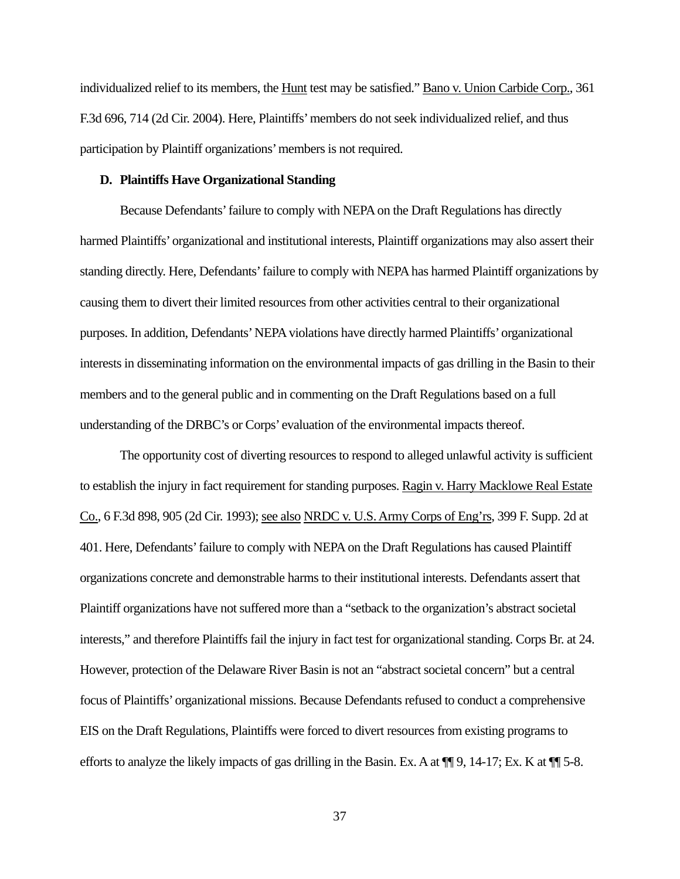individualized relief to its members, the Hunt test may be satisfied." Bano v. Union Carbide Corp., 361 F.3d 696, 714 (2d Cir. 2004). Here, Plaintiffs' members do not seek individualized relief, and thus participation by Plaintiff organizations' members is not required.

### **D. Plaintiffs Have Organizational Standing**

Because Defendants' failure to comply with NEPA on the Draft Regulations has directly harmed Plaintiffs' organizational and institutional interests, Plaintiff organizations may also assert their standing directly. Here, Defendants' failure to comply with NEPA has harmed Plaintiff organizations by causing them to divert their limited resources from other activities central to their organizational purposes. In addition, Defendants' NEPA violations have directly harmed Plaintiffs' organizational interests in disseminating information on the environmental impacts of gas drilling in the Basin to their members and to the general public and in commenting on the Draft Regulations based on a full understanding of the DRBC's or Corps' evaluation of the environmental impacts thereof.

The opportunity cost of diverting resources to respond to alleged unlawful activity is sufficient to establish the injury in fact requirement for standing purposes. Ragin v. Harry Macklowe Real Estate Co., 6 F.3d 898, 905 (2d Cir. 1993); see also NRDC v. U.S. Army Corps of Eng'rs, 399 F. Supp. 2d at 401. Here, Defendants' failure to comply with NEPA on the Draft Regulations has caused Plaintiff organizations concrete and demonstrable harms to their institutional interests. Defendants assert that Plaintiff organizations have not suffered more than a "setback to the organization's abstract societal interests," and therefore Plaintiffs fail the injury in fact test for organizational standing. Corps Br. at 24. However, protection of the Delaware River Basin is not an "abstract societal concern" but a central focus of Plaintiffs' organizational missions. Because Defendants refused to conduct a comprehensive EIS on the Draft Regulations, Plaintiffs were forced to divert resources from existing programs to efforts to analyze the likely impacts of gas drilling in the Basin. Ex. A at  $\P$  9, 14-17; Ex. K at  $\P$  5-8.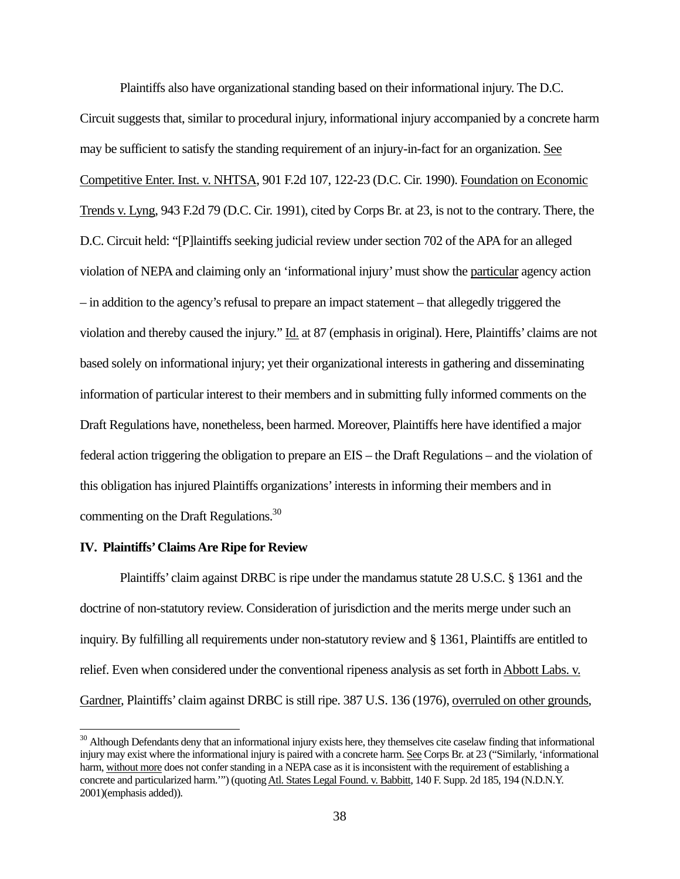Plaintiffs also have organizational standing based on their informational injury. The D.C. Circuit suggests that, similar to procedural injury, informational injury accompanied by a concrete harm may be sufficient to satisfy the standing requirement of an injury-in-fact for an organization. See Competitive Enter. Inst. v. NHTSA, 901 F.2d 107, 122-23 (D.C. Cir. 1990). Foundation on Economic Trends v. Lyng, 943 F.2d 79 (D.C. Cir. 1991), cited by Corps Br. at 23, is not to the contrary. There, the D.C. Circuit held: "[P]laintiffs seeking judicial review under section 702 of the APA for an alleged violation of NEPA and claiming only an 'informational injury' must show the particular agency action – in addition to the agency's refusal to prepare an impact statement – that allegedly triggered the violation and thereby caused the injury." Id. at 87 (emphasis in original). Here, Plaintiffs' claims are not based solely on informational injury; yet their organizational interests in gathering and disseminating information of particular interest to their members and in submitting fully informed comments on the Draft Regulations have, nonetheless, been harmed. Moreover, Plaintiffs here have identified a major federal action triggering the obligation to prepare an EIS – the Draft Regulations – and the violation of this obligation has injured Plaintiffs organizations' interests in informing their members and in commenting on the Draft Regulations.<sup>30</sup>

#### **IV. Plaintiffs' Claims Are Ripe for Review**

Plaintiffs' claim against DRBC is ripe under the mandamus statute 28 U.S.C. § 1361 and the doctrine of non-statutory review. Consideration of jurisdiction and the merits merge under such an inquiry. By fulfilling all requirements under non-statutory review and § 1361, Plaintiffs are entitled to relief. Even when considered under the conventional ripeness analysis as set forth in Abbott Labs. v. Gardner, Plaintiffs' claim against DRBC is still ripe. 387 U.S. 136 (1976), overruled on other grounds,

<sup>&</sup>lt;sup>30</sup> Although Defendants deny that an informational injury exists here, they themselves cite caselaw finding that informational injury may exist where the informational injury is paired with a concrete harm. See Corps Br. at 23 ("Similarly, 'informational harm, without more does not confer standing in a NEPA case as it is inconsistent with the requirement of establishing a concrete and particularized harm."") (quoting Atl. States Legal Found. v. Babbitt, 140 F. Supp. 2d 185, 194 (N.D.N.Y. 2001)(emphasis added)).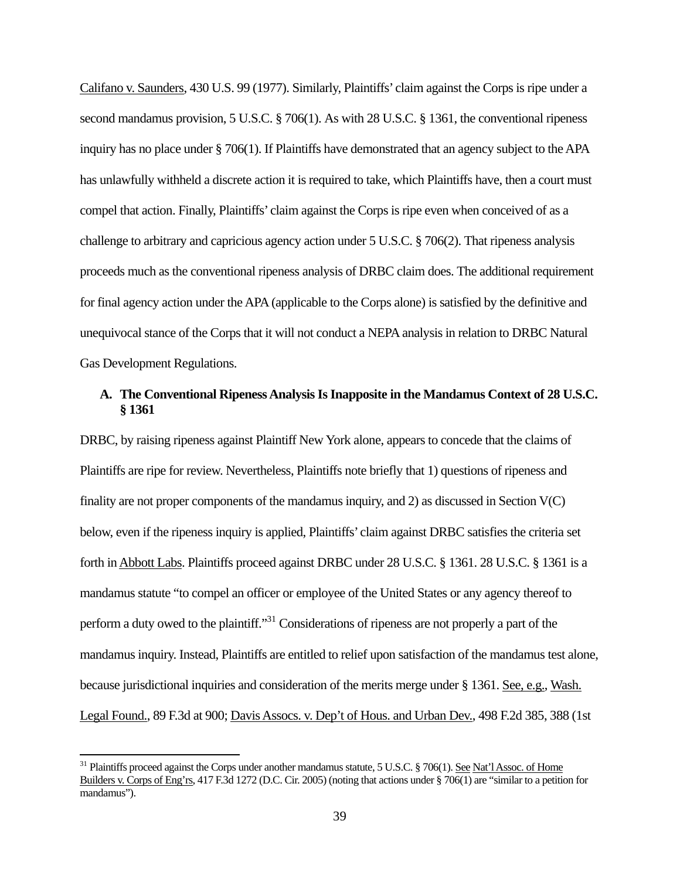Califano v. Saunders, 430 U.S. 99 (1977). Similarly, Plaintiffs' claim against the Corps is ripe under a second mandamus provision, 5 U.S.C. § 706(1). As with 28 U.S.C. § 1361, the conventional ripeness inquiry has no place under § 706(1). If Plaintiffs have demonstrated that an agency subject to the APA has unlawfully withheld a discrete action it is required to take, which Plaintiffs have, then a court must compel that action. Finally, Plaintiffs' claim against the Corps is ripe even when conceived of as a challenge to arbitrary and capricious agency action under 5 U.S.C. § 706(2). That ripeness analysis proceeds much as the conventional ripeness analysis of DRBC claim does. The additional requirement for final agency action under the APA (applicable to the Corps alone) is satisfied by the definitive and unequivocal stance of the Corps that it will not conduct a NEPA analysis in relation to DRBC Natural Gas Development Regulations.

# **A. The Conventional Ripeness Analysis Is Inapposite in the Mandamus Context of 28 U.S.C. § 1361**

DRBC, by raising ripeness against Plaintiff New York alone, appears to concede that the claims of Plaintiffs are ripe for review. Nevertheless, Plaintiffs note briefly that 1) questions of ripeness and finality are not proper components of the mandamus inquiry, and 2) as discussed in Section V(C) below, even if the ripeness inquiry is applied, Plaintiffs' claim against DRBC satisfies the criteria set forth in Abbott Labs. Plaintiffs proceed against DRBC under 28 U.S.C. § 1361. 28 U.S.C. § 1361 is a mandamus statute "to compel an officer or employee of the United States or any agency thereof to perform a duty owed to the plaintiff."31 Considerations of ripeness are not properly a part of the mandamus inquiry. Instead, Plaintiffs are entitled to relief upon satisfaction of the mandamus test alone, because jurisdictional inquiries and consideration of the merits merge under § 1361. See, e.g., Wash. Legal Found., 89 F.3d at 900; Davis Assocs. v. Dep't of Hous. and Urban Dev., 498 F.2d 385, 388 (1st

<sup>&</sup>lt;sup>31</sup> Plaintiffs proceed against the Corps under another mandamus statute, 5 U.S.C. § 706(1). See Nat'l Assoc. of Home Builders v. Corps of Eng'rs, 417 F.3d 1272 (D.C. Cir. 2005) (noting that actions under § 706(1) are "similar to a petition for mandamus").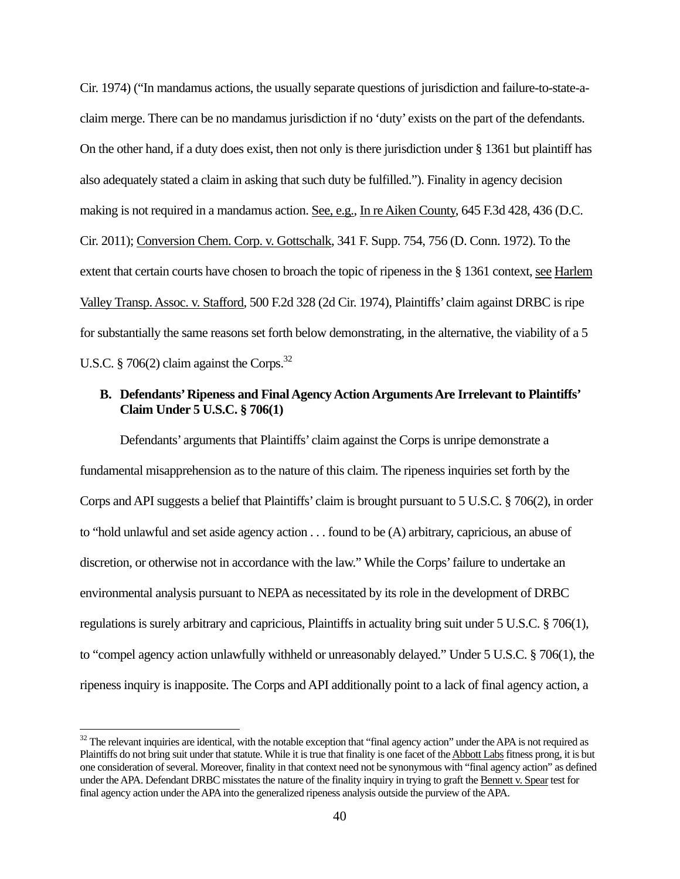Cir. 1974) ("In mandamus actions, the usually separate questions of jurisdiction and failure-to-state-aclaim merge. There can be no mandamus jurisdiction if no 'duty' exists on the part of the defendants. On the other hand, if a duty does exist, then not only is there jurisdiction under § 1361 but plaintiff has also adequately stated a claim in asking that such duty be fulfilled."). Finality in agency decision making is not required in a mandamus action. See, e.g., In re Aiken County, 645 F.3d 428, 436 (D.C. Cir. 2011); Conversion Chem. Corp. v. Gottschalk, 341 F. Supp. 754, 756 (D. Conn. 1972). To the extent that certain courts have chosen to broach the topic of ripeness in the § 1361 context, see Harlem Valley Transp. Assoc. v. Stafford, 500 F.2d 328 (2d Cir. 1974), Plaintiffs' claim against DRBC is ripe for substantially the same reasons set forth below demonstrating, in the alternative, the viability of a 5 U.S.C. § 706(2) claim against the Corps.<sup>32</sup>

# **B. Defendants' Ripeness and Final Agency Action Arguments Are Irrelevant to Plaintiffs' Claim Under 5 U.S.C. § 706(1)**

Defendants' arguments that Plaintiffs' claim against the Corps is unripe demonstrate a fundamental misapprehension as to the nature of this claim. The ripeness inquiries set forth by the Corps and API suggests a belief that Plaintiffs' claim is brought pursuant to 5 U.S.C. § 706(2), in order to "hold unlawful and set aside agency action . . . found to be (A) arbitrary, capricious, an abuse of discretion, or otherwise not in accordance with the law." While the Corps' failure to undertake an environmental analysis pursuant to NEPA as necessitated by its role in the development of DRBC regulations is surely arbitrary and capricious, Plaintiffs in actuality bring suit under 5 U.S.C. § 706(1), to "compel agency action unlawfully withheld or unreasonably delayed." Under 5 U.S.C. § 706(1), the ripeness inquiry is inapposite. The Corps and API additionally point to a lack of final agency action, a

<sup>&</sup>lt;sup>32</sup> The relevant inquiries are identical, with the notable exception that "final agency action" under the APA is not required as Plaintiffs do not bring suit under that statute. While it is true that finality is one facet of the Abbott Labs fitness prong, it is but one consideration of several. Moreover, finality in that context need not be synonymous with "final agency action" as defined under the APA. Defendant DRBC misstates the nature of the finality inquiry in trying to graft the Bennett v. Spear test for final agency action under the APA into the generalized ripeness analysis outside the purview of the APA.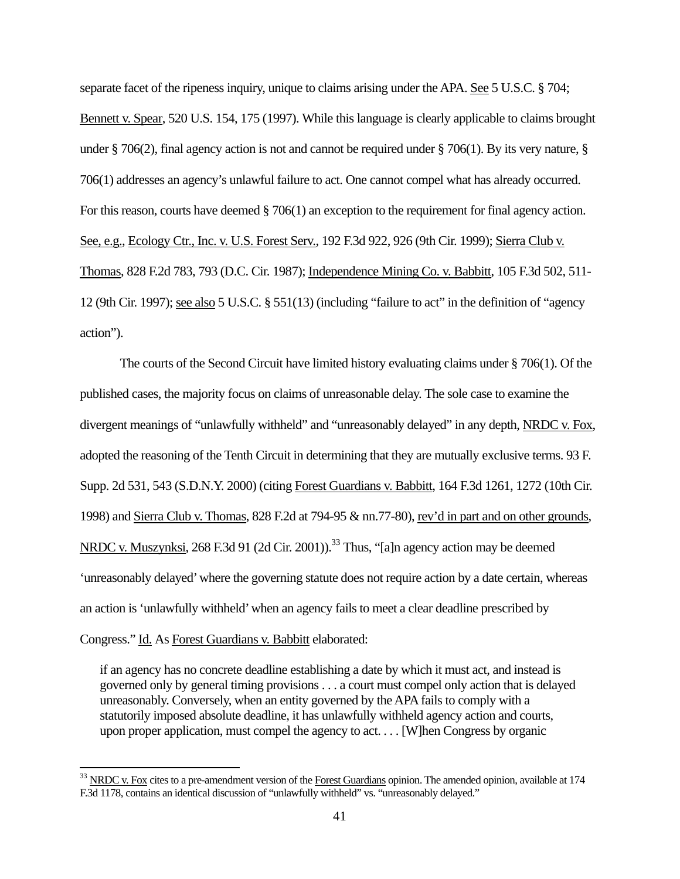separate facet of the ripeness inquiry, unique to claims arising under the APA. See 5 U.S.C. § 704; Bennett v. Spear, 520 U.S. 154, 175 (1997). While this language is clearly applicable to claims brought under § 706(2), final agency action is not and cannot be required under § 706(1). By its very nature, § 706(1) addresses an agency's unlawful failure to act. One cannot compel what has already occurred. For this reason, courts have deemed § 706(1) an exception to the requirement for final agency action. See, e.g., Ecology Ctr., Inc. v. U.S. Forest Serv., 192 F.3d 922, 926 (9th Cir. 1999); Sierra Club v. Thomas, 828 F.2d 783, 793 (D.C. Cir. 1987); Independence Mining Co. v. Babbitt, 105 F.3d 502, 511- 12 (9th Cir. 1997); see also 5 U.S.C. § 551(13) (including "failure to act" in the definition of "agency action").

The courts of the Second Circuit have limited history evaluating claims under § 706(1). Of the published cases, the majority focus on claims of unreasonable delay. The sole case to examine the divergent meanings of "unlawfully withheld" and "unreasonably delayed" in any depth, NRDC v. Fox, adopted the reasoning of the Tenth Circuit in determining that they are mutually exclusive terms. 93 F. Supp. 2d 531, 543 (S.D.N.Y. 2000) (citing Forest Guardians v. Babbitt, 164 F.3d 1261, 1272 (10th Cir. 1998) and Sierra Club v. Thomas, 828 F.2d at 794-95 & nn.77-80), rev'd in part and on other grounds, NRDC v. Muszynksi, 268 F.3d 91 (2d Cir. 2001)).<sup>33</sup> Thus, "[a]n agency action may be deemed 'unreasonably delayed' where the governing statute does not require action by a date certain, whereas an action is 'unlawfully withheld' when an agency fails to meet a clear deadline prescribed by Congress." Id. As Forest Guardians v. Babbitt elaborated:

if an agency has no concrete deadline establishing a date by which it must act, and instead is governed only by general timing provisions . . . a court must compel only action that is delayed unreasonably. Conversely, when an entity governed by the APA fails to comply with a statutorily imposed absolute deadline, it has unlawfully withheld agency action and courts, upon proper application, must compel the agency to act. . . . [W]hen Congress by organic

 $33$  NRDC v. Fox cites to a pre-amendment version of the Forest Guardians opinion. The amended opinion, available at 174 F.3d 1178, contains an identical discussion of "unlawfully withheld" vs. "unreasonably delayed."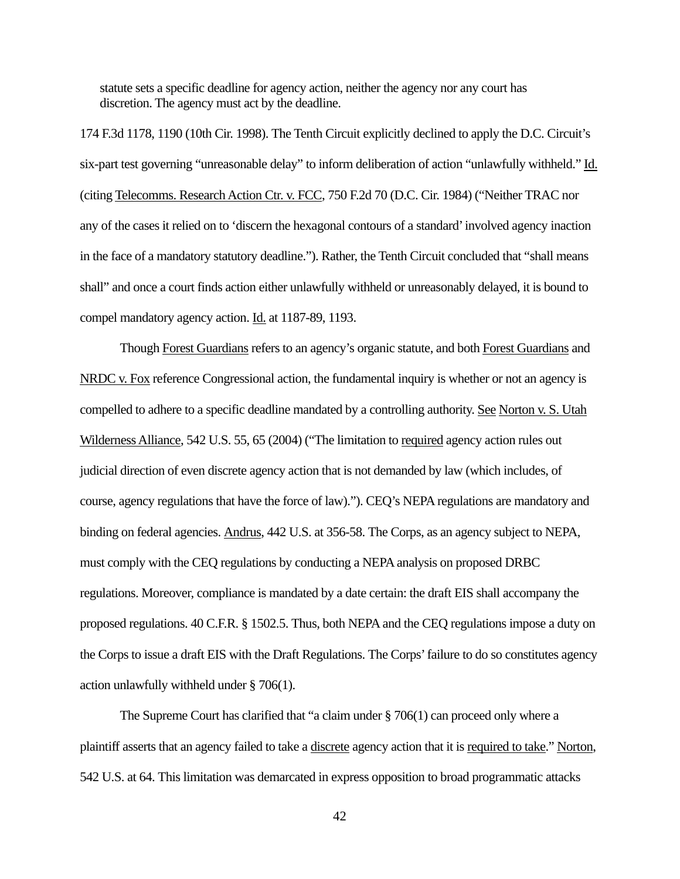statute sets a specific deadline for agency action, neither the agency nor any court has discretion. The agency must act by the deadline.

174 F.3d 1178, 1190 (10th Cir. 1998). The Tenth Circuit explicitly declined to apply the D.C. Circuit's six-part test governing "unreasonable delay" to inform deliberation of action "unlawfully withheld." Id. (citing Telecomms. Research Action Ctr. v. FCC, 750 F.2d 70 (D.C. Cir. 1984) ("Neither TRAC nor any of the cases it relied on to 'discern the hexagonal contours of a standard' involved agency inaction in the face of a mandatory statutory deadline."). Rather, the Tenth Circuit concluded that "shall means shall" and once a court finds action either unlawfully withheld or unreasonably delayed, it is bound to compel mandatory agency action. Id. at 1187-89, 1193.

Though Forest Guardians refers to an agency's organic statute, and both Forest Guardians and NRDC v. Fox reference Congressional action, the fundamental inquiry is whether or not an agency is compelled to adhere to a specific deadline mandated by a controlling authority. See Norton v. S. Utah Wilderness Alliance, 542 U.S. 55, 65 (2004) ("The limitation to required agency action rules out judicial direction of even discrete agency action that is not demanded by law (which includes, of course, agency regulations that have the force of law)."). CEQ's NEPA regulations are mandatory and binding on federal agencies. Andrus, 442 U.S. at 356-58. The Corps, as an agency subject to NEPA, must comply with the CEQ regulations by conducting a NEPA analysis on proposed DRBC regulations. Moreover, compliance is mandated by a date certain: the draft EIS shall accompany the proposed regulations. 40 C.F.R. § 1502.5. Thus, both NEPA and the CEQ regulations impose a duty on the Corps to issue a draft EIS with the Draft Regulations. The Corps' failure to do so constitutes agency action unlawfully withheld under § 706(1).

The Supreme Court has clarified that "a claim under  $\S 706(1)$  can proceed only where a plaintiff asserts that an agency failed to take a discrete agency action that it is required to take." Norton, 542 U.S. at 64. This limitation was demarcated in express opposition to broad programmatic attacks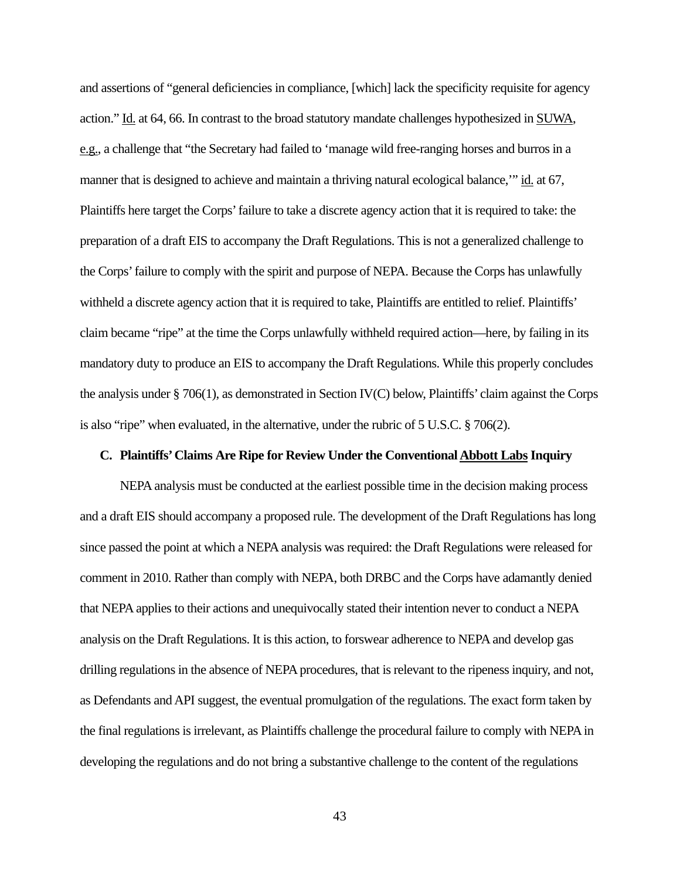and assertions of "general deficiencies in compliance, [which] lack the specificity requisite for agency action." Id. at 64, 66. In contrast to the broad statutory mandate challenges hypothesized in SUWA, e.g., a challenge that "the Secretary had failed to 'manage wild free-ranging horses and burros in a manner that is designed to achieve and maintain a thriving natural ecological balance," id. at 67, Plaintiffs here target the Corps' failure to take a discrete agency action that it is required to take: the preparation of a draft EIS to accompany the Draft Regulations. This is not a generalized challenge to the Corps' failure to comply with the spirit and purpose of NEPA. Because the Corps has unlawfully withheld a discrete agency action that it is required to take, Plaintiffs are entitled to relief. Plaintiffs' claim became "ripe" at the time the Corps unlawfully withheld required action—here, by failing in its mandatory duty to produce an EIS to accompany the Draft Regulations. While this properly concludes the analysis under § 706(1), as demonstrated in Section IV(C) below, Plaintiffs' claim against the Corps is also "ripe" when evaluated, in the alternative, under the rubric of  $5 \text{ U.S.C.} \text{ § } 706(2)$ .

#### **C. Plaintiffs' Claims Are Ripe for Review Under the Conventional Abbott Labs Inquiry**

NEPA analysis must be conducted at the earliest possible time in the decision making process and a draft EIS should accompany a proposed rule. The development of the Draft Regulations has long since passed the point at which a NEPA analysis was required: the Draft Regulations were released for comment in 2010. Rather than comply with NEPA, both DRBC and the Corps have adamantly denied that NEPA applies to their actions and unequivocally stated their intention never to conduct a NEPA analysis on the Draft Regulations. It is this action, to forswear adherence to NEPA and develop gas drilling regulations in the absence of NEPA procedures, that is relevant to the ripeness inquiry, and not, as Defendants and API suggest, the eventual promulgation of the regulations. The exact form taken by the final regulations is irrelevant, as Plaintiffs challenge the procedural failure to comply with NEPA in developing the regulations and do not bring a substantive challenge to the content of the regulations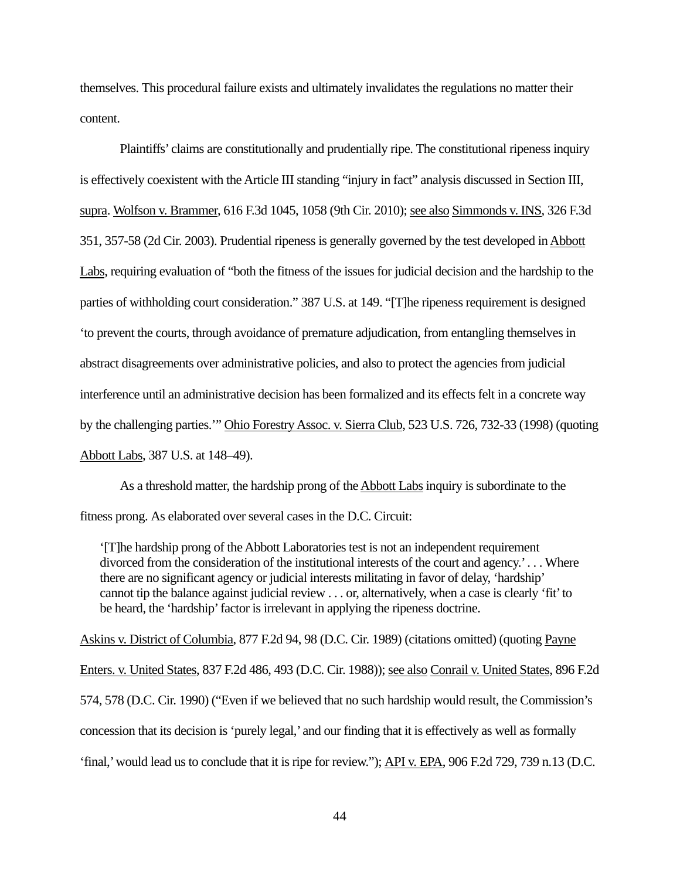themselves. This procedural failure exists and ultimately invalidates the regulations no matter their content.

Plaintiffs' claims are constitutionally and prudentially ripe. The constitutional ripeness inquiry is effectively coexistent with the Article III standing "injury in fact" analysis discussed in Section III, supra. Wolfson v. Brammer, 616 F.3d 1045, 1058 (9th Cir. 2010); see also Simmonds v. INS, 326 F.3d 351, 357-58 (2d Cir. 2003). Prudential ripeness is generally governed by the test developed in Abbott Labs, requiring evaluation of "both the fitness of the issues for judicial decision and the hardship to the parties of withholding court consideration." 387 U.S. at 149. "[T]he ripeness requirement is designed 'to prevent the courts, through avoidance of premature adjudication, from entangling themselves in abstract disagreements over administrative policies, and also to protect the agencies from judicial interference until an administrative decision has been formalized and its effects felt in a concrete way by the challenging parties.'" Ohio Forestry Assoc. v. Sierra Club, 523 U.S. 726, 732-33 (1998) (quoting Abbott Labs, 387 U.S. at 148–49).

As a threshold matter, the hardship prong of the Abbott Labs inquiry is subordinate to the fitness prong. As elaborated over several cases in the D.C. Circuit:

'[T]he hardship prong of the Abbott Laboratories test is not an independent requirement divorced from the consideration of the institutional interests of the court and agency.' . . . Where there are no significant agency or judicial interests militating in favor of delay, 'hardship' cannot tip the balance against judicial review . . . or, alternatively, when a case is clearly 'fit' to be heard, the 'hardship' factor is irrelevant in applying the ripeness doctrine.

Askins v. District of Columbia, 877 F.2d 94, 98 (D.C. Cir. 1989) (citations omitted) (quoting Payne Enters. v. United States, 837 F.2d 486, 493 (D.C. Cir. 1988)); see also Conrail v. United States, 896 F.2d 574, 578 (D.C. Cir. 1990) ("Even if we believed that no such hardship would result, the Commission's concession that its decision is 'purely legal,' and our finding that it is effectively as well as formally 'final,' would lead us to conclude that it is ripe for review."); API v. EPA, 906 F.2d 729, 739 n.13 (D.C.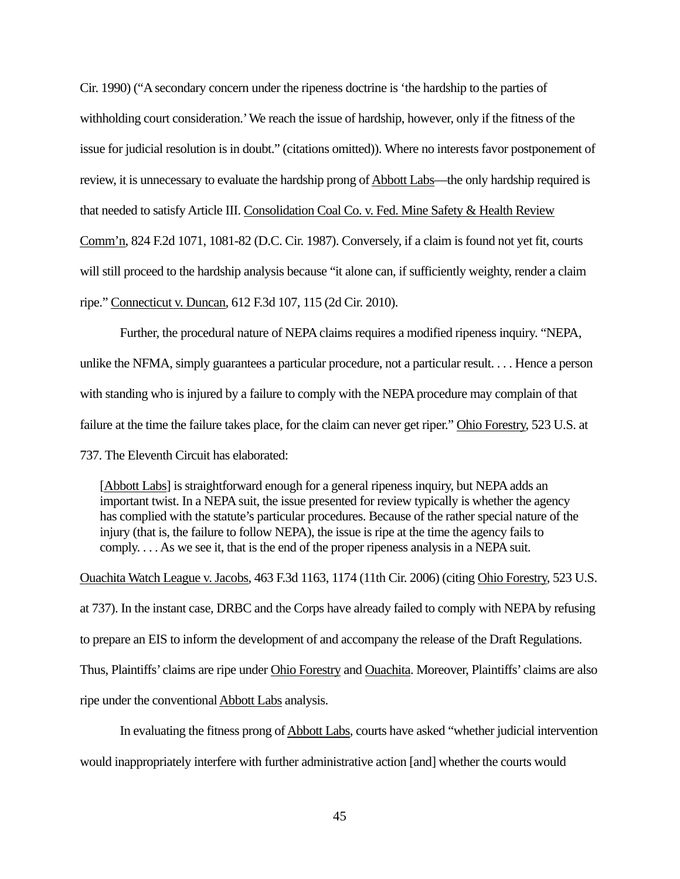Cir. 1990) ("A secondary concern under the ripeness doctrine is 'the hardship to the parties of withholding court consideration.' We reach the issue of hardship, however, only if the fitness of the issue for judicial resolution is in doubt." (citations omitted)). Where no interests favor postponement of review, it is unnecessary to evaluate the hardship prong of Abbott Labs—the only hardship required is that needed to satisfy Article III. Consolidation Coal Co. v. Fed. Mine Safety & Health Review Comm'n, 824 F.2d 1071, 1081-82 (D.C. Cir. 1987). Conversely, if a claim is found not yet fit, courts will still proceed to the hardship analysis because "it alone can, if sufficiently weighty, render a claim ripe." Connecticut v. Duncan, 612 F.3d 107, 115 (2d Cir. 2010).

Further, the procedural nature of NEPA claims requires a modified ripeness inquiry. "NEPA, unlike the NFMA, simply guarantees a particular procedure, not a particular result. . . . Hence a person with standing who is injured by a failure to comply with the NEPA procedure may complain of that failure at the time the failure takes place, for the claim can never get riper." Ohio Forestry, 523 U.S. at 737. The Eleventh Circuit has elaborated:

[Abbott Labs] is straightforward enough for a general ripeness inquiry, but NEPA adds an important twist. In a NEPA suit, the issue presented for review typically is whether the agency has complied with the statute's particular procedures. Because of the rather special nature of the injury (that is, the failure to follow NEPA), the issue is ripe at the time the agency fails to comply. . . . As we see it, that is the end of the proper ripeness analysis in a NEPA suit.

Ouachita Watch League v. Jacobs, 463 F.3d 1163, 1174 (11th Cir. 2006) (citing Ohio Forestry, 523 U.S. at 737). In the instant case, DRBC and the Corps have already failed to comply with NEPA by refusing to prepare an EIS to inform the development of and accompany the release of the Draft Regulations. Thus, Plaintiffs' claims are ripe under Ohio Forestry and Ouachita. Moreover, Plaintiffs' claims are also ripe under the conventional Abbott Labs analysis.

In evaluating the fitness prong of Abbott Labs, courts have asked "whether judicial intervention would inappropriately interfere with further administrative action [and] whether the courts would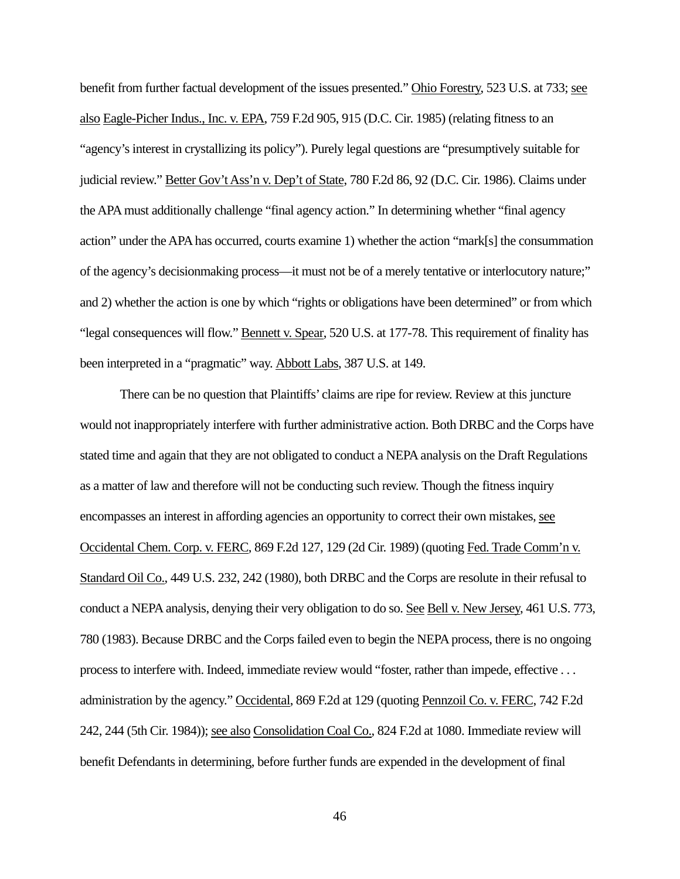benefit from further factual development of the issues presented." Ohio Forestry, 523 U.S. at 733; see also Eagle-Picher Indus., Inc. v. EPA, 759 F.2d 905, 915 (D.C. Cir. 1985) (relating fitness to an "agency's interest in crystallizing its policy"). Purely legal questions are "presumptively suitable for judicial review." Better Gov't Ass'n v. Dep't of State, 780 F.2d 86, 92 (D.C. Cir. 1986). Claims under the APA must additionally challenge "final agency action." In determining whether "final agency action" under the APA has occurred, courts examine 1) whether the action "mark[s] the consummation of the agency's decisionmaking process—it must not be of a merely tentative or interlocutory nature;" and 2) whether the action is one by which "rights or obligations have been determined" or from which "legal consequences will flow." Bennett v. Spear, 520 U.S. at 177-78. This requirement of finality has been interpreted in a "pragmatic" way. Abbott Labs, 387 U.S. at 149.

There can be no question that Plaintiffs' claims are ripe for review. Review at this juncture would not inappropriately interfere with further administrative action. Both DRBC and the Corps have stated time and again that they are not obligated to conduct a NEPA analysis on the Draft Regulations as a matter of law and therefore will not be conducting such review. Though the fitness inquiry encompasses an interest in affording agencies an opportunity to correct their own mistakes, see Occidental Chem. Corp. v. FERC, 869 F.2d 127, 129 (2d Cir. 1989) (quoting Fed. Trade Comm'n v. Standard Oil Co., 449 U.S. 232, 242 (1980), both DRBC and the Corps are resolute in their refusal to conduct a NEPA analysis, denying their very obligation to do so. See Bell v. New Jersey, 461 U.S. 773, 780 (1983). Because DRBC and the Corps failed even to begin the NEPA process, there is no ongoing process to interfere with. Indeed, immediate review would "foster, rather than impede, effective . . . administration by the agency." Occidental, 869 F.2d at 129 (quoting Pennzoil Co. v. FERC, 742 F.2d 242, 244 (5th Cir. 1984)); see also Consolidation Coal Co., 824 F.2d at 1080. Immediate review will benefit Defendants in determining, before further funds are expended in the development of final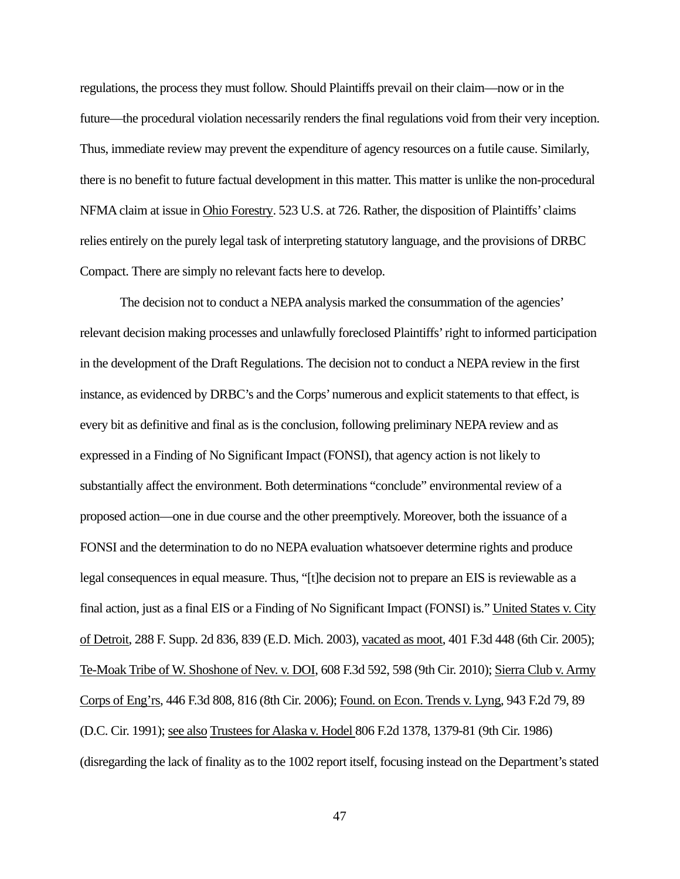regulations, the process they must follow. Should Plaintiffs prevail on their claim—now or in the future—the procedural violation necessarily renders the final regulations void from their very inception. Thus, immediate review may prevent the expenditure of agency resources on a futile cause. Similarly, there is no benefit to future factual development in this matter. This matter is unlike the non-procedural NFMA claim at issue in Ohio Forestry. 523 U.S. at 726. Rather, the disposition of Plaintiffs' claims relies entirely on the purely legal task of interpreting statutory language, and the provisions of DRBC Compact. There are simply no relevant facts here to develop.

The decision not to conduct a NEPA analysis marked the consummation of the agencies' relevant decision making processes and unlawfully foreclosed Plaintiffs' right to informed participation in the development of the Draft Regulations. The decision not to conduct a NEPA review in the first instance, as evidenced by DRBC's and the Corps' numerous and explicit statements to that effect, is every bit as definitive and final as is the conclusion, following preliminary NEPA review and as expressed in a Finding of No Significant Impact (FONSI), that agency action is not likely to substantially affect the environment. Both determinations "conclude" environmental review of a proposed action—one in due course and the other preemptively. Moreover, both the issuance of a FONSI and the determination to do no NEPA evaluation whatsoever determine rights and produce legal consequences in equal measure. Thus, "[t]he decision not to prepare an EIS is reviewable as a final action, just as a final EIS or a Finding of No Significant Impact (FONSI) is." United States v. City of Detroit, 288 F. Supp. 2d 836, 839 (E.D. Mich. 2003), vacated as moot, 401 F.3d 448 (6th Cir. 2005); Te-Moak Tribe of W. Shoshone of Nev. v. DOI, 608 F.3d 592, 598 (9th Cir. 2010); Sierra Club v. Army Corps of Eng'rs, 446 F.3d 808, 816 (8th Cir. 2006); Found. on Econ. Trends v. Lyng, 943 F.2d 79, 89 (D.C. Cir. 1991); see also Trustees for Alaska v. Hodel 806 F.2d 1378, 1379-81 (9th Cir. 1986) (disregarding the lack of finality as to the 1002 report itself, focusing instead on the Department's stated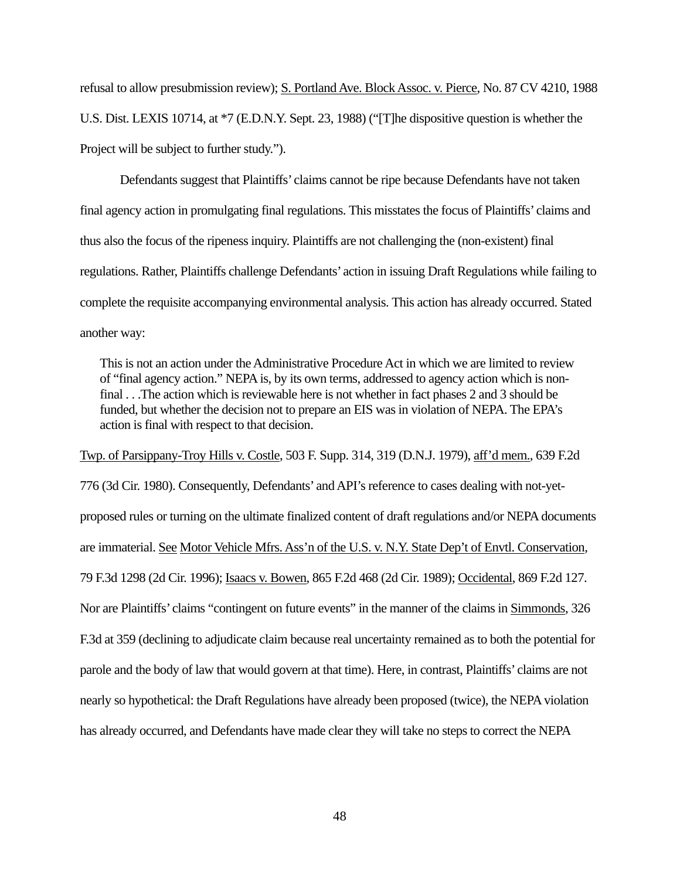refusal to allow presubmission review); S. Portland Ave. Block Assoc. v. Pierce, No. 87 CV 4210, 1988 U.S. Dist. LEXIS 10714, at \*7 (E.D.N.Y. Sept. 23, 1988) ("[T]he dispositive question is whether the Project will be subject to further study.").

Defendants suggest that Plaintiffs' claims cannot be ripe because Defendants have not taken final agency action in promulgating final regulations. This misstates the focus of Plaintiffs' claims and thus also the focus of the ripeness inquiry. Plaintiffs are not challenging the (non-existent) final regulations. Rather, Plaintiffs challenge Defendants' action in issuing Draft Regulations while failing to complete the requisite accompanying environmental analysis. This action has already occurred. Stated another way:

This is not an action under the Administrative Procedure Act in which we are limited to review of "final agency action." NEPA is, by its own terms, addressed to agency action which is nonfinal . . .The action which is reviewable here is not whether in fact phases 2 and 3 should be funded, but whether the decision not to prepare an EIS was in violation of NEPA. The EPA's action is final with respect to that decision.

Twp. of Parsippany-Troy Hills v. Costle, 503 F. Supp. 314, 319 (D.N.J. 1979), aff'd mem., 639 F.2d 776 (3d Cir. 1980). Consequently, Defendants' and API's reference to cases dealing with not-yetproposed rules or turning on the ultimate finalized content of draft regulations and/or NEPA documents are immaterial. See Motor Vehicle Mfrs. Ass'n of the U.S. v. N.Y. State Dep't of Envtl. Conservation, 79 F.3d 1298 (2d Cir. 1996); Isaacs v. Bowen, 865 F.2d 468 (2d Cir. 1989); Occidental, 869 F.2d 127. Nor are Plaintiffs' claims "contingent on future events" in the manner of the claims in Simmonds, 326 F.3d at 359 (declining to adjudicate claim because real uncertainty remained as to both the potential for parole and the body of law that would govern at that time). Here, in contrast, Plaintiffs' claims are not nearly so hypothetical: the Draft Regulations have already been proposed (twice), the NEPA violation has already occurred, and Defendants have made clear they will take no steps to correct the NEPA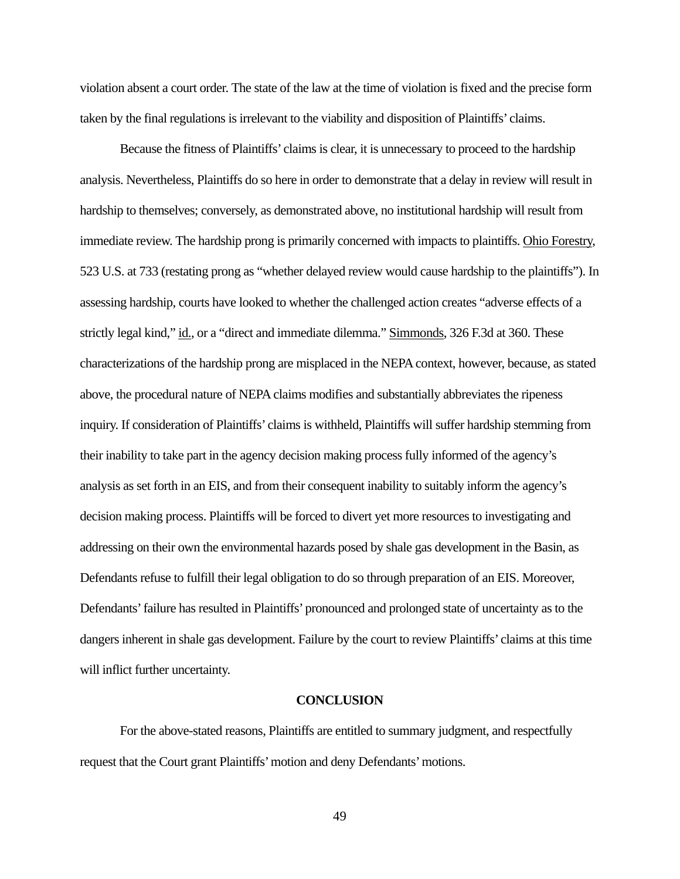violation absent a court order. The state of the law at the time of violation is fixed and the precise form taken by the final regulations is irrelevant to the viability and disposition of Plaintiffs' claims.

Because the fitness of Plaintiffs' claims is clear, it is unnecessary to proceed to the hardship analysis. Nevertheless, Plaintiffs do so here in order to demonstrate that a delay in review will result in hardship to themselves; conversely, as demonstrated above, no institutional hardship will result from immediate review. The hardship prong is primarily concerned with impacts to plaintiffs. Ohio Forestry, 523 U.S. at 733 (restating prong as "whether delayed review would cause hardship to the plaintiffs"). In assessing hardship, courts have looked to whether the challenged action creates "adverse effects of a strictly legal kind," id., or a "direct and immediate dilemma." Simmonds, 326 F.3d at 360. These characterizations of the hardship prong are misplaced in the NEPA context, however, because, as stated above, the procedural nature of NEPA claims modifies and substantially abbreviates the ripeness inquiry. If consideration of Plaintiffs' claims is withheld, Plaintiffs will suffer hardship stemming from their inability to take part in the agency decision making process fully informed of the agency's analysis as set forth in an EIS, and from their consequent inability to suitably inform the agency's decision making process. Plaintiffs will be forced to divert yet more resources to investigating and addressing on their own the environmental hazards posed by shale gas development in the Basin, as Defendants refuse to fulfill their legal obligation to do so through preparation of an EIS. Moreover, Defendants' failure has resulted in Plaintiffs' pronounced and prolonged state of uncertainty as to the dangers inherent in shale gas development. Failure by the court to review Plaintiffs' claims at this time will inflict further uncertainty.

#### **CONCLUSION**

For the above-stated reasons, Plaintiffs are entitled to summary judgment, and respectfully request that the Court grant Plaintiffs' motion and deny Defendants' motions.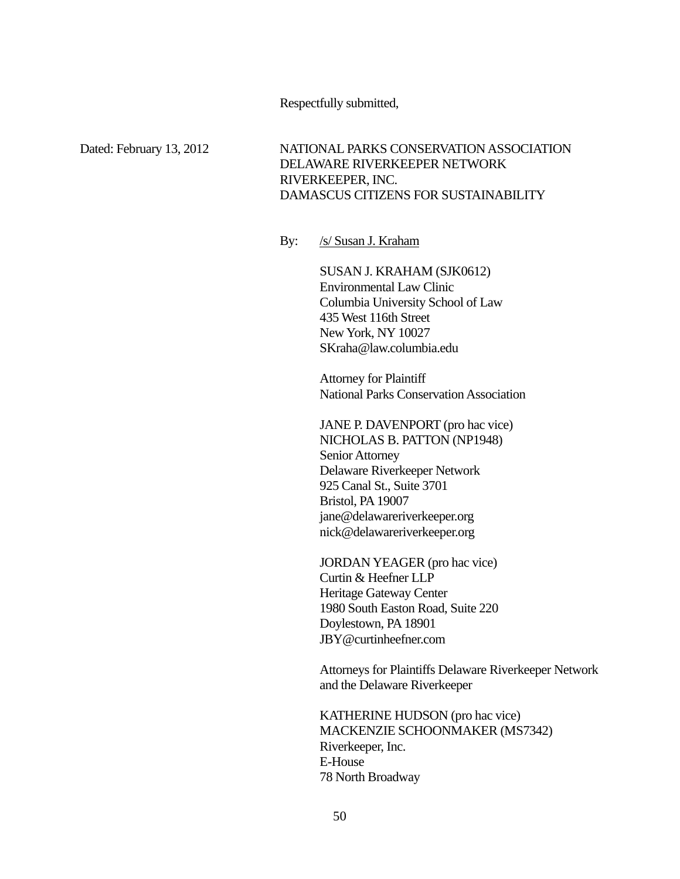## Respectfully submitted,

Dated: February 13, 2012 NATIONAL PARKS CONSERVATION ASSOCIATION DELAWARE RIVERKEEPER NETWORK RIVERKEEPER, INC. DAMASCUS CITIZENS FOR SUSTAINABILITY

By: /s/ Susan J. Kraham

SUSAN J. KRAHAM (SJK0612) Environmental Law Clinic Columbia University School of Law 435 West 116th Street New York, NY 10027 SKraha@law.columbia.edu

Attorney for Plaintiff National Parks Conservation Association

 JANE P. DAVENPORT (pro hac vice) NICHOLAS B. PATTON (NP1948) Senior Attorney Delaware Riverkeeper Network 925 Canal St., Suite 3701 Bristol, PA 19007 jane@delawareriverkeeper.org nick@delawareriverkeeper.org

JORDAN YEAGER (pro hac vice) Curtin & Heefner LLP Heritage Gateway Center 1980 South Easton Road, Suite 220 Doylestown, PA 18901 JBY@curtinheefner.com

Attorneys for Plaintiffs Delaware Riverkeeper Network and the Delaware Riverkeeper

KATHERINE HUDSON (pro hac vice) MACKENZIE SCHOONMAKER (MS7342) Riverkeeper, Inc. E-House 78 North Broadway